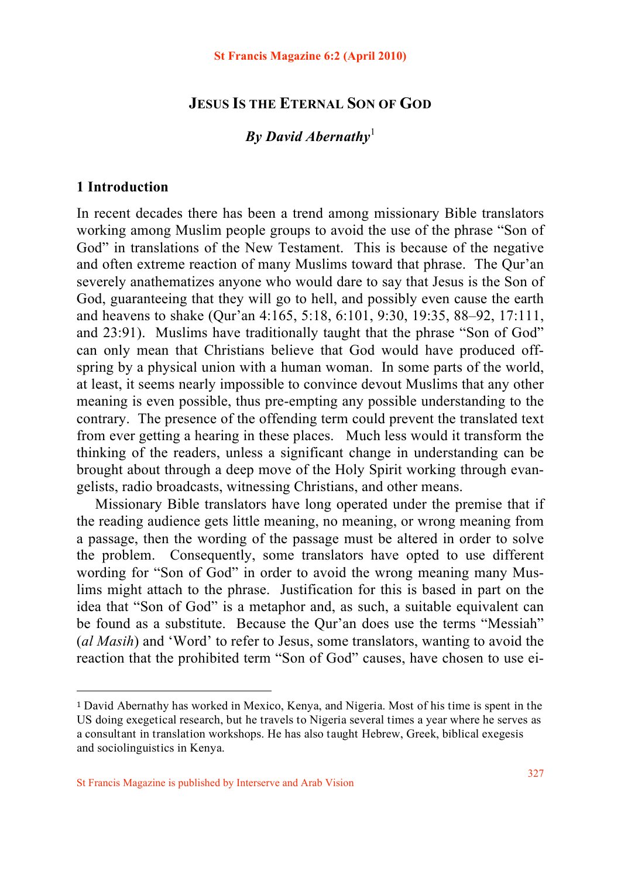## **JESUS IS THE ETERNAL SON OF GOD**

# *By David Abernathy*<sup>1</sup>

## **1 Introduction**

In recent decades there has been a trend among missionary Bible translators working among Muslim people groups to avoid the use of the phrase "Son of God" in translations of the New Testament. This is because of the negative and often extreme reaction of many Muslims toward that phrase. The Qur'an severely anathematizes anyone who would dare to say that Jesus is the Son of God, guaranteeing that they will go to hell, and possibly even cause the earth and heavens to shake (Qur'an 4:165, 5:18, 6:101, 9:30, 19:35, 88–92, 17:111, and 23:91). Muslims have traditionally taught that the phrase "Son of God" can only mean that Christians believe that God would have produced offspring by a physical union with a human woman. In some parts of the world, at least, it seems nearly impossible to convince devout Muslims that any other meaning is even possible, thus pre-empting any possible understanding to the contrary. The presence of the offending term could prevent the translated text from ever getting a hearing in these places. Much less would it transform the thinking of the readers, unless a significant change in understanding can be brought about through a deep move of the Holy Spirit working through evangelists, radio broadcasts, witnessing Christians, and other means.

 Missionary Bible translators have long operated under the premise that if the reading audience gets little meaning, no meaning, or wrong meaning from a passage, then the wording of the passage must be altered in order to solve the problem. Consequently, some translators have opted to use different wording for "Son of God" in order to avoid the wrong meaning many Muslims might attach to the phrase. Justification for this is based in part on the idea that "Son of God" is a metaphor and, as such, a suitable equivalent can be found as a substitute. Because the Qur'an does use the terms "Messiah" (*al Masih*) and 'Word' to refer to Jesus, some translators, wanting to avoid the reaction that the prohibited term "Son of God" causes, have chosen to use ei-

<sup>1</sup> David Abernathy has worked in Mexico, Kenya, and Nigeria. Most of his time is spent in the US doing exegetical research, but he travels to Nigeria several times a year where he serves as a consultant in translation workshops. He has also taught Hebrew, Greek, biblical exegesis and sociolinguistics in Kenya.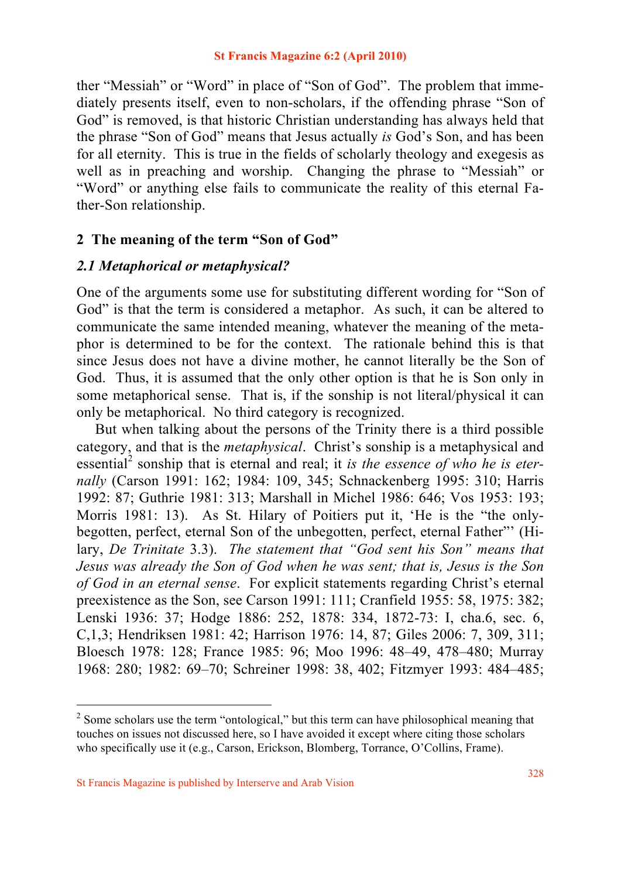ther "Messiah" or "Word" in place of "Son of God". The problem that immediately presents itself, even to non-scholars, if the offending phrase "Son of God" is removed, is that historic Christian understanding has always held that the phrase "Son of God" means that Jesus actually *is* God's Son, and has been for all eternity. This is true in the fields of scholarly theology and exegesis as well as in preaching and worship. Changing the phrase to "Messiah" or "Word" or anything else fails to communicate the reality of this eternal Father-Son relationship.

## **2 The meaning of the term "Son of God"**

## *2.1 Metaphorical or metaphysical?*

One of the arguments some use for substituting different wording for "Son of God" is that the term is considered a metaphor. As such, it can be altered to communicate the same intended meaning, whatever the meaning of the metaphor is determined to be for the context. The rationale behind this is that since Jesus does not have a divine mother, he cannot literally be the Son of God. Thus, it is assumed that the only other option is that he is Son only in some metaphorical sense. That is, if the sonship is not literal/physical it can only be metaphorical. No third category is recognized.

 But when talking about the persons of the Trinity there is a third possible category, and that is the *metaphysical*. Christ's sonship is a metaphysical and essential<sup>2</sup> sonship that is eternal and real; it *is the essence of who he is eternally* (Carson 1991: 162; 1984: 109, 345; Schnackenberg 1995: 310; Harris 1992: 87; Guthrie 1981: 313; Marshall in Michel 1986: 646; Vos 1953: 193; Morris 1981: 13). As St. Hilary of Poitiers put it, 'He is the "the onlybegotten, perfect, eternal Son of the unbegotten, perfect, eternal Father"' (Hilary, *De Trinitate* 3.3). *The statement that "God sent his Son" means that Jesus was already the Son of God when he was sent; that is, Jesus is the Son of God in an eternal sense*. For explicit statements regarding Christ's eternal preexistence as the Son, see Carson 1991: 111; Cranfield 1955: 58, 1975: 382; Lenski 1936: 37; Hodge 1886: 252, 1878: 334, 1872-73: I, cha.6, sec. 6, C,1,3; Hendriksen 1981: 42; Harrison 1976: 14, 87; Giles 2006: 7, 309, 311; Bloesch 1978: 128; France 1985: 96; Moo 1996: 48–49, 478–480; Murray 1968: 280; 1982: 69–70; Schreiner 1998: 38, 402; Fitzmyer 1993: 484–485;

 $2^2$  Some scholars use the term "ontological," but this term can have philosophical meaning that touches on issues not discussed here, so I have avoided it except where citing those scholars who specifically use it (e.g., Carson, Erickson, Blomberg, Torrance, O'Collins, Frame).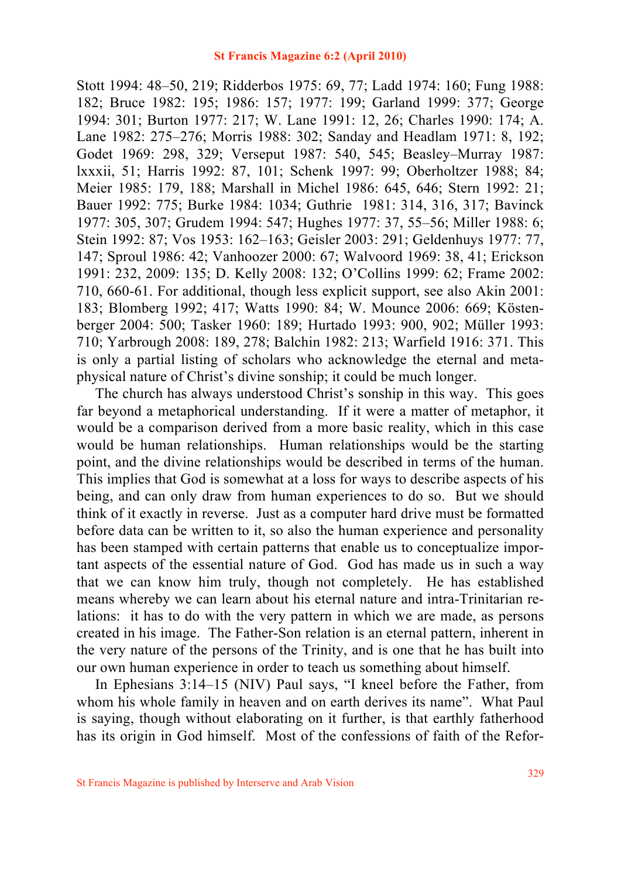Stott 1994: 48–50, 219; Ridderbos 1975: 69, 77; Ladd 1974: 160; Fung 1988: 182; Bruce 1982: 195; 1986: 157; 1977: 199; Garland 1999: 377; George 1994: 301; Burton 1977: 217; W. Lane 1991: 12, 26; Charles 1990: 174; A. Lane 1982: 275–276; Morris 1988: 302; Sanday and Headlam 1971: 8, 192; Godet 1969: 298, 329; Verseput 1987: 540, 545; Beasley–Murray 1987: lxxxii, 51; Harris 1992: 87, 101; Schenk 1997: 99; Oberholtzer 1988; 84; Meier 1985: 179, 188; Marshall in Michel 1986: 645, 646; Stern 1992: 21; Bauer 1992: 775; Burke 1984: 1034; Guthrie 1981: 314, 316, 317; Bavinck 1977: 305, 307; Grudem 1994: 547; Hughes 1977: 37, 55–56; Miller 1988: 6; Stein 1992: 87; Vos 1953: 162–163; Geisler 2003: 291; Geldenhuys 1977: 77, 147; Sproul 1986: 42; Vanhoozer 2000: 67; Walvoord 1969: 38, 41; Erickson 1991: 232, 2009: 135; D. Kelly 2008: 132; O'Collins 1999: 62; Frame 2002: 710, 660-61. For additional, though less explicit support, see also Akin 2001: 183; Blomberg 1992; 417; Watts 1990: 84; W. Mounce 2006: 669; Köstenberger 2004: 500; Tasker 1960: 189; Hurtado 1993: 900, 902; Müller 1993: 710; Yarbrough 2008: 189, 278; Balchin 1982: 213; Warfield 1916: 371. This is only a partial listing of scholars who acknowledge the eternal and metaphysical nature of Christ's divine sonship; it could be much longer.

 The church has always understood Christ's sonship in this way. This goes far beyond a metaphorical understanding. If it were a matter of metaphor, it would be a comparison derived from a more basic reality, which in this case would be human relationships. Human relationships would be the starting point, and the divine relationships would be described in terms of the human. This implies that God is somewhat at a loss for ways to describe aspects of his being, and can only draw from human experiences to do so. But we should think of it exactly in reverse. Just as a computer hard drive must be formatted before data can be written to it, so also the human experience and personality has been stamped with certain patterns that enable us to conceptualize important aspects of the essential nature of God. God has made us in such a way that we can know him truly, though not completely. He has established means whereby we can learn about his eternal nature and intra-Trinitarian relations: it has to do with the very pattern in which we are made, as persons created in his image. The Father-Son relation is an eternal pattern, inherent in the very nature of the persons of the Trinity, and is one that he has built into our own human experience in order to teach us something about himself.

 In Ephesians 3:14–15 (NIV) Paul says, "I kneel before the Father, from whom his whole family in heaven and on earth derives its name". What Paul is saying, though without elaborating on it further, is that earthly fatherhood has its origin in God himself. Most of the confessions of faith of the Refor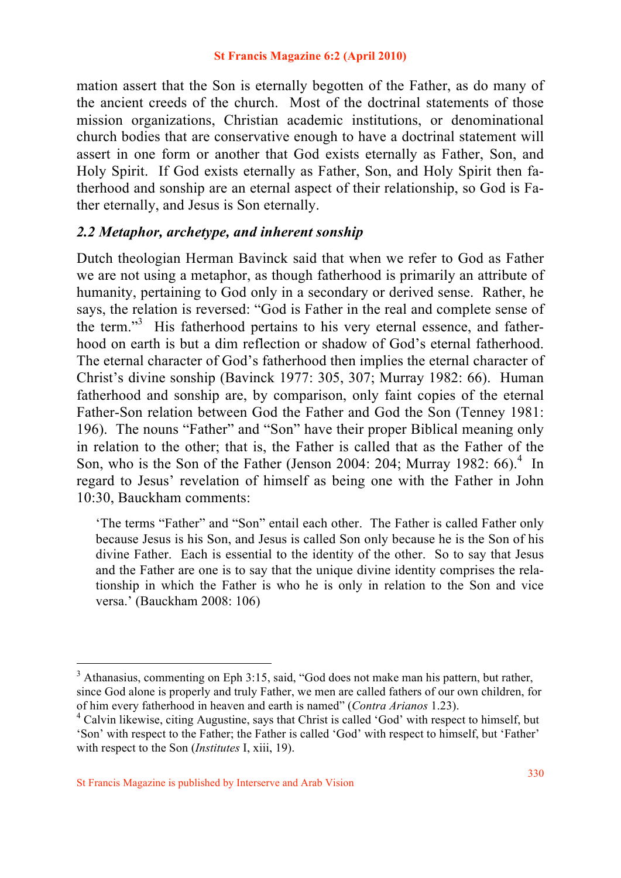mation assert that the Son is eternally begotten of the Father, as do many of the ancient creeds of the church. Most of the doctrinal statements of those mission organizations, Christian academic institutions, or denominational church bodies that are conservative enough to have a doctrinal statement will assert in one form or another that God exists eternally as Father, Son, and Holy Spirit. If God exists eternally as Father, Son, and Holy Spirit then fatherhood and sonship are an eternal aspect of their relationship, so God is Father eternally, and Jesus is Son eternally.

## *2.2 Metaphor, archetype, and inherent sonship*

Dutch theologian Herman Bavinck said that when we refer to God as Father we are not using a metaphor, as though fatherhood is primarily an attribute of humanity, pertaining to God only in a secondary or derived sense. Rather, he says, the relation is reversed: "God is Father in the real and complete sense of the term."<sup>3</sup> His fatherhood pertains to his very eternal essence, and fatherhood on earth is but a dim reflection or shadow of God's eternal fatherhood. The eternal character of God's fatherhood then implies the eternal character of Christ's divine sonship (Bavinck 1977: 305, 307; Murray 1982: 66). Human fatherhood and sonship are, by comparison, only faint copies of the eternal Father-Son relation between God the Father and God the Son (Tenney 1981: 196). The nouns "Father" and "Son" have their proper Biblical meaning only in relation to the other; that is, the Father is called that as the Father of the Son, who is the Son of the Father (Jenson 2004: 204; Murray 1982:  $66$ ).<sup>4</sup> In regard to Jesus' revelation of himself as being one with the Father in John 10:30, Bauckham comments:

'The terms "Father" and "Son" entail each other. The Father is called Father only because Jesus is his Son, and Jesus is called Son only because he is the Son of his divine Father. Each is essential to the identity of the other. So to say that Jesus and the Father are one is to say that the unique divine identity comprises the relationship in which the Father is who he is only in relation to the Son and vice versa.' (Bauckham 2008: 106)

<sup>&</sup>lt;sup>3</sup> Athanasius, commenting on Eph 3:15, said, "God does not make man his pattern, but rather, since God alone is properly and truly Father, we men are called fathers of our own children, for of him every fatherhood in heaven and earth is named" (*Contra Arianos* 1.23). <sup>4</sup>

Calvin likewise, citing Augustine, says that Christ is called 'God' with respect to himself, but 'Son' with respect to the Father; the Father is called 'God' with respect to himself, but 'Father' with respect to the Son (*Institutes* I, xiii, 19).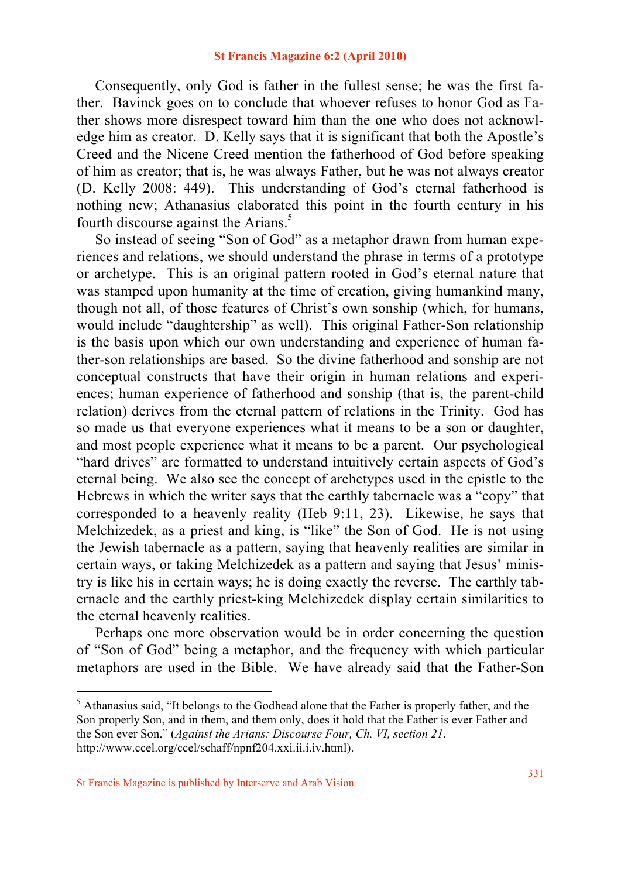Consequently, only God is father in the fullest sense; he was the first father. Bavinck goes on to conclude that whoever refuses to honor God as Father shows more disrespect toward him than the one who does not acknowledge him as creator. D. Kelly says that it is significant that both the Apostle's Creed and the Nicene Creed mention the fatherhood of God before speaking of him as creator; that is, he was always Father, but he was not always creator (D. Kelly 2008: 449). This understanding of God's eternal fatherhood is nothing new; Athanasius elaborated this point in the fourth century in his fourth discourse against the Arians.<sup>5</sup>

 So instead of seeing "Son of God" as a metaphor drawn from human experiences and relations, we should understand the phrase in terms of a prototype or archetype. This is an original pattern rooted in God's eternal nature that was stamped upon humanity at the time of creation, giving humankind many, though not all, of those features of Christ's own sonship (which, for humans, would include "daughtership" as well). This original Father-Son relationship is the basis upon which our own understanding and experience of human father-son relationships are based. So the divine fatherhood and sonship are not conceptual constructs that have their origin in human relations and experiences; human experience of fatherhood and sonship (that is, the parent-child relation) derives from the eternal pattern of relations in the Trinity. God has so made us that everyone experiences what it means to be a son or daughter, and most people experience what it means to be a parent. Our psychological "hard drives" are formatted to understand intuitively certain aspects of God's eternal being. We also see the concept of archetypes used in the epistle to the Hebrews in which the writer says that the earthly tabernacle was a "copy" that corresponded to a heavenly reality (Heb 9:11, 23). Likewise, he says that Melchizedek, as a priest and king, is "like" the Son of God. He is not using the Jewish tabernacle as a pattern, saying that heavenly realities are similar in certain ways, or taking Melchizedek as a pattern and saying that Jesus' ministry is like his in certain ways; he is doing exactly the reverse. The earthly tabernacle and the earthly priest-king Melchizedek display certain similarities to the eternal heavenly realities.

 Perhaps one more observation would be in order concerning the question of "Son of God" being a metaphor, and the frequency with which particular metaphors are used in the Bible. We have already said that the Father-Son

<sup>&</sup>lt;sup>5</sup> Athanasius said, "It belongs to the Godhead alone that the Father is properly father, and the Son properly Son, and in them, and them only, does it hold that the Father is ever Father and the Son ever Son." (*Against the Arians: Discourse Four, Ch. VI, section 21*. http://www.ccel.org/ccel/schaff/npnf204.xxi.ii.i.iv.html).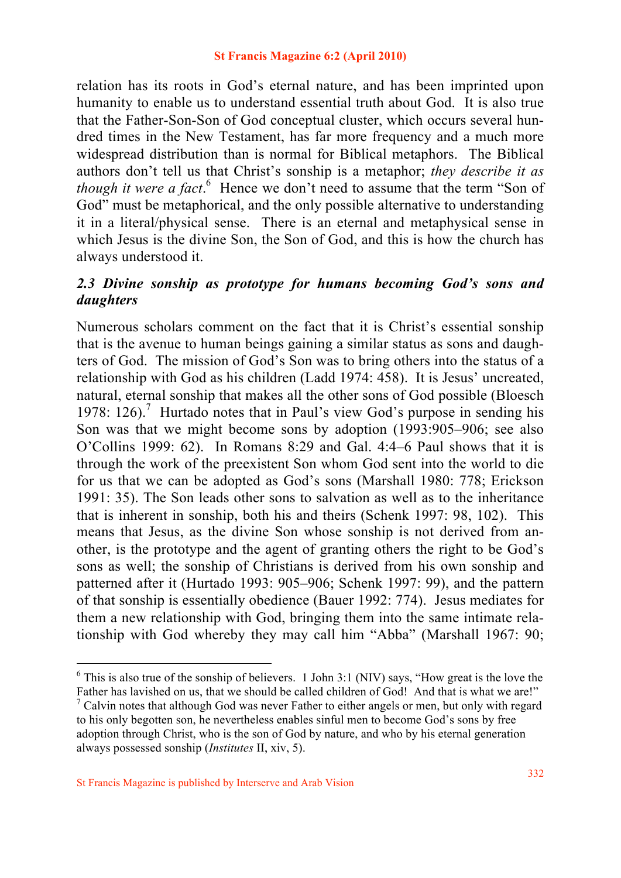relation has its roots in God's eternal nature, and has been imprinted upon humanity to enable us to understand essential truth about God. It is also true that the Father-Son-Son of God conceptual cluster, which occurs several hundred times in the New Testament, has far more frequency and a much more widespread distribution than is normal for Biblical metaphors. The Biblical authors don't tell us that Christ's sonship is a metaphor; *they describe it as*  though it were a fact.<sup>6</sup> Hence we don't need to assume that the term "Son of God" must be metaphorical, and the only possible alternative to understanding it in a literal/physical sense. There is an eternal and metaphysical sense in which Jesus is the divine Son, the Son of God, and this is how the church has always understood it.

## *2.3 Divine sonship as prototype for humans becoming God's sons and daughters*

Numerous scholars comment on the fact that it is Christ's essential sonship that is the avenue to human beings gaining a similar status as sons and daughters of God. The mission of God's Son was to bring others into the status of a relationship with God as his children (Ladd 1974: 458). It is Jesus' uncreated, natural, eternal sonship that makes all the other sons of God possible (Bloesch 1978: 126).<sup>7</sup> Hurtado notes that in Paul's view God's purpose in sending his Son was that we might become sons by adoption (1993:905–906; see also O'Collins 1999: 62). In Romans 8:29 and Gal. 4:4–6 Paul shows that it is through the work of the preexistent Son whom God sent into the world to die for us that we can be adopted as God's sons (Marshall 1980: 778; Erickson 1991: 35). The Son leads other sons to salvation as well as to the inheritance that is inherent in sonship, both his and theirs (Schenk 1997: 98, 102). This means that Jesus, as the divine Son whose sonship is not derived from another, is the prototype and the agent of granting others the right to be God's sons as well; the sonship of Christians is derived from his own sonship and patterned after it (Hurtado 1993: 905–906; Schenk 1997: 99), and the pattern of that sonship is essentially obedience (Bauer 1992: 774). Jesus mediates for them a new relationship with God, bringing them into the same intimate relationship with God whereby they may call him "Abba" (Marshall 1967: 90;

<sup>&</sup>lt;sup>6</sup> This is also true of the sonship of believers. 1 John 3:1 (NIV) says, "How great is the love the

Father has lavished on us, that we should be called children of God! And that is what we are!"  $7$  Calvin notes that although God was never Father to either angels or men, but only with regard to his only begotten son, he nevertheless enables sinful men to become God's sons by free adoption through Christ, who is the son of God by nature, and who by his eternal generation always possessed sonship (*Institutes* II, xiv, 5).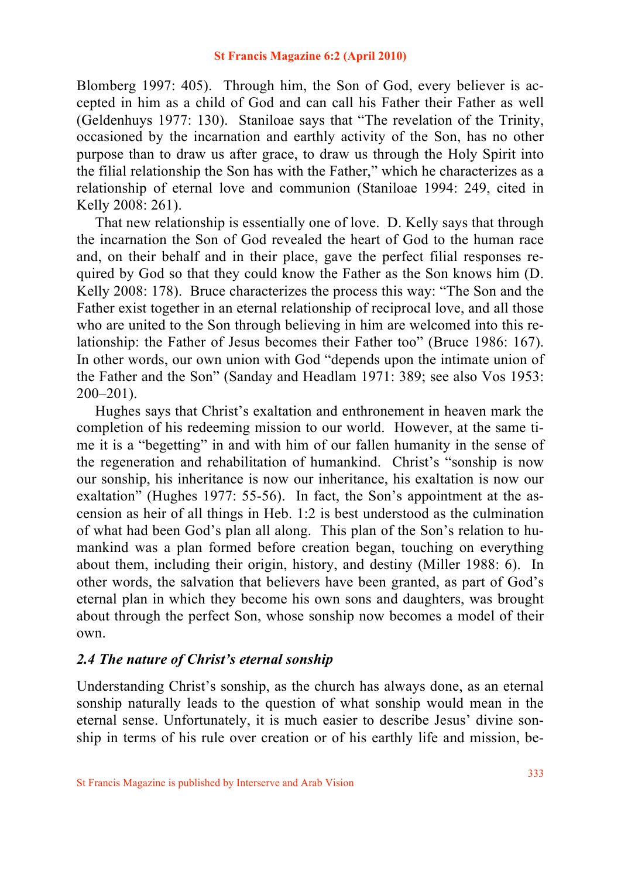Blomberg 1997: 405). Through him, the Son of God, every believer is accepted in him as a child of God and can call his Father their Father as well (Geldenhuys 1977: 130). Staniloae says that "The revelation of the Trinity, occasioned by the incarnation and earthly activity of the Son, has no other purpose than to draw us after grace, to draw us through the Holy Spirit into the filial relationship the Son has with the Father," which he characterizes as a relationship of eternal love and communion (Staniloae 1994: 249, cited in Kelly 2008: 261).

 That new relationship is essentially one of love. D. Kelly says that through the incarnation the Son of God revealed the heart of God to the human race and, on their behalf and in their place, gave the perfect filial responses required by God so that they could know the Father as the Son knows him (D. Kelly 2008: 178). Bruce characterizes the process this way: "The Son and the Father exist together in an eternal relationship of reciprocal love, and all those who are united to the Son through believing in him are welcomed into this relationship: the Father of Jesus becomes their Father too" (Bruce 1986: 167). In other words, our own union with God "depends upon the intimate union of the Father and the Son" (Sanday and Headlam 1971: 389; see also Vos 1953: 200–201).

 Hughes says that Christ's exaltation and enthronement in heaven mark the completion of his redeeming mission to our world. However, at the same time it is a "begetting" in and with him of our fallen humanity in the sense of the regeneration and rehabilitation of humankind. Christ's "sonship is now our sonship, his inheritance is now our inheritance, his exaltation is now our exaltation" (Hughes 1977: 55-56). In fact, the Son's appointment at the ascension as heir of all things in Heb. 1:2 is best understood as the culmination of what had been God's plan all along. This plan of the Son's relation to humankind was a plan formed before creation began, touching on everything about them, including their origin, history, and destiny (Miller 1988: 6). In other words, the salvation that believers have been granted, as part of God's eternal plan in which they become his own sons and daughters, was brought about through the perfect Son, whose sonship now becomes a model of their own.

### *2.4 The nature of Christ's eternal sonship*

Understanding Christ's sonship, as the church has always done, as an eternal sonship naturally leads to the question of what sonship would mean in the eternal sense. Unfortunately, it is much easier to describe Jesus' divine sonship in terms of his rule over creation or of his earthly life and mission, be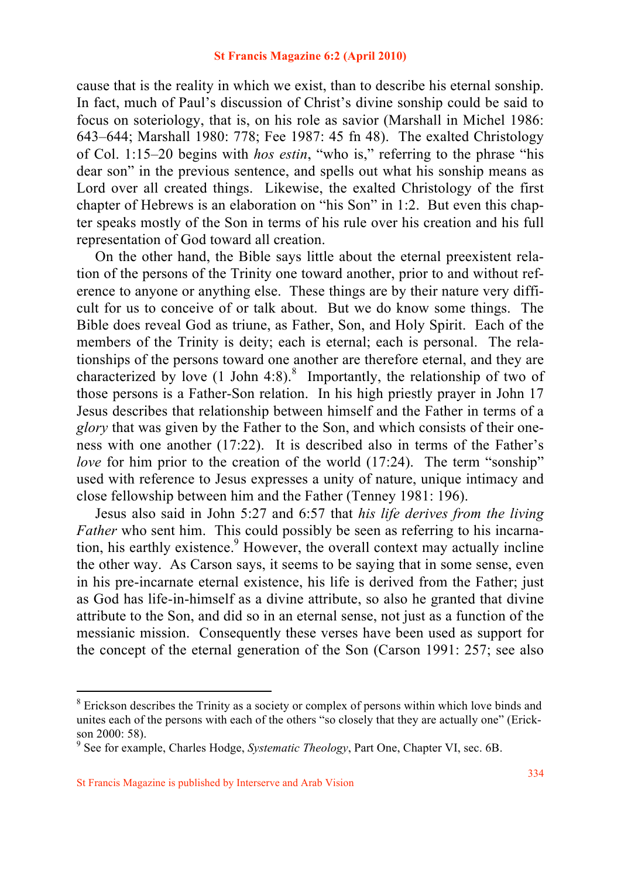cause that is the reality in which we exist, than to describe his eternal sonship. In fact, much of Paul's discussion of Christ's divine sonship could be said to focus on soteriology, that is, on his role as savior (Marshall in Michel 1986: 643–644; Marshall 1980: 778; Fee 1987: 45 fn 48). The exalted Christology of Col. 1:15–20 begins with *hos estin*, "who is," referring to the phrase "his dear son" in the previous sentence, and spells out what his sonship means as Lord over all created things. Likewise, the exalted Christology of the first chapter of Hebrews is an elaboration on "his Son" in 1:2. But even this chapter speaks mostly of the Son in terms of his rule over his creation and his full representation of God toward all creation.

 On the other hand, the Bible says little about the eternal preexistent relation of the persons of the Trinity one toward another, prior to and without reference to anyone or anything else. These things are by their nature very difficult for us to conceive of or talk about. But we do know some things. The Bible does reveal God as triune, as Father, Son, and Holy Spirit. Each of the members of the Trinity is deity; each is eternal; each is personal. The relationships of the persons toward one another are therefore eternal, and they are characterized by love  $(1$  John 4:8).<sup>8</sup> Importantly, the relationship of two of those persons is a Father-Son relation. In his high priestly prayer in John 17 Jesus describes that relationship between himself and the Father in terms of a *glory* that was given by the Father to the Son, and which consists of their oneness with one another (17:22). It is described also in terms of the Father's *love* for him prior to the creation of the world (17:24). The term "sonship" used with reference to Jesus expresses a unity of nature, unique intimacy and close fellowship between him and the Father (Tenney 1981: 196).

 Jesus also said in John 5:27 and 6:57 that *his life derives from the living Father* who sent him. This could possibly be seen as referring to his incarnation, his earthly existence.<sup>9</sup> However, the overall context may actually incline the other way. As Carson says, it seems to be saying that in some sense, even in his pre-incarnate eternal existence, his life is derived from the Father; just as God has life-in-himself as a divine attribute, so also he granted that divine attribute to the Son, and did so in an eternal sense, not just as a function of the messianic mission. Consequently these verses have been used as support for the concept of the eternal generation of the Son (Carson 1991: 257; see also

<sup>&</sup>lt;sup>8</sup> Erickson describes the Trinity as a society or complex of persons within which love binds and unites each of the persons with each of the others "so closely that they are actually one" (Erickson 2000: 58).

<sup>9</sup> See for example, Charles Hodge, *Systematic Theology*, Part One, Chapter VI, sec. 6B.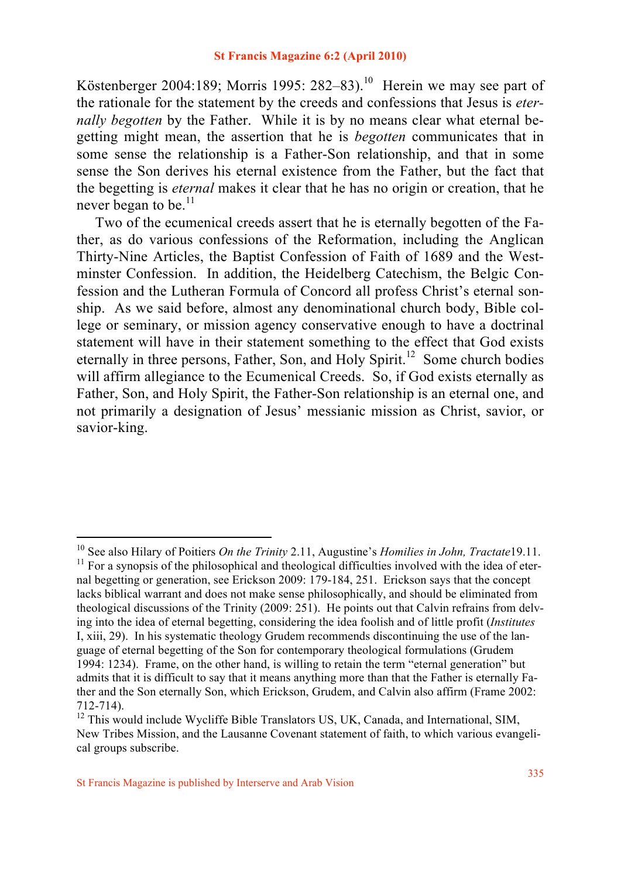Köstenberger 2004:189; Morris 1995: 282–83).<sup>10</sup> Herein we may see part of the rationale for the statement by the creeds and confessions that Jesus is *eternally begotten* by the Father. While it is by no means clear what eternal begetting might mean, the assertion that he is *begotten* communicates that in some sense the relationship is a Father-Son relationship, and that in some sense the Son derives his eternal existence from the Father, but the fact that the begetting is *eternal* makes it clear that he has no origin or creation, that he never began to be. $^{11}$ 

 Two of the ecumenical creeds assert that he is eternally begotten of the Father, as do various confessions of the Reformation, including the Anglican Thirty-Nine Articles, the Baptist Confession of Faith of 1689 and the Westminster Confession. In addition, the Heidelberg Catechism, the Belgic Confession and the Lutheran Formula of Concord all profess Christ's eternal sonship. As we said before, almost any denominational church body, Bible college or seminary, or mission agency conservative enough to have a doctrinal statement will have in their statement something to the effect that God exists eternally in three persons, Father, Son, and Holy Spirit.<sup>12</sup> Some church bodies will affirm allegiance to the Ecumenical Creeds. So, if God exists eternally as Father, Son, and Holy Spirit, the Father-Son relationship is an eternal one, and not primarily a designation of Jesus' messianic mission as Christ, savior, or savior-king.

<sup>&</sup>lt;sup>10</sup> See also Hilary of Poitiers *On the Trinity* 2.11, Augustine's *Homilies in John, Tractate* 19.11.<br><sup>11</sup> For a synopsis of the philosophical and theological difficulties involved with the idea of eter-

nal begetting or generation, see Erickson 2009: 179-184, 251. Erickson says that the concept lacks biblical warrant and does not make sense philosophically, and should be eliminated from theological discussions of the Trinity (2009: 251). He points out that Calvin refrains from delving into the idea of eternal begetting, considering the idea foolish and of little profit (*Institutes* I, xiii, 29). In his systematic theology Grudem recommends discontinuing the use of the language of eternal begetting of the Son for contemporary theological formulations (Grudem 1994: 1234). Frame, on the other hand, is willing to retain the term "eternal generation" but admits that it is difficult to say that it means anything more than that the Father is eternally Father and the Son eternally Son, which Erickson, Grudem, and Calvin also affirm (Frame 2002: 712-714).<br><sup>12</sup> This would include Wycliffe Bible Translators US, UK, Canada, and International, SIM,

New Tribes Mission, and the Lausanne Covenant statement of faith, to which various evangelical groups subscribe.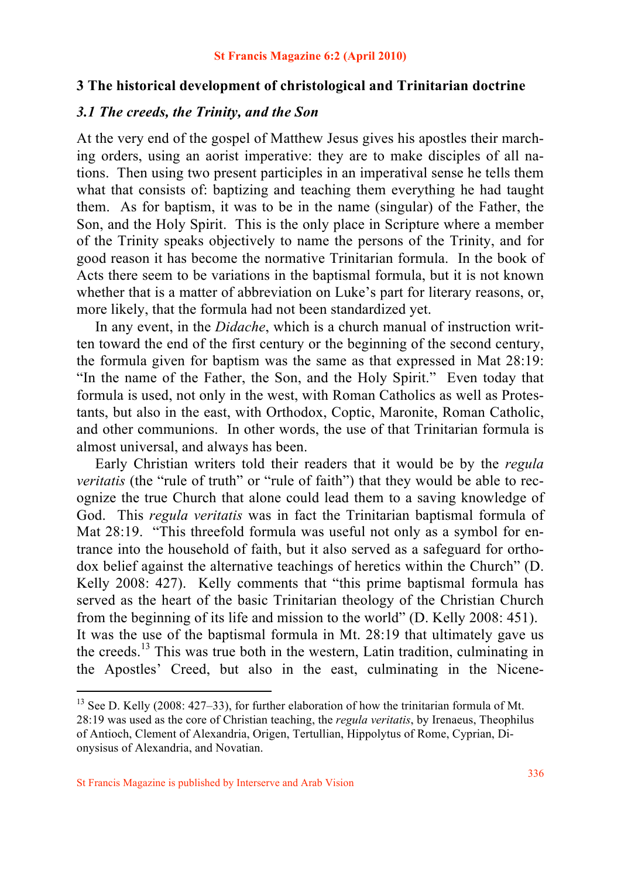### **3 The historical development of christological and Trinitarian doctrine**

## *3.1 The creeds, the Trinity, and the Son*

At the very end of the gospel of Matthew Jesus gives his apostles their marching orders, using an aorist imperative: they are to make disciples of all nations. Then using two present participles in an imperatival sense he tells them what that consists of: baptizing and teaching them everything he had taught them. As for baptism, it was to be in the name (singular) of the Father, the Son, and the Holy Spirit. This is the only place in Scripture where a member of the Trinity speaks objectively to name the persons of the Trinity, and for good reason it has become the normative Trinitarian formula. In the book of Acts there seem to be variations in the baptismal formula, but it is not known whether that is a matter of abbreviation on Luke's part for literary reasons, or, more likely, that the formula had not been standardized yet.

 In any event, in the *Didache*, which is a church manual of instruction written toward the end of the first century or the beginning of the second century, the formula given for baptism was the same as that expressed in Mat 28:19: "In the name of the Father, the Son, and the Holy Spirit." Even today that formula is used, not only in the west, with Roman Catholics as well as Protestants, but also in the east, with Orthodox, Coptic, Maronite, Roman Catholic, and other communions. In other words, the use of that Trinitarian formula is almost universal, and always has been.

 Early Christian writers told their readers that it would be by the *regula veritatis* (the "rule of truth" or "rule of faith") that they would be able to recognize the true Church that alone could lead them to a saving knowledge of God. This *regula veritatis* was in fact the Trinitarian baptismal formula of Mat 28:19. "This threefold formula was useful not only as a symbol for entrance into the household of faith, but it also served as a safeguard for orthodox belief against the alternative teachings of heretics within the Church" (D. Kelly 2008: 427). Kelly comments that "this prime baptismal formula has served as the heart of the basic Trinitarian theology of the Christian Church from the beginning of its life and mission to the world" (D. Kelly 2008: 451). It was the use of the baptismal formula in Mt. 28:19 that ultimately gave us the creeds.<sup>13</sup> This was true both in the western, Latin tradition, culminating in the Apostles' Creed, but also in the east, culminating in the Nicene-

<sup>&</sup>lt;sup>13</sup> See D. Kelly (2008: 427–33), for further elaboration of how the trinitarian formula of Mt. 28:19 was used as the core of Christian teaching, the *regula veritatis*, by Irenaeus, Theophilus of Antioch, Clement of Alexandria, Origen, Tertullian, Hippolytus of Rome, Cyprian, Dionysisus of Alexandria, and Novatian.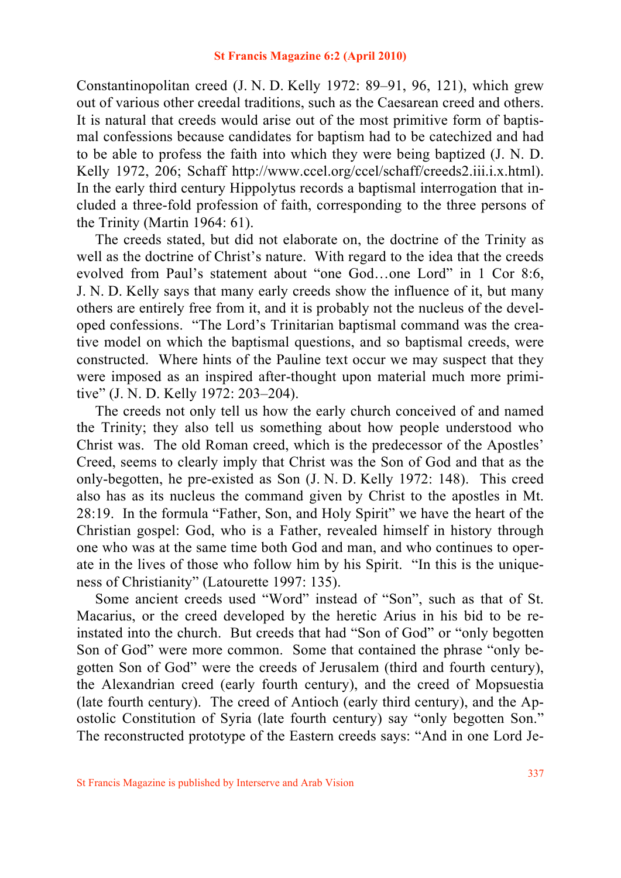Constantinopolitan creed (J. N. D. Kelly 1972: 89–91, 96, 121), which grew out of various other creedal traditions, such as the Caesarean creed and others. It is natural that creeds would arise out of the most primitive form of baptismal confessions because candidates for baptism had to be catechized and had to be able to profess the faith into which they were being baptized (J. N. D. Kelly 1972, 206; Schaff http://www.ccel.org/ccel/schaff/creeds2.iii.i.x.html). In the early third century Hippolytus records a baptismal interrogation that included a three-fold profession of faith, corresponding to the three persons of the Trinity (Martin 1964: 61).

 The creeds stated, but did not elaborate on, the doctrine of the Trinity as well as the doctrine of Christ's nature. With regard to the idea that the creeds evolved from Paul's statement about "one God…one Lord" in 1 Cor 8:6, J. N. D. Kelly says that many early creeds show the influence of it, but many others are entirely free from it, and it is probably not the nucleus of the developed confessions. "The Lord's Trinitarian baptismal command was the creative model on which the baptismal questions, and so baptismal creeds, were constructed. Where hints of the Pauline text occur we may suspect that they were imposed as an inspired after-thought upon material much more primitive" (J. N. D. Kelly 1972: 203–204).

 The creeds not only tell us how the early church conceived of and named the Trinity; they also tell us something about how people understood who Christ was. The old Roman creed, which is the predecessor of the Apostles' Creed, seems to clearly imply that Christ was the Son of God and that as the only-begotten, he pre-existed as Son (J. N. D. Kelly 1972: 148). This creed also has as its nucleus the command given by Christ to the apostles in Mt. 28:19. In the formula "Father, Son, and Holy Spirit" we have the heart of the Christian gospel: God, who is a Father, revealed himself in history through one who was at the same time both God and man, and who continues to operate in the lives of those who follow him by his Spirit. "In this is the uniqueness of Christianity" (Latourette 1997: 135).

 Some ancient creeds used "Word" instead of "Son", such as that of St. Macarius, or the creed developed by the heretic Arius in his bid to be reinstated into the church. But creeds that had "Son of God" or "only begotten Son of God" were more common. Some that contained the phrase "only begotten Son of God" were the creeds of Jerusalem (third and fourth century), the Alexandrian creed (early fourth century), and the creed of Mopsuestia (late fourth century). The creed of Antioch (early third century), and the Apostolic Constitution of Syria (late fourth century) say "only begotten Son." The reconstructed prototype of the Eastern creeds says: "And in one Lord Je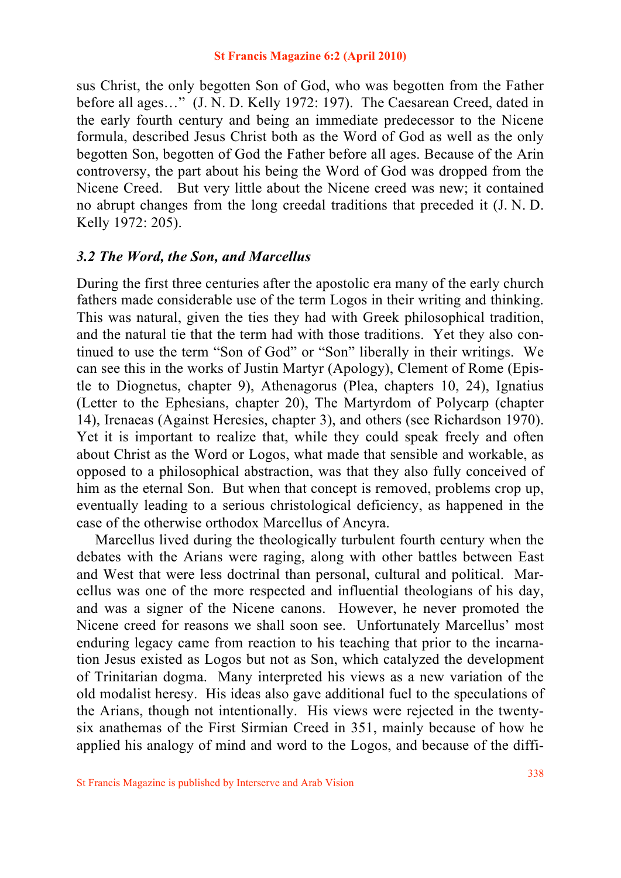sus Christ, the only begotten Son of God, who was begotten from the Father before all ages…" (J. N. D. Kelly 1972: 197). The Caesarean Creed, dated in the early fourth century and being an immediate predecessor to the Nicene formula, described Jesus Christ both as the Word of God as well as the only begotten Son, begotten of God the Father before all ages. Because of the Arin controversy, the part about his being the Word of God was dropped from the Nicene Creed. But very little about the Nicene creed was new; it contained no abrupt changes from the long creedal traditions that preceded it (J. N. D. Kelly 1972: 205).

## *3.2 The Word, the Son, and Marcellus*

During the first three centuries after the apostolic era many of the early church fathers made considerable use of the term Logos in their writing and thinking. This was natural, given the ties they had with Greek philosophical tradition, and the natural tie that the term had with those traditions. Yet they also continued to use the term "Son of God" or "Son" liberally in their writings. We can see this in the works of Justin Martyr (Apology), Clement of Rome (Epistle to Diognetus, chapter 9), Athenagorus (Plea, chapters 10, 24), Ignatius (Letter to the Ephesians, chapter 20), The Martyrdom of Polycarp (chapter 14), Irenaeas (Against Heresies, chapter 3), and others (see Richardson 1970). Yet it is important to realize that, while they could speak freely and often about Christ as the Word or Logos, what made that sensible and workable, as opposed to a philosophical abstraction, was that they also fully conceived of him as the eternal Son. But when that concept is removed, problems crop up, eventually leading to a serious christological deficiency, as happened in the case of the otherwise orthodox Marcellus of Ancyra.

 Marcellus lived during the theologically turbulent fourth century when the debates with the Arians were raging, along with other battles between East and West that were less doctrinal than personal, cultural and political. Marcellus was one of the more respected and influential theologians of his day, and was a signer of the Nicene canons. However, he never promoted the Nicene creed for reasons we shall soon see. Unfortunately Marcellus' most enduring legacy came from reaction to his teaching that prior to the incarnation Jesus existed as Logos but not as Son, which catalyzed the development of Trinitarian dogma. Many interpreted his views as a new variation of the old modalist heresy. His ideas also gave additional fuel to the speculations of the Arians, though not intentionally. His views were rejected in the twentysix anathemas of the First Sirmian Creed in 351, mainly because of how he applied his analogy of mind and word to the Logos, and because of the diffi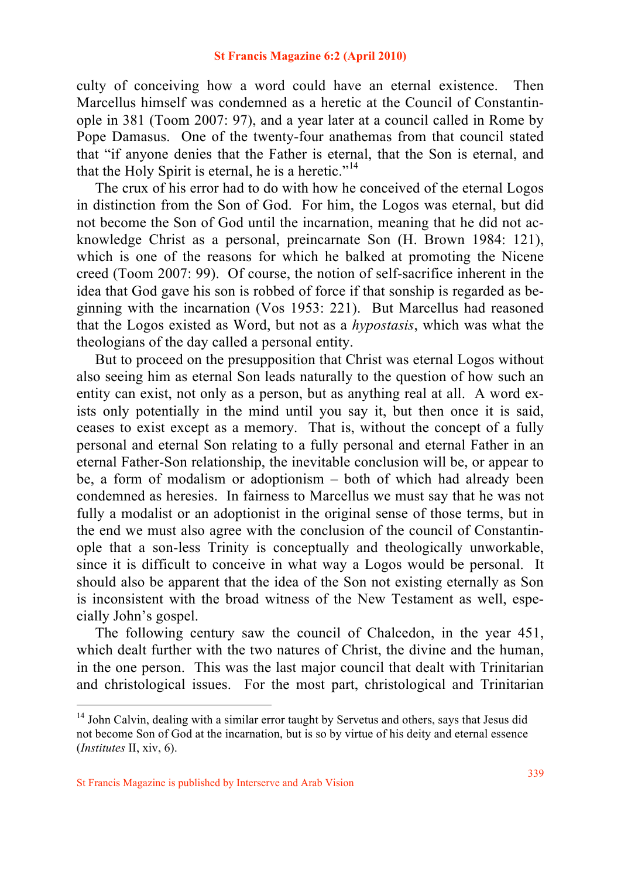culty of conceiving how a word could have an eternal existence. Then Marcellus himself was condemned as a heretic at the Council of Constantinople in 381 (Toom 2007: 97), and a year later at a council called in Rome by Pope Damasus. One of the twenty-four anathemas from that council stated that "if anyone denies that the Father is eternal, that the Son is eternal, and that the Holy Spirit is eternal, he is a heretic."<sup>14</sup>

 The crux of his error had to do with how he conceived of the eternal Logos in distinction from the Son of God. For him, the Logos was eternal, but did not become the Son of God until the incarnation, meaning that he did not acknowledge Christ as a personal, preincarnate Son (H. Brown 1984: 121), which is one of the reasons for which he balked at promoting the Nicene creed (Toom 2007: 99). Of course, the notion of self-sacrifice inherent in the idea that God gave his son is robbed of force if that sonship is regarded as beginning with the incarnation (Vos 1953: 221). But Marcellus had reasoned that the Logos existed as Word, but not as a *hypostasis*, which was what the theologians of the day called a personal entity.

 But to proceed on the presupposition that Christ was eternal Logos without also seeing him as eternal Son leads naturally to the question of how such an entity can exist, not only as a person, but as anything real at all. A word exists only potentially in the mind until you say it, but then once it is said, ceases to exist except as a memory. That is, without the concept of a fully personal and eternal Son relating to a fully personal and eternal Father in an eternal Father-Son relationship, the inevitable conclusion will be, or appear to be, a form of modalism or adoptionism – both of which had already been condemned as heresies. In fairness to Marcellus we must say that he was not fully a modalist or an adoptionist in the original sense of those terms, but in the end we must also agree with the conclusion of the council of Constantinople that a son-less Trinity is conceptually and theologically unworkable, since it is difficult to conceive in what way a Logos would be personal. It should also be apparent that the idea of the Son not existing eternally as Son is inconsistent with the broad witness of the New Testament as well, especially John's gospel.

 The following century saw the council of Chalcedon, in the year 451, which dealt further with the two natures of Christ, the divine and the human, in the one person. This was the last major council that dealt with Trinitarian and christological issues. For the most part, christological and Trinitarian

<sup>&</sup>lt;sup>14</sup> John Calvin, dealing with a similar error taught by Servetus and others, says that Jesus did not become Son of God at the incarnation, but is so by virtue of his deity and eternal essence (*Institutes* II, xiv, 6).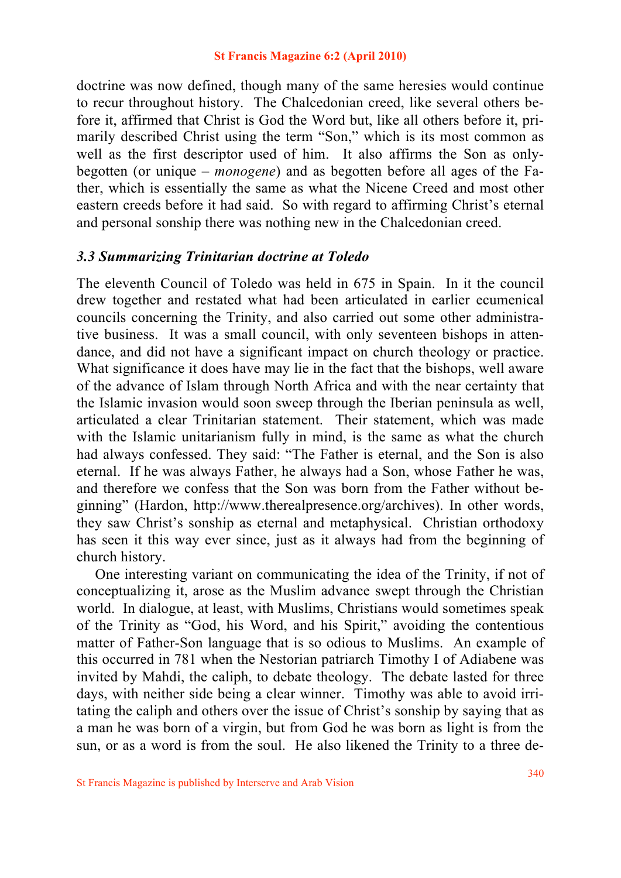doctrine was now defined, though many of the same heresies would continue to recur throughout history. The Chalcedonian creed, like several others before it, affirmed that Christ is God the Word but, like all others before it, primarily described Christ using the term "Son," which is its most common as well as the first descriptor used of him. It also affirms the Son as onlybegotten (or unique – *monogene*) and as begotten before all ages of the Father, which is essentially the same as what the Nicene Creed and most other eastern creeds before it had said. So with regard to affirming Christ's eternal and personal sonship there was nothing new in the Chalcedonian creed.

## *3.3 Summarizing Trinitarian doctrine at Toledo*

The eleventh Council of Toledo was held in 675 in Spain. In it the council drew together and restated what had been articulated in earlier ecumenical councils concerning the Trinity, and also carried out some other administrative business. It was a small council, with only seventeen bishops in attendance, and did not have a significant impact on church theology or practice. What significance it does have may lie in the fact that the bishops, well aware of the advance of Islam through North Africa and with the near certainty that the Islamic invasion would soon sweep through the Iberian peninsula as well, articulated a clear Trinitarian statement. Their statement, which was made with the Islamic unitarianism fully in mind, is the same as what the church had always confessed. They said: "The Father is eternal, and the Son is also eternal. If he was always Father, he always had a Son, whose Father he was, and therefore we confess that the Son was born from the Father without beginning" (Hardon, http://www.therealpresence.org/archives). In other words, they saw Christ's sonship as eternal and metaphysical. Christian orthodoxy has seen it this way ever since, just as it always had from the beginning of church history.

 One interesting variant on communicating the idea of the Trinity, if not of conceptualizing it, arose as the Muslim advance swept through the Christian world. In dialogue, at least, with Muslims, Christians would sometimes speak of the Trinity as "God, his Word, and his Spirit," avoiding the contentious matter of Father-Son language that is so odious to Muslims. An example of this occurred in 781 when the Nestorian patriarch Timothy I of Adiabene was invited by Mahdi, the caliph, to debate theology. The debate lasted for three days, with neither side being a clear winner. Timothy was able to avoid irritating the caliph and others over the issue of Christ's sonship by saying that as a man he was born of a virgin, but from God he was born as light is from the sun, or as a word is from the soul. He also likened the Trinity to a three de-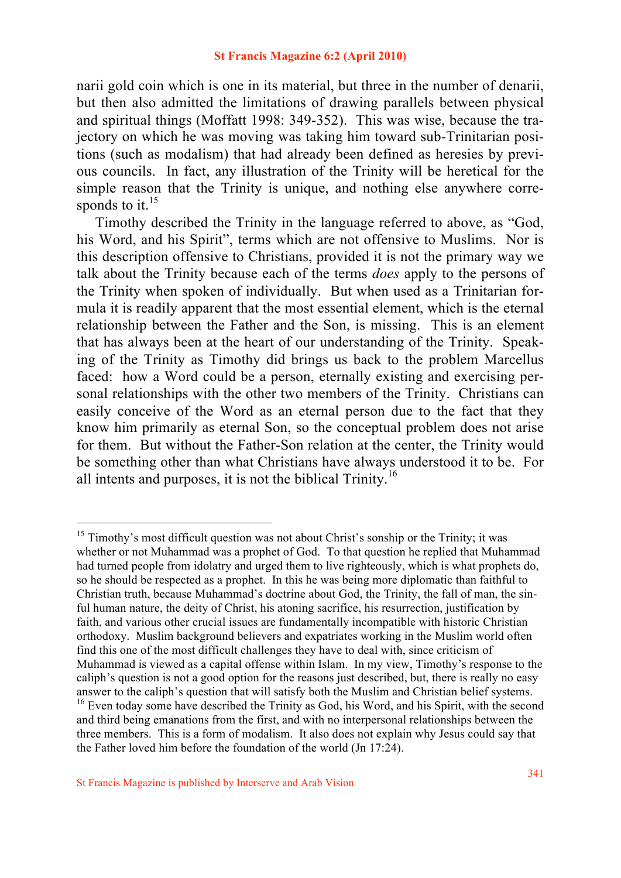narii gold coin which is one in its material, but three in the number of denarii, but then also admitted the limitations of drawing parallels between physical and spiritual things (Moffatt 1998: 349-352). This was wise, because the trajectory on which he was moving was taking him toward sub-Trinitarian positions (such as modalism) that had already been defined as heresies by previous councils. In fact, any illustration of the Trinity will be heretical for the simple reason that the Trinity is unique, and nothing else anywhere corresponds to it.  $15$ 

 Timothy described the Trinity in the language referred to above, as "God, his Word, and his Spirit", terms which are not offensive to Muslims. Nor is this description offensive to Christians, provided it is not the primary way we talk about the Trinity because each of the terms *does* apply to the persons of the Trinity when spoken of individually. But when used as a Trinitarian formula it is readily apparent that the most essential element, which is the eternal relationship between the Father and the Son, is missing. This is an element that has always been at the heart of our understanding of the Trinity. Speaking of the Trinity as Timothy did brings us back to the problem Marcellus faced: how a Word could be a person, eternally existing and exercising personal relationships with the other two members of the Trinity. Christians can easily conceive of the Word as an eternal person due to the fact that they know him primarily as eternal Son, so the conceptual problem does not arise for them. But without the Father-Son relation at the center, the Trinity would be something other than what Christians have always understood it to be. For all intents and purposes, it is not the biblical Trinity.16

 $15$  Timothy's most difficult question was not about Christ's sonship or the Trinity; it was whether or not Muhammad was a prophet of God. To that question he replied that Muhammad had turned people from idolatry and urged them to live righteously, which is what prophets do, so he should be respected as a prophet. In this he was being more diplomatic than faithful to Christian truth, because Muhammad's doctrine about God, the Trinity, the fall of man, the sinful human nature, the deity of Christ, his atoning sacrifice, his resurrection, justification by faith, and various other crucial issues are fundamentally incompatible with historic Christian orthodoxy. Muslim background believers and expatriates working in the Muslim world often find this one of the most difficult challenges they have to deal with, since criticism of Muhammad is viewed as a capital offense within Islam. In my view, Timothy's response to the caliph's question is not a good option for the reasons just described, but, there is really no easy answer to the caliph's question that will satisfy both the Muslim and Christian belief systems.  $16$  Even today some have described the Trinity as God, his Word, and his Spirit, with the second and third being emanations from the first, and with no interpersonal relationships between the three members. This is a form of modalism. It also does not explain why Jesus could say that the Father loved him before the foundation of the world (Jn 17:24).

St Francis Magazine is published by Interserve and Arab Vision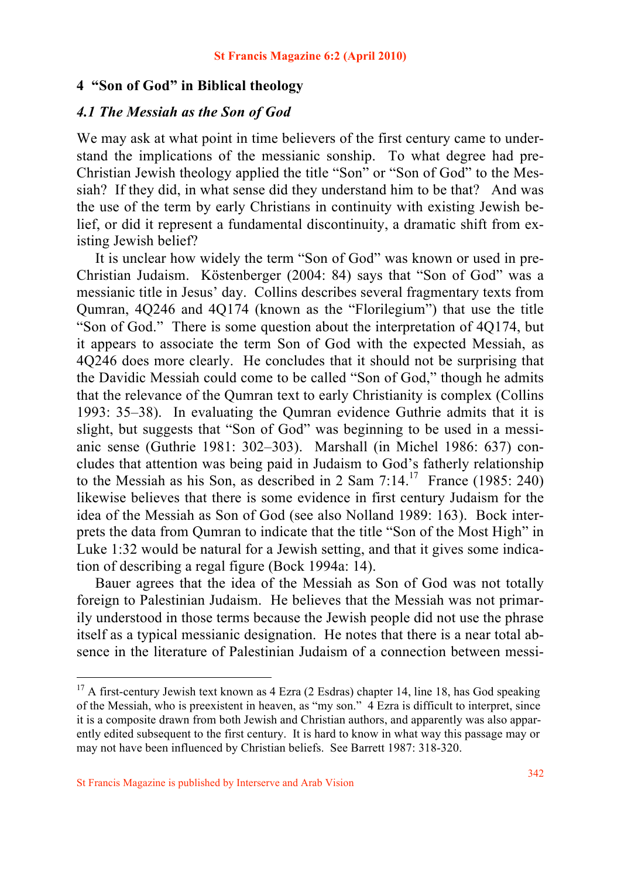### **4 "Son of God" in Biblical theology**

### *4.1 The Messiah as the Son of God*

We may ask at what point in time believers of the first century came to understand the implications of the messianic sonship. To what degree had pre-Christian Jewish theology applied the title "Son" or "Son of God" to the Messiah? If they did, in what sense did they understand him to be that? And was the use of the term by early Christians in continuity with existing Jewish belief, or did it represent a fundamental discontinuity, a dramatic shift from existing Jewish belief?

 It is unclear how widely the term "Son of God" was known or used in pre-Christian Judaism. Köstenberger (2004: 84) says that "Son of God" was a messianic title in Jesus' day. Collins describes several fragmentary texts from Qumran, 4Q246 and 4Q174 (known as the "Florilegium") that use the title "Son of God." There is some question about the interpretation of 4Q174, but it appears to associate the term Son of God with the expected Messiah, as 4Q246 does more clearly. He concludes that it should not be surprising that the Davidic Messiah could come to be called "Son of God," though he admits that the relevance of the Qumran text to early Christianity is complex (Collins 1993: 35–38). In evaluating the Qumran evidence Guthrie admits that it is slight, but suggests that "Son of God" was beginning to be used in a messianic sense (Guthrie 1981: 302–303). Marshall (in Michel 1986: 637) concludes that attention was being paid in Judaism to God's fatherly relationship to the Messiah as his Son, as described in 2 Sam  $7:14^{17}$  France (1985: 240) likewise believes that there is some evidence in first century Judaism for the idea of the Messiah as Son of God (see also Nolland 1989: 163). Bock interprets the data from Qumran to indicate that the title "Son of the Most High" in Luke 1:32 would be natural for a Jewish setting, and that it gives some indication of describing a regal figure (Bock 1994a: 14).

 Bauer agrees that the idea of the Messiah as Son of God was not totally foreign to Palestinian Judaism. He believes that the Messiah was not primarily understood in those terms because the Jewish people did not use the phrase itself as a typical messianic designation. He notes that there is a near total absence in the literature of Palestinian Judaism of a connection between messi-

<sup>&</sup>lt;sup>17</sup> A first-century Jewish text known as 4 Ezra (2 Esdras) chapter 14, line 18, has God speaking of the Messiah, who is preexistent in heaven, as "my son." 4 Ezra is difficult to interpret, since it is a composite drawn from both Jewish and Christian authors, and apparently was also apparently edited subsequent to the first century. It is hard to know in what way this passage may or may not have been influenced by Christian beliefs. See Barrett 1987: 318-320.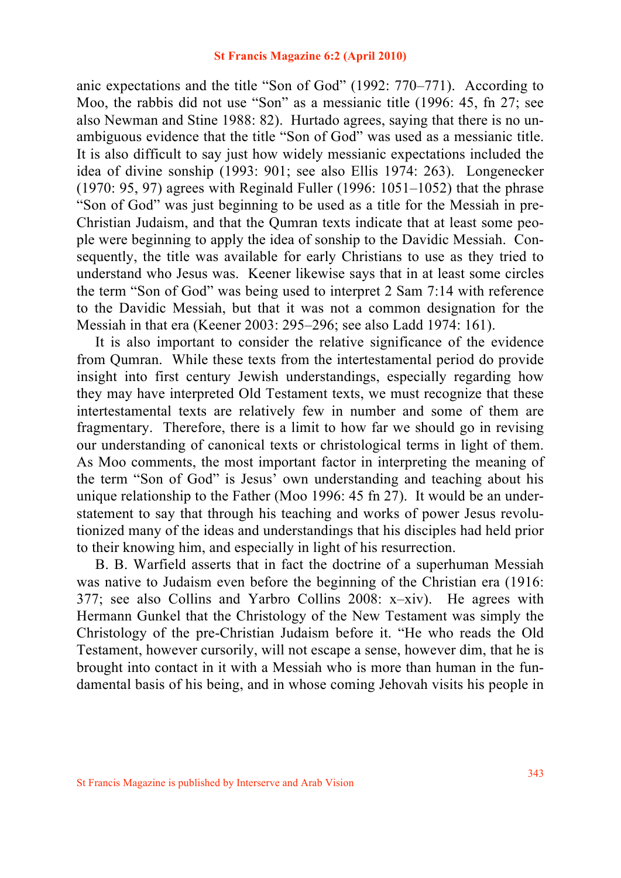anic expectations and the title "Son of God" (1992: 770–771). According to Moo, the rabbis did not use "Son" as a messianic title (1996: 45, fn 27; see also Newman and Stine 1988: 82). Hurtado agrees, saying that there is no unambiguous evidence that the title "Son of God" was used as a messianic title. It is also difficult to say just how widely messianic expectations included the idea of divine sonship (1993: 901; see also Ellis 1974: 263). Longenecker (1970: 95, 97) agrees with Reginald Fuller (1996: 1051–1052) that the phrase "Son of God" was just beginning to be used as a title for the Messiah in pre-Christian Judaism, and that the Qumran texts indicate that at least some people were beginning to apply the idea of sonship to the Davidic Messiah. Consequently, the title was available for early Christians to use as they tried to understand who Jesus was. Keener likewise says that in at least some circles the term "Son of God" was being used to interpret 2 Sam 7:14 with reference to the Davidic Messiah, but that it was not a common designation for the Messiah in that era (Keener 2003: 295–296; see also Ladd 1974: 161).

 It is also important to consider the relative significance of the evidence from Qumran. While these texts from the intertestamental period do provide insight into first century Jewish understandings, especially regarding how they may have interpreted Old Testament texts, we must recognize that these intertestamental texts are relatively few in number and some of them are fragmentary. Therefore, there is a limit to how far we should go in revising our understanding of canonical texts or christological terms in light of them. As Moo comments, the most important factor in interpreting the meaning of the term "Son of God" is Jesus' own understanding and teaching about his unique relationship to the Father (Moo 1996: 45 fn 27). It would be an understatement to say that through his teaching and works of power Jesus revolutionized many of the ideas and understandings that his disciples had held prior to their knowing him, and especially in light of his resurrection.

 B. B. Warfield asserts that in fact the doctrine of a superhuman Messiah was native to Judaism even before the beginning of the Christian era (1916: 377; see also Collins and Yarbro Collins 2008: x–xiv). He agrees with Hermann Gunkel that the Christology of the New Testament was simply the Christology of the pre-Christian Judaism before it. "He who reads the Old Testament, however cursorily, will not escape a sense, however dim, that he is brought into contact in it with a Messiah who is more than human in the fundamental basis of his being, and in whose coming Jehovah visits his people in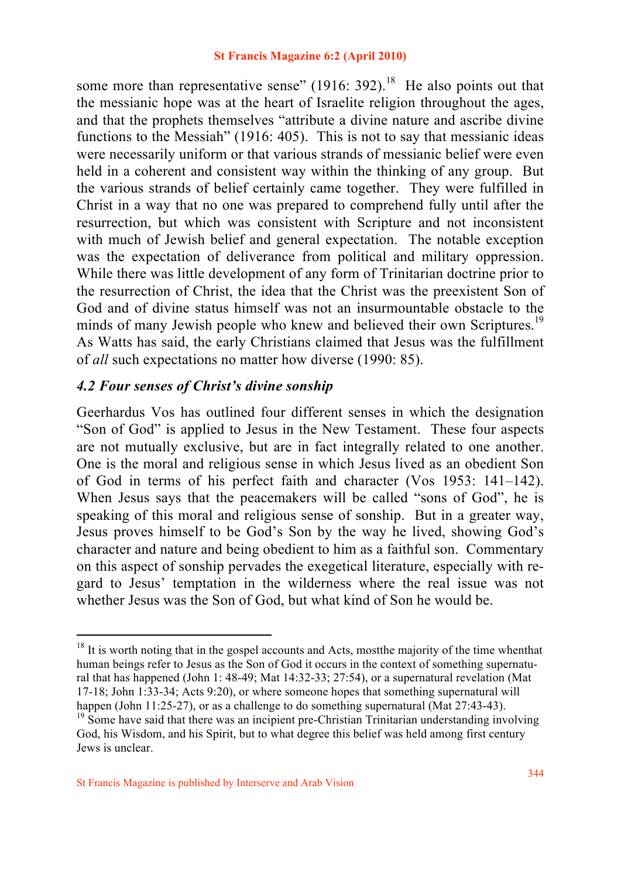some more than representative sense" (1916: 392).<sup>18</sup> He also points out that the messianic hope was at the heart of Israelite religion throughout the ages, and that the prophets themselves "attribute a divine nature and ascribe divine functions to the Messiah" (1916: 405). This is not to say that messianic ideas were necessarily uniform or that various strands of messianic belief were even held in a coherent and consistent way within the thinking of any group. But the various strands of belief certainly came together. They were fulfilled in Christ in a way that no one was prepared to comprehend fully until after the resurrection, but which was consistent with Scripture and not inconsistent with much of Jewish belief and general expectation. The notable exception was the expectation of deliverance from political and military oppression. While there was little development of any form of Trinitarian doctrine prior to the resurrection of Christ, the idea that the Christ was the preexistent Son of God and of divine status himself was not an insurmountable obstacle to the minds of many Jewish people who knew and believed their own Scriptures.<sup>19</sup> As Watts has said, the early Christians claimed that Jesus was the fulfillment of *all* such expectations no matter how diverse (1990: 85).

## *4.2 Four senses of Christ's divine sonship*

Geerhardus Vos has outlined four different senses in which the designation "Son of God" is applied to Jesus in the New Testament. These four aspects are not mutually exclusive, but are in fact integrally related to one another. One is the moral and religious sense in which Jesus lived as an obedient Son of God in terms of his perfect faith and character (Vos 1953: 141–142). When Jesus says that the peacemakers will be called "sons of God", he is speaking of this moral and religious sense of sonship. But in a greater way, Jesus proves himself to be God's Son by the way he lived, showing God's character and nature and being obedient to him as a faithful son. Commentary on this aspect of sonship pervades the exegetical literature, especially with regard to Jesus' temptation in the wilderness where the real issue was not whether Jesus was the Son of God, but what kind of Son he would be.

<sup>&</sup>lt;sup>18</sup> It is worth noting that in the gospel accounts and Acts, most the majority of the time whenthat human beings refer to Jesus as the Son of God it occurs in the context of something supernatural that has happened (John 1: 48-49; Mat 14:32-33; 27:54), or a supernatural revelation (Mat 17-18; John 1:33-34; Acts 9:20), or where someone hopes that something supernatural will happen (John 11:25-27), or as a challenge to do something supernatural (Mat 27:43-43).

 $\frac{19}{2}$  Some have said that there was an incipient pre-Christian Trinitarian understanding involving God, his Wisdom, and his Spirit, but to what degree this belief was held among first century Jews is unclear.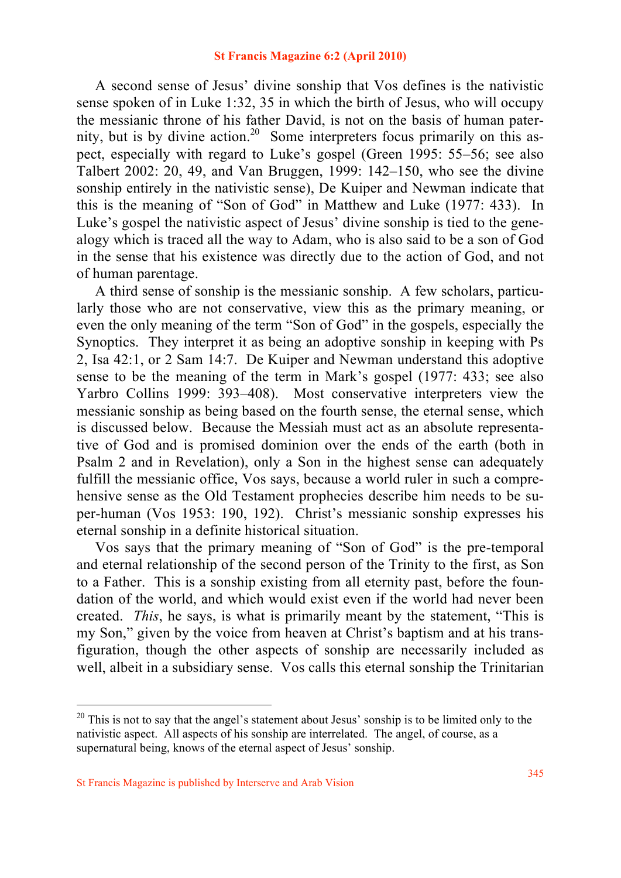A second sense of Jesus' divine sonship that Vos defines is the nativistic sense spoken of in Luke 1:32, 35 in which the birth of Jesus, who will occupy the messianic throne of his father David, is not on the basis of human paternity, but is by divine action.<sup>20</sup> Some interpreters focus primarily on this aspect, especially with regard to Luke's gospel (Green 1995: 55–56; see also Talbert 2002: 20, 49, and Van Bruggen, 1999: 142–150, who see the divine sonship entirely in the nativistic sense), De Kuiper and Newman indicate that this is the meaning of "Son of God" in Matthew and Luke (1977: 433). In Luke's gospel the nativistic aspect of Jesus' divine sonship is tied to the genealogy which is traced all the way to Adam, who is also said to be a son of God in the sense that his existence was directly due to the action of God, and not of human parentage.

 A third sense of sonship is the messianic sonship. A few scholars, particularly those who are not conservative, view this as the primary meaning, or even the only meaning of the term "Son of God" in the gospels, especially the Synoptics. They interpret it as being an adoptive sonship in keeping with Ps 2, Isa 42:1, or 2 Sam 14:7. De Kuiper and Newman understand this adoptive sense to be the meaning of the term in Mark's gospel (1977: 433; see also Yarbro Collins 1999: 393–408). Most conservative interpreters view the messianic sonship as being based on the fourth sense, the eternal sense, which is discussed below. Because the Messiah must act as an absolute representative of God and is promised dominion over the ends of the earth (both in Psalm 2 and in Revelation), only a Son in the highest sense can adequately fulfill the messianic office, Vos says, because a world ruler in such a comprehensive sense as the Old Testament prophecies describe him needs to be super-human (Vos 1953: 190, 192). Christ's messianic sonship expresses his eternal sonship in a definite historical situation.

 Vos says that the primary meaning of "Son of God" is the pre-temporal and eternal relationship of the second person of the Trinity to the first, as Son to a Father. This is a sonship existing from all eternity past, before the foundation of the world, and which would exist even if the world had never been created. *This*, he says, is what is primarily meant by the statement, "This is my Son," given by the voice from heaven at Christ's baptism and at his transfiguration, though the other aspects of sonship are necessarily included as well, albeit in a subsidiary sense. Vos calls this eternal sonship the Trinitarian

 $20$  This is not to say that the angel's statement about Jesus' sonship is to be limited only to the nativistic aspect. All aspects of his sonship are interrelated. The angel, of course, as a supernatural being, knows of the eternal aspect of Jesus' sonship.

St Francis Magazine is published by Interserve and Arab Vision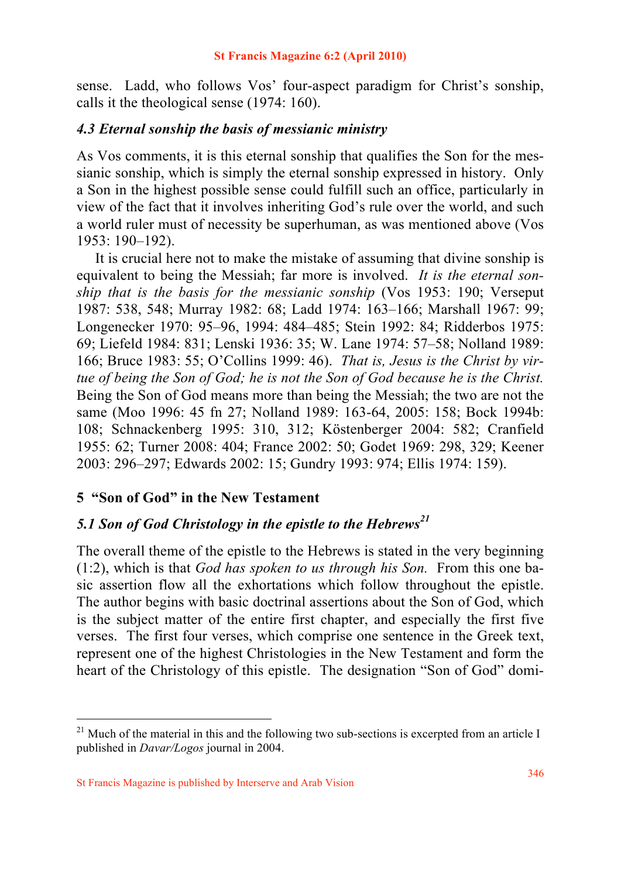sense. Ladd, who follows Vos' four-aspect paradigm for Christ's sonship, calls it the theological sense (1974: 160).

## *4.3 Eternal sonship the basis of messianic ministry*

As Vos comments, it is this eternal sonship that qualifies the Son for the messianic sonship, which is simply the eternal sonship expressed in history. Only a Son in the highest possible sense could fulfill such an office, particularly in view of the fact that it involves inheriting God's rule over the world, and such a world ruler must of necessity be superhuman, as was mentioned above (Vos 1953: 190–192).

 It is crucial here not to make the mistake of assuming that divine sonship is equivalent to being the Messiah; far more is involved. *It is the eternal sonship that is the basis for the messianic sonship* (Vos 1953: 190; Verseput 1987: 538, 548; Murray 1982: 68; Ladd 1974: 163–166; Marshall 1967: 99; Longenecker 1970: 95–96, 1994: 484–485; Stein 1992: 84; Ridderbos 1975: 69; Liefeld 1984: 831; Lenski 1936: 35; W. Lane 1974: 57–58; Nolland 1989: 166; Bruce 1983: 55; O'Collins 1999: 46). *That is, Jesus is the Christ by virtue of being the Son of God; he is not the Son of God because he is the Christ.*  Being the Son of God means more than being the Messiah; the two are not the same (Moo 1996: 45 fn 27; Nolland 1989: 163-64, 2005: 158; Bock 1994b: 108; Schnackenberg 1995: 310, 312; Köstenberger 2004: 582; Cranfield 1955: 62; Turner 2008: 404; France 2002: 50; Godet 1969: 298, 329; Keener 2003: 296–297; Edwards 2002: 15; Gundry 1993: 974; Ellis 1974: 159).

# **5 "Son of God" in the New Testament**

# *5.1 Son of God Christology in the epistle to the Hebrews<sup>21</sup>*

The overall theme of the epistle to the Hebrews is stated in the very beginning (1:2), which is that *God has spoken to us through his Son.* From this one basic assertion flow all the exhortations which follow throughout the epistle. The author begins with basic doctrinal assertions about the Son of God, which is the subject matter of the entire first chapter, and especially the first five verses. The first four verses, which comprise one sentence in the Greek text, represent one of the highest Christologies in the New Testament and form the heart of the Christology of this epistle. The designation "Son of God" domi-

<sup>&</sup>lt;sup>21</sup> Much of the material in this and the following two sub-sections is excerpted from an article I published in *Davar/Logos* journal in 2004.

St Francis Magazine is published by Interserve and Arab Vision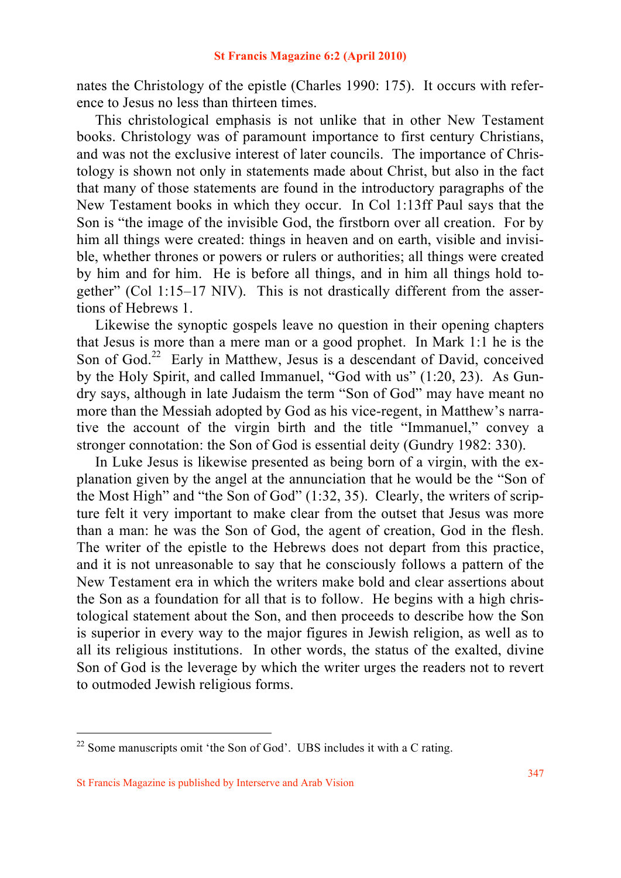nates the Christology of the epistle (Charles 1990: 175). It occurs with reference to Jesus no less than thirteen times.

 This christological emphasis is not unlike that in other New Testament books. Christology was of paramount importance to first century Christians, and was not the exclusive interest of later councils. The importance of Christology is shown not only in statements made about Christ, but also in the fact that many of those statements are found in the introductory paragraphs of the New Testament books in which they occur. In Col 1:13ff Paul says that the Son is "the image of the invisible God, the firstborn over all creation. For by him all things were created: things in heaven and on earth, visible and invisible, whether thrones or powers or rulers or authorities; all things were created by him and for him. He is before all things, and in him all things hold together" (Col 1:15–17 NIV). This is not drastically different from the assertions of Hebrews 1.

 Likewise the synoptic gospels leave no question in their opening chapters that Jesus is more than a mere man or a good prophet. In Mark 1:1 he is the Son of God.<sup>22</sup> Early in Matthew, Jesus is a descendant of David, conceived by the Holy Spirit, and called Immanuel, "God with us" (1:20, 23). As Gundry says, although in late Judaism the term "Son of God" may have meant no more than the Messiah adopted by God as his vice-regent, in Matthew's narrative the account of the virgin birth and the title "Immanuel," convey a stronger connotation: the Son of God is essential deity (Gundry 1982: 330).

 In Luke Jesus is likewise presented as being born of a virgin, with the explanation given by the angel at the annunciation that he would be the "Son of the Most High" and "the Son of God" (1:32, 35). Clearly, the writers of scripture felt it very important to make clear from the outset that Jesus was more than a man: he was the Son of God, the agent of creation, God in the flesh. The writer of the epistle to the Hebrews does not depart from this practice, and it is not unreasonable to say that he consciously follows a pattern of the New Testament era in which the writers make bold and clear assertions about the Son as a foundation for all that is to follow. He begins with a high christological statement about the Son, and then proceeds to describe how the Son is superior in every way to the major figures in Jewish religion, as well as to all its religious institutions. In other words, the status of the exalted, divine Son of God is the leverage by which the writer urges the readers not to revert to outmoded Jewish religious forms.

 $22$  Some manuscripts omit 'the Son of God'. UBS includes it with a C rating.

St Francis Magazine is published by Interserve and Arab Vision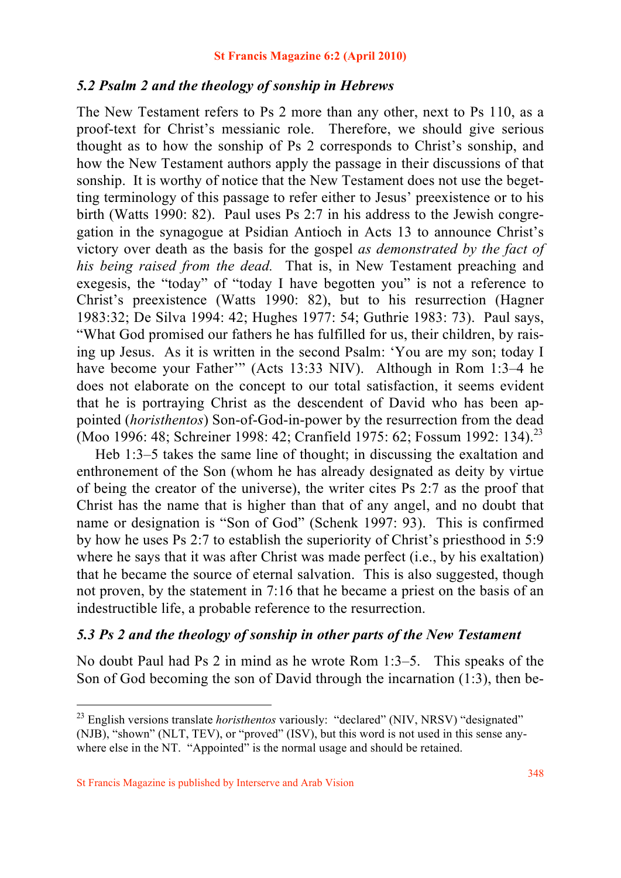### *5.2 Psalm 2 and the theology of sonship in Hebrews*

The New Testament refers to Ps 2 more than any other, next to Ps 110, as a proof-text for Christ's messianic role. Therefore, we should give serious thought as to how the sonship of Ps 2 corresponds to Christ's sonship, and how the New Testament authors apply the passage in their discussions of that sonship. It is worthy of notice that the New Testament does not use the begetting terminology of this passage to refer either to Jesus' preexistence or to his birth (Watts 1990: 82). Paul uses Ps 2:7 in his address to the Jewish congregation in the synagogue at Psidian Antioch in Acts 13 to announce Christ's victory over death as the basis for the gospel *as demonstrated by the fact of his being raised from the dead.* That is, in New Testament preaching and exegesis, the "today" of "today I have begotten you" is not a reference to Christ's preexistence (Watts 1990: 82), but to his resurrection (Hagner 1983:32; De Silva 1994: 42; Hughes 1977: 54; Guthrie 1983: 73). Paul says, "What God promised our fathers he has fulfilled for us, their children, by raising up Jesus. As it is written in the second Psalm: 'You are my son; today I have become your Father'" (Acts 13:33 NIV). Although in Rom 1:3–4 he does not elaborate on the concept to our total satisfaction, it seems evident that he is portraying Christ as the descendent of David who has been appointed (*horisthentos*) Son-of-God-in-power by the resurrection from the dead (Moo 1996: 48; Schreiner 1998: 42; Cranfield 1975: 62; Fossum 1992: 134).<sup>23</sup>

 Heb 1:3–5 takes the same line of thought; in discussing the exaltation and enthronement of the Son (whom he has already designated as deity by virtue of being the creator of the universe), the writer cites Ps 2:7 as the proof that Christ has the name that is higher than that of any angel, and no doubt that name or designation is "Son of God" (Schenk 1997: 93). This is confirmed by how he uses Ps 2:7 to establish the superiority of Christ's priesthood in 5:9 where he says that it was after Christ was made perfect (i.e., by his exaltation) that he became the source of eternal salvation. This is also suggested, though not proven, by the statement in 7:16 that he became a priest on the basis of an indestructible life, a probable reference to the resurrection.

## *5.3 Ps 2 and the theology of sonship in other parts of the New Testament*

No doubt Paul had Ps 2 in mind as he wrote Rom 1:3–5. This speaks of the Son of God becoming the son of David through the incarnation (1:3), then be-

<sup>23</sup> English versions translate *horisthentos* variously: "declared" (NIV, NRSV) "designated" (NJB), "shown" (NLT, TEV), or "proved" (ISV), but this word is not used in this sense anywhere else in the NT. "Appointed" is the normal usage and should be retained.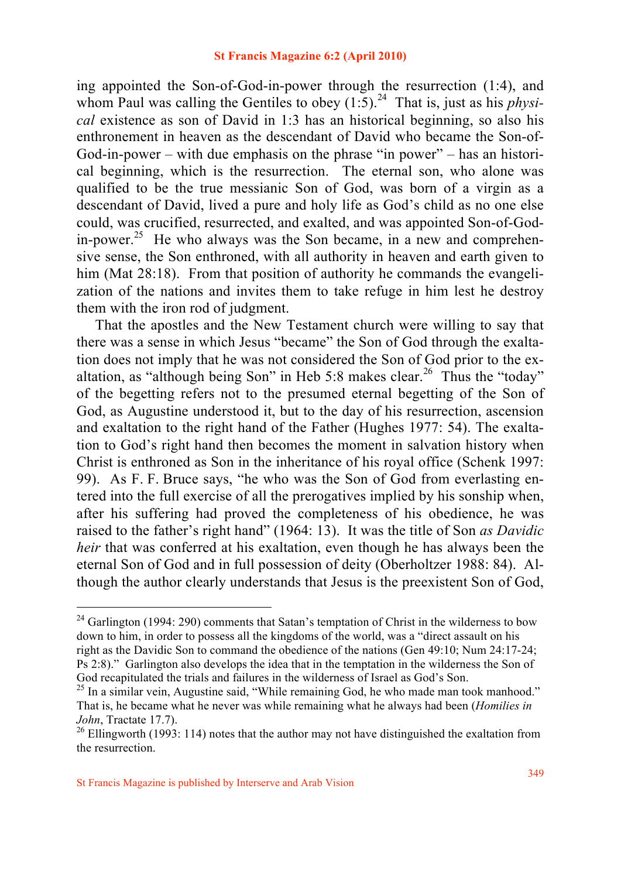ing appointed the Son-of-God-in-power through the resurrection (1:4), and whom Paul was calling the Gentiles to obey  $(1.5)$ .<sup>24</sup> That is, just as his *physical* existence as son of David in 1:3 has an historical beginning, so also his enthronement in heaven as the descendant of David who became the Son-of-God-in-power – with due emphasis on the phrase "in power" – has an historical beginning, which is the resurrection. The eternal son, who alone was qualified to be the true messianic Son of God, was born of a virgin as a descendant of David, lived a pure and holy life as God's child as no one else could, was crucified, resurrected, and exalted, and was appointed Son-of-Godin-power.<sup>25</sup> He who always was the Son became, in a new and comprehensive sense, the Son enthroned, with all authority in heaven and earth given to him (Mat 28:18). From that position of authority he commands the evangelization of the nations and invites them to take refuge in him lest he destroy them with the iron rod of judgment.

 That the apostles and the New Testament church were willing to say that there was a sense in which Jesus "became" the Son of God through the exaltation does not imply that he was not considered the Son of God prior to the exaltation, as "although being Son" in Heb 5:8 makes clear.<sup>26</sup> Thus the "today" of the begetting refers not to the presumed eternal begetting of the Son of God, as Augustine understood it, but to the day of his resurrection, ascension and exaltation to the right hand of the Father (Hughes 1977: 54). The exaltation to God's right hand then becomes the moment in salvation history when Christ is enthroned as Son in the inheritance of his royal office (Schenk 1997: 99). As F. F. Bruce says, "he who was the Son of God from everlasting entered into the full exercise of all the prerogatives implied by his sonship when, after his suffering had proved the completeness of his obedience, he was raised to the father's right hand" (1964: 13). It was the title of Son *as Davidic heir* that was conferred at his exaltation, even though he has always been the eternal Son of God and in full possession of deity (Oberholtzer 1988: 84). Although the author clearly understands that Jesus is the preexistent Son of God,

<sup>&</sup>lt;sup>24</sup> Garlington (1994: 290) comments that Satan's temptation of Christ in the wilderness to bow down to him, in order to possess all the kingdoms of the world, was a "direct assault on his right as the Davidic Son to command the obedience of the nations (Gen 49:10; Num 24:17-24; Ps 2:8)." Garlington also develops the idea that in the temptation in the wilderness the Son of God recapitulated the trials and failures in the wilderness of Israel as God's Son.<br><sup>25</sup> In a similar vein, Augustine said, "While remaining God, he who made man took manhood."

That is, he became what he never was while remaining what he always had been (*Homilies in John*, Tractate 17.7).<br><sup>26</sup> Ellingworth (1993: 114) notes that the author may not have distinguished the exaltation from

the resurrection.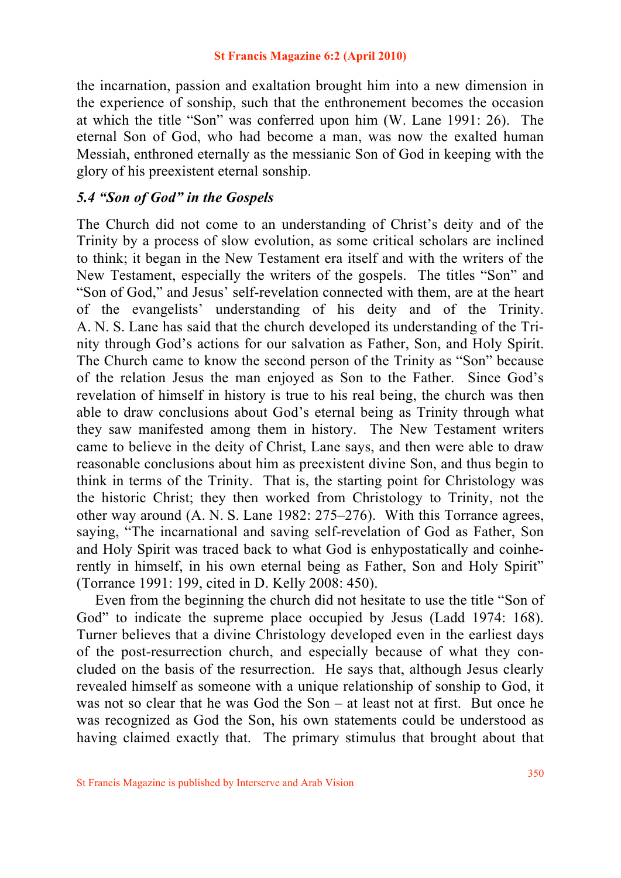the incarnation, passion and exaltation brought him into a new dimension in the experience of sonship, such that the enthronement becomes the occasion at which the title "Son" was conferred upon him (W. Lane 1991: 26). The eternal Son of God, who had become a man, was now the exalted human Messiah, enthroned eternally as the messianic Son of God in keeping with the glory of his preexistent eternal sonship.

## *5.4 "Son of God" in the Gospels*

The Church did not come to an understanding of Christ's deity and of the Trinity by a process of slow evolution, as some critical scholars are inclined to think; it began in the New Testament era itself and with the writers of the New Testament, especially the writers of the gospels. The titles "Son" and "Son of God," and Jesus' self-revelation connected with them, are at the heart of the evangelists' understanding of his deity and of the Trinity. A. N. S. Lane has said that the church developed its understanding of the Trinity through God's actions for our salvation as Father, Son, and Holy Spirit. The Church came to know the second person of the Trinity as "Son" because of the relation Jesus the man enjoyed as Son to the Father. Since God's revelation of himself in history is true to his real being, the church was then able to draw conclusions about God's eternal being as Trinity through what they saw manifested among them in history. The New Testament writers came to believe in the deity of Christ, Lane says, and then were able to draw reasonable conclusions about him as preexistent divine Son, and thus begin to think in terms of the Trinity. That is, the starting point for Christology was the historic Christ; they then worked from Christology to Trinity, not the other way around (A. N. S. Lane 1982: 275–276). With this Torrance agrees, saying, "The incarnational and saving self-revelation of God as Father, Son and Holy Spirit was traced back to what God is enhypostatically and coinherently in himself, in his own eternal being as Father, Son and Holy Spirit" (Torrance 1991: 199, cited in D. Kelly 2008: 450).

 Even from the beginning the church did not hesitate to use the title "Son of God" to indicate the supreme place occupied by Jesus (Ladd 1974: 168). Turner believes that a divine Christology developed even in the earliest days of the post-resurrection church, and especially because of what they concluded on the basis of the resurrection. He says that, although Jesus clearly revealed himself as someone with a unique relationship of sonship to God, it was not so clear that he was God the Son – at least not at first. But once he was recognized as God the Son, his own statements could be understood as having claimed exactly that. The primary stimulus that brought about that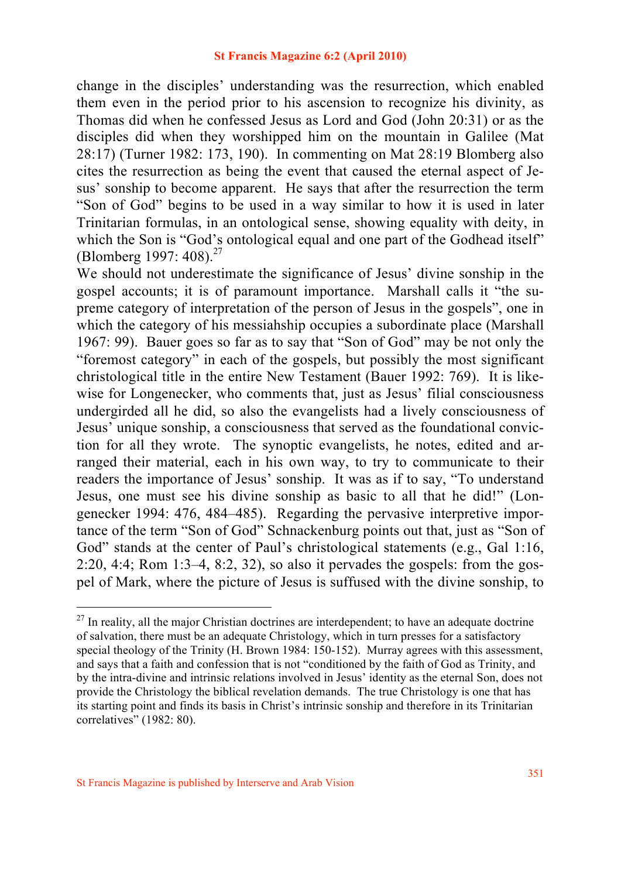change in the disciples' understanding was the resurrection, which enabled them even in the period prior to his ascension to recognize his divinity, as Thomas did when he confessed Jesus as Lord and God (John 20:31) or as the disciples did when they worshipped him on the mountain in Galilee (Mat 28:17) (Turner 1982: 173, 190). In commenting on Mat 28:19 Blomberg also cites the resurrection as being the event that caused the eternal aspect of Jesus' sonship to become apparent. He says that after the resurrection the term "Son of God" begins to be used in a way similar to how it is used in later Trinitarian formulas, in an ontological sense, showing equality with deity, in which the Son is "God's ontological equal and one part of the Godhead itself" (Blomberg 1997: 408).<sup>27</sup>

We should not underestimate the significance of Jesus' divine sonship in the gospel accounts; it is of paramount importance. Marshall calls it "the supreme category of interpretation of the person of Jesus in the gospels", one in which the category of his messiahship occupies a subordinate place (Marshall 1967: 99). Bauer goes so far as to say that "Son of God" may be not only the "foremost category" in each of the gospels, but possibly the most significant christological title in the entire New Testament (Bauer 1992: 769). It is likewise for Longenecker, who comments that, just as Jesus' filial consciousness undergirded all he did, so also the evangelists had a lively consciousness of Jesus' unique sonship, a consciousness that served as the foundational conviction for all they wrote. The synoptic evangelists, he notes, edited and arranged their material, each in his own way, to try to communicate to their readers the importance of Jesus' sonship. It was as if to say, "To understand Jesus, one must see his divine sonship as basic to all that he did!" (Longenecker 1994: 476, 484–485). Regarding the pervasive interpretive importance of the term "Son of God" Schnackenburg points out that, just as "Son of God" stands at the center of Paul's christological statements (e.g., Gal 1:16, 2:20, 4:4; Rom 1:3–4, 8:2, 32), so also it pervades the gospels: from the gospel of Mark, where the picture of Jesus is suffused with the divine sonship, to

 $27$  In reality, all the major Christian doctrines are interdependent; to have an adequate doctrine of salvation, there must be an adequate Christology, which in turn presses for a satisfactory special theology of the Trinity (H. Brown 1984: 150-152). Murray agrees with this assessment, and says that a faith and confession that is not "conditioned by the faith of God as Trinity, and by the intra-divine and intrinsic relations involved in Jesus' identity as the eternal Son, does not provide the Christology the biblical revelation demands. The true Christology is one that has its starting point and finds its basis in Christ's intrinsic sonship and therefore in its Trinitarian correlatives" (1982: 80).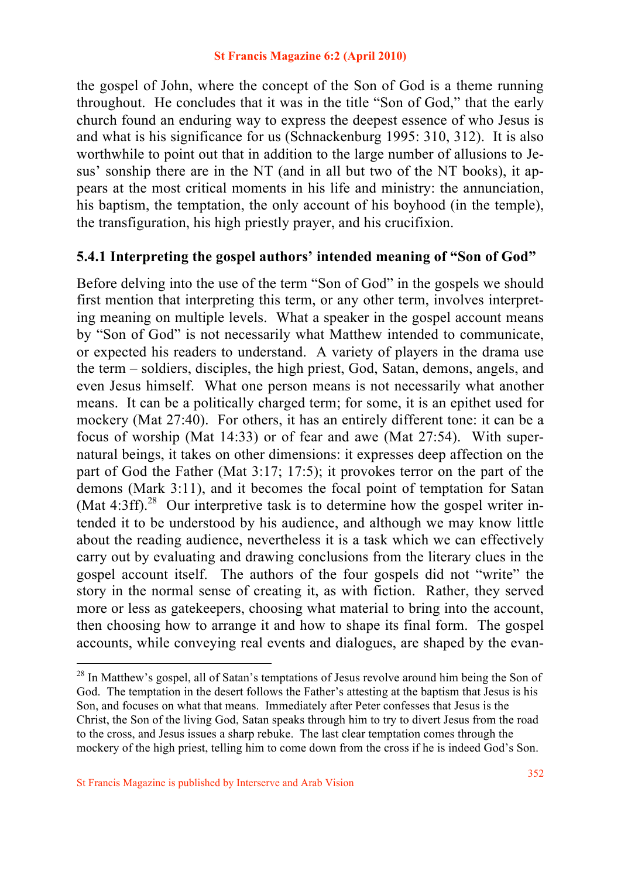the gospel of John, where the concept of the Son of God is a theme running throughout. He concludes that it was in the title "Son of God," that the early church found an enduring way to express the deepest essence of who Jesus is and what is his significance for us (Schnackenburg 1995: 310, 312). It is also worthwhile to point out that in addition to the large number of allusions to Jesus' sonship there are in the NT (and in all but two of the NT books), it appears at the most critical moments in his life and ministry: the annunciation, his baptism, the temptation, the only account of his boyhood (in the temple), the transfiguration, his high priestly prayer, and his crucifixion.

## **5.4.1 Interpreting the gospel authors' intended meaning of "Son of God"**

Before delving into the use of the term "Son of God" in the gospels we should first mention that interpreting this term, or any other term, involves interpreting meaning on multiple levels. What a speaker in the gospel account means by "Son of God" is not necessarily what Matthew intended to communicate, or expected his readers to understand. A variety of players in the drama use the term – soldiers, disciples, the high priest, God, Satan, demons, angels, and even Jesus himself. What one person means is not necessarily what another means. It can be a politically charged term; for some, it is an epithet used for mockery (Mat 27:40). For others, it has an entirely different tone: it can be a focus of worship (Mat 14:33) or of fear and awe (Mat 27:54). With supernatural beings, it takes on other dimensions: it expresses deep affection on the part of God the Father (Mat 3:17; 17:5); it provokes terror on the part of the demons (Mark 3:11), and it becomes the focal point of temptation for Satan (Mat 4:3ff).<sup>28</sup> Our interpretive task is to determine how the gospel writer intended it to be understood by his audience, and although we may know little about the reading audience, nevertheless it is a task which we can effectively carry out by evaluating and drawing conclusions from the literary clues in the gospel account itself. The authors of the four gospels did not "write" the story in the normal sense of creating it, as with fiction. Rather, they served more or less as gatekeepers, choosing what material to bring into the account, then choosing how to arrange it and how to shape its final form. The gospel accounts, while conveying real events and dialogues, are shaped by the evan-

<sup>&</sup>lt;sup>28</sup> In Matthew's gospel, all of Satan's temptations of Jesus revolve around him being the Son of God. The temptation in the desert follows the Father's attesting at the baptism that Jesus is his Son, and focuses on what that means. Immediately after Peter confesses that Jesus is the Christ, the Son of the living God, Satan speaks through him to try to divert Jesus from the road to the cross, and Jesus issues a sharp rebuke. The last clear temptation comes through the mockery of the high priest, telling him to come down from the cross if he is indeed God's Son.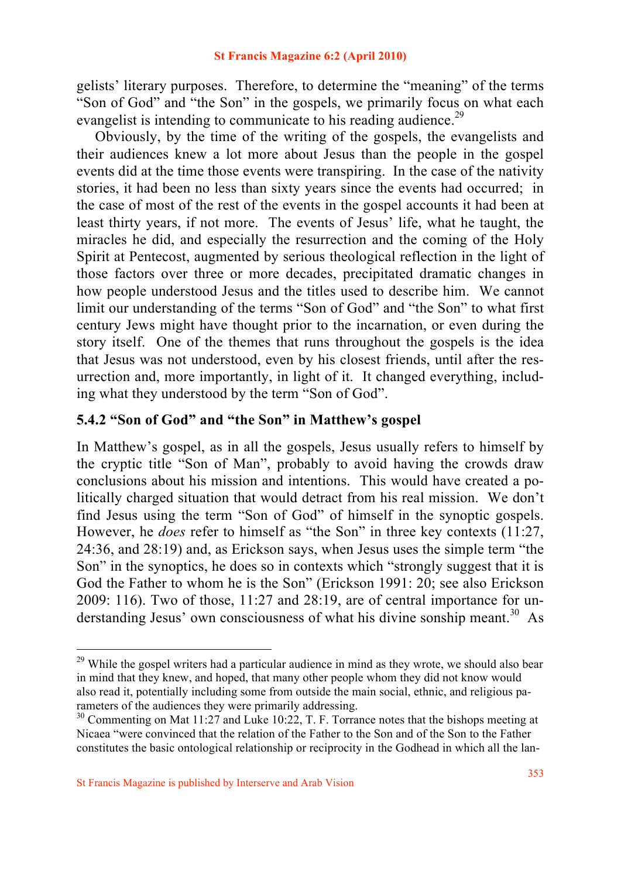gelists' literary purposes. Therefore, to determine the "meaning" of the terms "Son of God" and "the Son" in the gospels, we primarily focus on what each evangelist is intending to communicate to his reading audience.<sup>29</sup>

 Obviously, by the time of the writing of the gospels, the evangelists and their audiences knew a lot more about Jesus than the people in the gospel events did at the time those events were transpiring. In the case of the nativity stories, it had been no less than sixty years since the events had occurred; in the case of most of the rest of the events in the gospel accounts it had been at least thirty years, if not more. The events of Jesus' life, what he taught, the miracles he did, and especially the resurrection and the coming of the Holy Spirit at Pentecost, augmented by serious theological reflection in the light of those factors over three or more decades, precipitated dramatic changes in how people understood Jesus and the titles used to describe him. We cannot limit our understanding of the terms "Son of God" and "the Son" to what first century Jews might have thought prior to the incarnation, or even during the story itself. One of the themes that runs throughout the gospels is the idea that Jesus was not understood, even by his closest friends, until after the resurrection and, more importantly, in light of it. It changed everything, including what they understood by the term "Son of God".

## **5.4.2 "Son of God" and "the Son" in Matthew's gospel**

In Matthew's gospel, as in all the gospels, Jesus usually refers to himself by the cryptic title "Son of Man", probably to avoid having the crowds draw conclusions about his mission and intentions. This would have created a politically charged situation that would detract from his real mission. We don't find Jesus using the term "Son of God" of himself in the synoptic gospels. However, he *does* refer to himself as "the Son" in three key contexts (11:27, 24:36, and 28:19) and, as Erickson says, when Jesus uses the simple term "the Son" in the synoptics, he does so in contexts which "strongly suggest that it is God the Father to whom he is the Son" (Erickson 1991: 20; see also Erickson 2009: 116). Two of those, 11:27 and 28:19, are of central importance for understanding Jesus' own consciousness of what his divine sonship meant.<sup>30</sup> As

<sup>&</sup>lt;sup>29</sup> While the gospel writers had a particular audience in mind as they wrote, we should also bear in mind that they knew, and hoped, that many other people whom they did not know would also read it, potentially including some from outside the main social, ethnic, and religious parameters of the audiences they were primarily addressing.

<sup>&</sup>lt;sup>30</sup> Commenting on Mat 11:27 and Luke 10:22, T. F. Torrance notes that the bishops meeting at Nicaea "were convinced that the relation of the Father to the Son and of the Son to the Father constitutes the basic ontological relationship or reciprocity in the Godhead in which all the lan-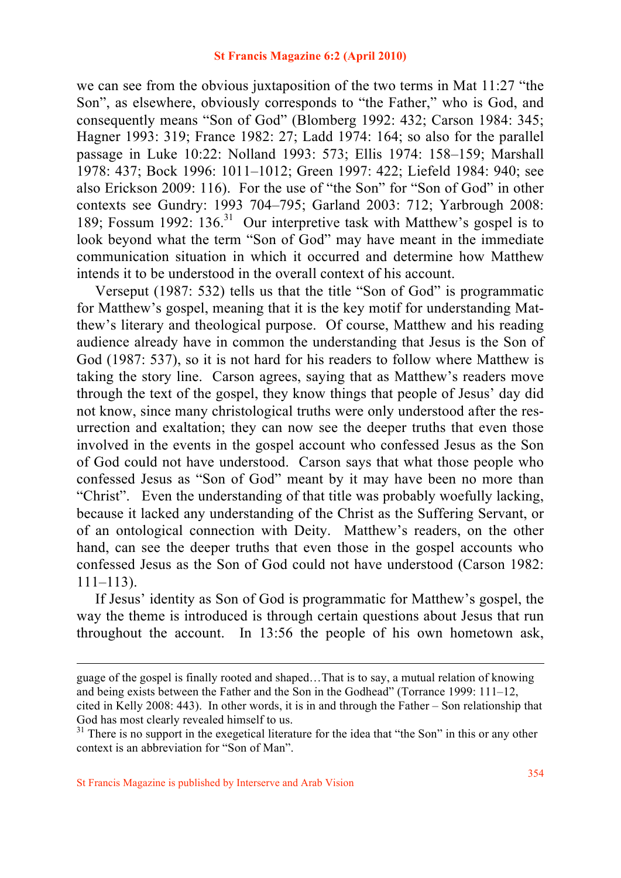we can see from the obvious juxtaposition of the two terms in Mat 11:27 "the Son", as elsewhere, obviously corresponds to "the Father," who is God, and consequently means "Son of God" (Blomberg 1992: 432; Carson 1984: 345; Hagner 1993: 319; France 1982: 27; Ladd 1974: 164; so also for the parallel passage in Luke 10:22: Nolland 1993: 573; Ellis 1974: 158–159; Marshall 1978: 437; Bock 1996: 1011–1012; Green 1997: 422; Liefeld 1984: 940; see also Erickson 2009: 116). For the use of "the Son" for "Son of God" in other contexts see Gundry: 1993 704–795; Garland 2003: 712; Yarbrough 2008: 189; Fossum 1992: 136.<sup>31</sup> Our interpretive task with Matthew's gospel is to look beyond what the term "Son of God" may have meant in the immediate communication situation in which it occurred and determine how Matthew intends it to be understood in the overall context of his account.

 Verseput (1987: 532) tells us that the title "Son of God" is programmatic for Matthew's gospel, meaning that it is the key motif for understanding Matthew's literary and theological purpose. Of course, Matthew and his reading audience already have in common the understanding that Jesus is the Son of God (1987: 537), so it is not hard for his readers to follow where Matthew is taking the story line. Carson agrees, saying that as Matthew's readers move through the text of the gospel, they know things that people of Jesus' day did not know, since many christological truths were only understood after the resurrection and exaltation; they can now see the deeper truths that even those involved in the events in the gospel account who confessed Jesus as the Son of God could not have understood. Carson says that what those people who confessed Jesus as "Son of God" meant by it may have been no more than "Christ". Even the understanding of that title was probably woefully lacking, because it lacked any understanding of the Christ as the Suffering Servant, or of an ontological connection with Deity. Matthew's readers, on the other hand, can see the deeper truths that even those in the gospel accounts who confessed Jesus as the Son of God could not have understood (Carson 1982: 111–113).

 If Jesus' identity as Son of God is programmatic for Matthew's gospel, the way the theme is introduced is through certain questions about Jesus that run throughout the account. In 13:56 the people of his own hometown ask,

guage of the gospel is finally rooted and shaped…That is to say, a mutual relation of knowing and being exists between the Father and the Son in the Godhead" (Torrance 1999: 111–12, cited in Kelly 2008: 443). In other words, it is in and through the Father – Son relationship that God has most clearly revealed himself to us.

<sup>&</sup>lt;sup>31</sup> There is no support in the exegetical literature for the idea that "the Son" in this or any other context is an abbreviation for "Son of Man".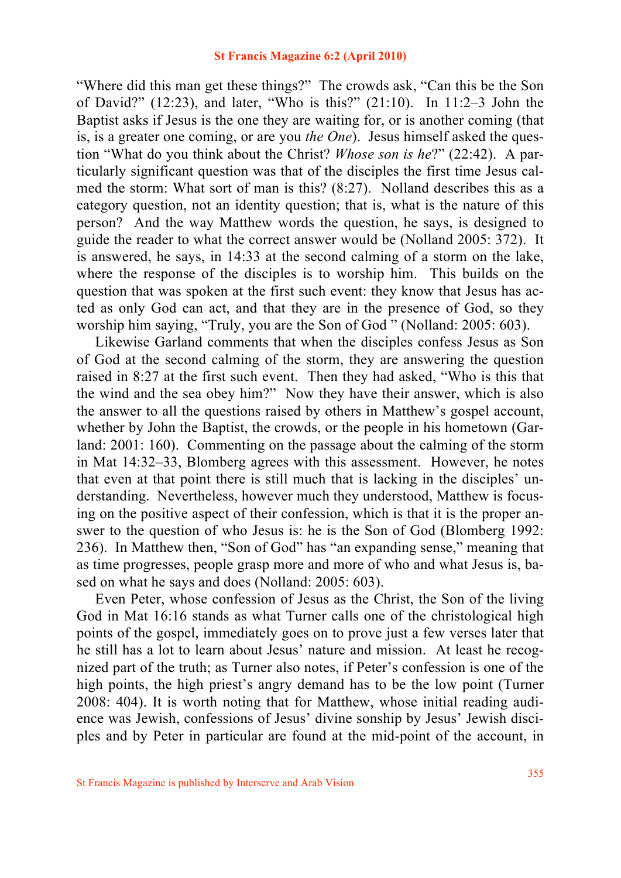"Where did this man get these things?" The crowds ask, "Can this be the Son of David?" (12:23), and later, "Who is this?" (21:10). In 11:2–3 John the Baptist asks if Jesus is the one they are waiting for, or is another coming (that is, is a greater one coming, or are you *the One*). Jesus himself asked the question "What do you think about the Christ? *Whose son is he*?" (22:42). A particularly significant question was that of the disciples the first time Jesus calmed the storm: What sort of man is this? (8:27). Nolland describes this as a category question, not an identity question; that is, what is the nature of this person? And the way Matthew words the question, he says, is designed to guide the reader to what the correct answer would be (Nolland 2005: 372). It is answered, he says, in 14:33 at the second calming of a storm on the lake, where the response of the disciples is to worship him. This builds on the question that was spoken at the first such event: they know that Jesus has acted as only God can act, and that they are in the presence of God, so they worship him saying, "Truly, you are the Son of God " (Nolland: 2005: 603).

 Likewise Garland comments that when the disciples confess Jesus as Son of God at the second calming of the storm, they are answering the question raised in 8:27 at the first such event. Then they had asked, "Who is this that the wind and the sea obey him?" Now they have their answer, which is also the answer to all the questions raised by others in Matthew's gospel account, whether by John the Baptist, the crowds, or the people in his hometown (Garland: 2001: 160). Commenting on the passage about the calming of the storm in Mat 14:32–33, Blomberg agrees with this assessment. However, he notes that even at that point there is still much that is lacking in the disciples' understanding. Nevertheless, however much they understood, Matthew is focusing on the positive aspect of their confession, which is that it is the proper answer to the question of who Jesus is: he is the Son of God (Blomberg 1992: 236). In Matthew then, "Son of God" has "an expanding sense," meaning that as time progresses, people grasp more and more of who and what Jesus is, based on what he says and does (Nolland: 2005: 603).

 Even Peter, whose confession of Jesus as the Christ, the Son of the living God in Mat 16:16 stands as what Turner calls one of the christological high points of the gospel, immediately goes on to prove just a few verses later that he still has a lot to learn about Jesus' nature and mission. At least he recognized part of the truth; as Turner also notes, if Peter's confession is one of the high points, the high priest's angry demand has to be the low point (Turner 2008: 404). It is worth noting that for Matthew, whose initial reading audience was Jewish, confessions of Jesus' divine sonship by Jesus' Jewish disciples and by Peter in particular are found at the mid-point of the account, in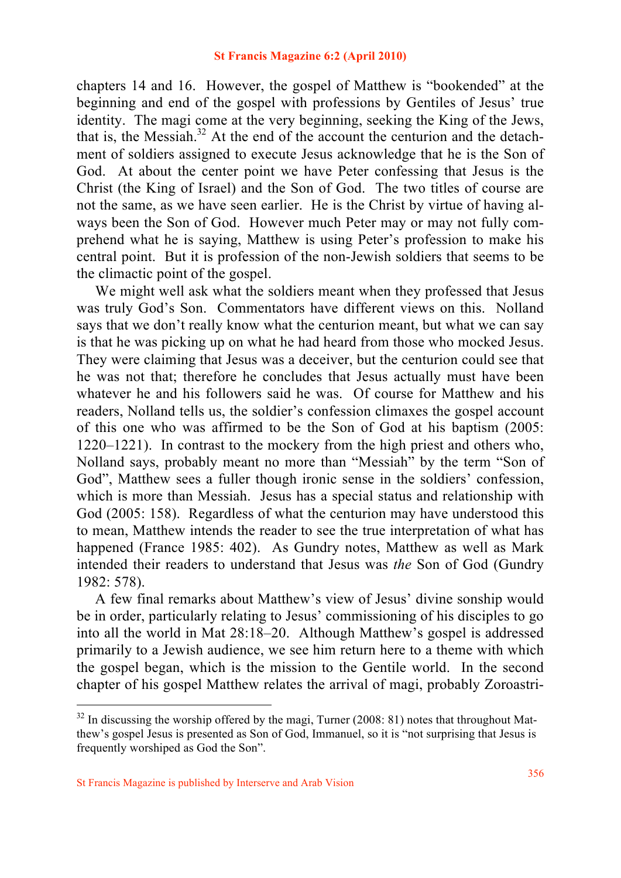chapters 14 and 16. However, the gospel of Matthew is "bookended" at the beginning and end of the gospel with professions by Gentiles of Jesus' true identity. The magi come at the very beginning, seeking the King of the Jews, that is, the Messiah. $32$  At the end of the account the centurion and the detachment of soldiers assigned to execute Jesus acknowledge that he is the Son of God. At about the center point we have Peter confessing that Jesus is the Christ (the King of Israel) and the Son of God. The two titles of course are not the same, as we have seen earlier. He is the Christ by virtue of having always been the Son of God. However much Peter may or may not fully comprehend what he is saying, Matthew is using Peter's profession to make his central point. But it is profession of the non-Jewish soldiers that seems to be the climactic point of the gospel.

We might well ask what the soldiers meant when they professed that Jesus was truly God's Son. Commentators have different views on this. Nolland says that we don't really know what the centurion meant, but what we can say is that he was picking up on what he had heard from those who mocked Jesus. They were claiming that Jesus was a deceiver, but the centurion could see that he was not that; therefore he concludes that Jesus actually must have been whatever he and his followers said he was. Of course for Matthew and his readers, Nolland tells us, the soldier's confession climaxes the gospel account of this one who was affirmed to be the Son of God at his baptism (2005: 1220–1221). In contrast to the mockery from the high priest and others who, Nolland says, probably meant no more than "Messiah" by the term "Son of God", Matthew sees a fuller though ironic sense in the soldiers' confession, which is more than Messiah. Jesus has a special status and relationship with God (2005: 158). Regardless of what the centurion may have understood this to mean, Matthew intends the reader to see the true interpretation of what has happened (France 1985: 402). As Gundry notes, Matthew as well as Mark intended their readers to understand that Jesus was *the* Son of God (Gundry 1982: 578).

 A few final remarks about Matthew's view of Jesus' divine sonship would be in order, particularly relating to Jesus' commissioning of his disciples to go into all the world in Mat 28:18–20. Although Matthew's gospel is addressed primarily to a Jewish audience, we see him return here to a theme with which the gospel began, which is the mission to the Gentile world. In the second chapter of his gospel Matthew relates the arrival of magi, probably Zoroastri-

 $32$  In discussing the worship offered by the magi, Turner (2008: 81) notes that throughout Matthew's gospel Jesus is presented as Son of God, Immanuel, so it is "not surprising that Jesus is frequently worshiped as God the Son".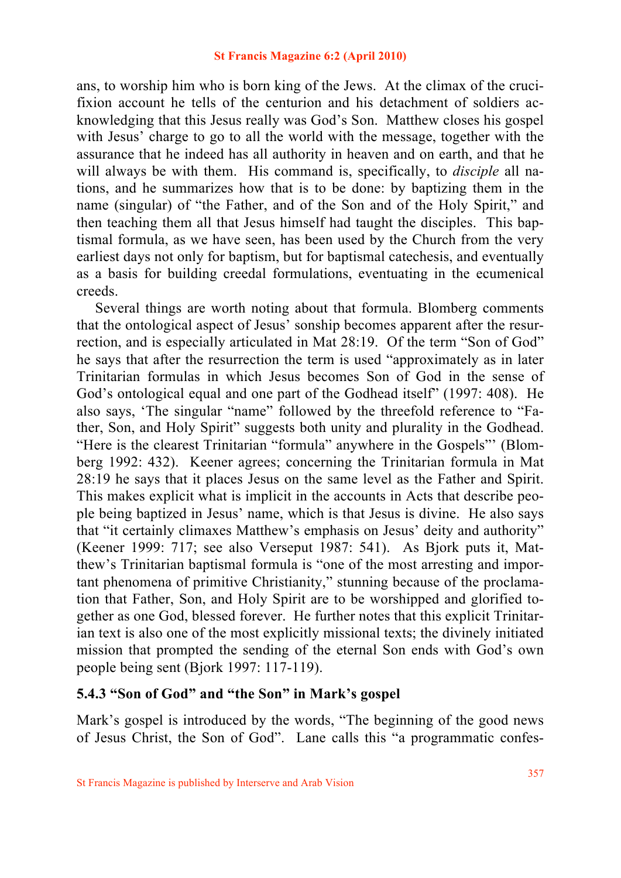ans, to worship him who is born king of the Jews. At the climax of the crucifixion account he tells of the centurion and his detachment of soldiers acknowledging that this Jesus really was God's Son. Matthew closes his gospel with Jesus' charge to go to all the world with the message, together with the assurance that he indeed has all authority in heaven and on earth, and that he will always be with them. His command is, specifically, to *disciple* all nations, and he summarizes how that is to be done: by baptizing them in the name (singular) of "the Father, and of the Son and of the Holy Spirit," and then teaching them all that Jesus himself had taught the disciples. This baptismal formula, as we have seen, has been used by the Church from the very earliest days not only for baptism, but for baptismal catechesis, and eventually as a basis for building creedal formulations, eventuating in the ecumenical creeds.

 Several things are worth noting about that formula. Blomberg comments that the ontological aspect of Jesus' sonship becomes apparent after the resurrection, and is especially articulated in Mat 28:19. Of the term "Son of God" he says that after the resurrection the term is used "approximately as in later Trinitarian formulas in which Jesus becomes Son of God in the sense of God's ontological equal and one part of the Godhead itself" (1997: 408). He also says, 'The singular "name" followed by the threefold reference to "Father, Son, and Holy Spirit" suggests both unity and plurality in the Godhead. "Here is the clearest Trinitarian "formula" anywhere in the Gospels"' (Blomberg 1992: 432). Keener agrees; concerning the Trinitarian formula in Mat 28:19 he says that it places Jesus on the same level as the Father and Spirit. This makes explicit what is implicit in the accounts in Acts that describe people being baptized in Jesus' name, which is that Jesus is divine. He also says that "it certainly climaxes Matthew's emphasis on Jesus' deity and authority" (Keener 1999: 717; see also Verseput 1987: 541). As Bjork puts it, Matthew's Trinitarian baptismal formula is "one of the most arresting and important phenomena of primitive Christianity," stunning because of the proclamation that Father, Son, and Holy Spirit are to be worshipped and glorified together as one God, blessed forever. He further notes that this explicit Trinitarian text is also one of the most explicitly missional texts; the divinely initiated mission that prompted the sending of the eternal Son ends with God's own people being sent (Bjork 1997: 117-119).

# **5.4.3 "Son of God" and "the Son" in Mark's gospel**

Mark's gospel is introduced by the words, "The beginning of the good news of Jesus Christ, the Son of God". Lane calls this "a programmatic confes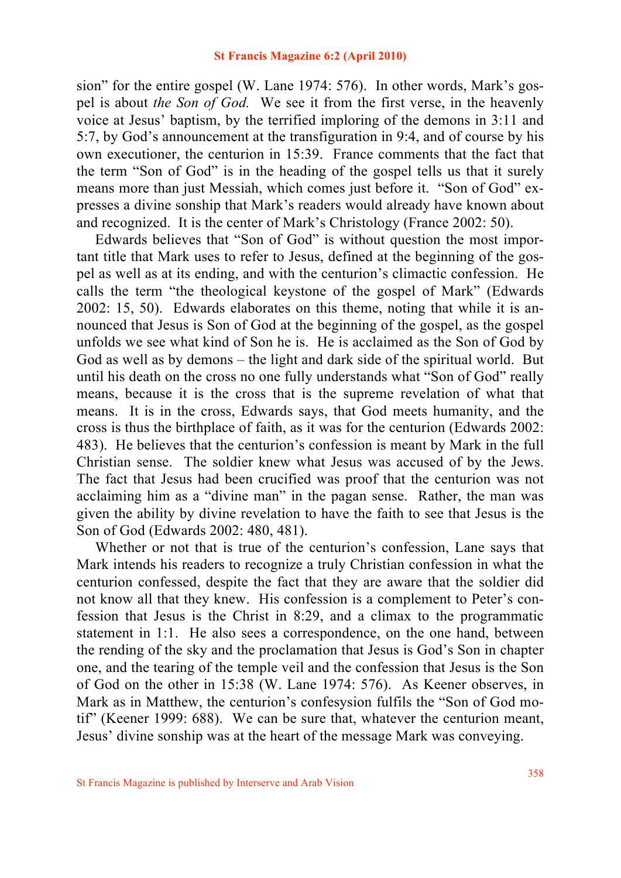sion" for the entire gospel (W. Lane 1974: 576). In other words, Mark's gospel is about *the Son of God.* We see it from the first verse, in the heavenly voice at Jesus' baptism, by the terrified imploring of the demons in 3:11 and 5:7, by God's announcement at the transfiguration in 9:4, and of course by his own executioner, the centurion in 15:39. France comments that the fact that the term "Son of God" is in the heading of the gospel tells us that it surely means more than just Messiah, which comes just before it. "Son of God" expresses a divine sonship that Mark's readers would already have known about and recognized. It is the center of Mark's Christology (France 2002: 50).

 Edwards believes that "Son of God" is without question the most important title that Mark uses to refer to Jesus, defined at the beginning of the gospel as well as at its ending, and with the centurion's climactic confession. He calls the term "the theological keystone of the gospel of Mark" (Edwards 2002: 15, 50). Edwards elaborates on this theme, noting that while it is announced that Jesus is Son of God at the beginning of the gospel, as the gospel unfolds we see what kind of Son he is. He is acclaimed as the Son of God by God as well as by demons – the light and dark side of the spiritual world. But until his death on the cross no one fully understands what "Son of God" really means, because it is the cross that is the supreme revelation of what that means. It is in the cross, Edwards says, that God meets humanity, and the cross is thus the birthplace of faith, as it was for the centurion (Edwards 2002: 483). He believes that the centurion's confession is meant by Mark in the full Christian sense. The soldier knew what Jesus was accused of by the Jews. The fact that Jesus had been crucified was proof that the centurion was not acclaiming him as a "divine man" in the pagan sense. Rather, the man was given the ability by divine revelation to have the faith to see that Jesus is the Son of God (Edwards 2002: 480, 481).

 Whether or not that is true of the centurion's confession, Lane says that Mark intends his readers to recognize a truly Christian confession in what the centurion confessed, despite the fact that they are aware that the soldier did not know all that they knew. His confession is a complement to Peter's confession that Jesus is the Christ in 8:29, and a climax to the programmatic statement in 1:1. He also sees a correspondence, on the one hand, between the rending of the sky and the proclamation that Jesus is God's Son in chapter one, and the tearing of the temple veil and the confession that Jesus is the Son of God on the other in 15:38 (W. Lane 1974: 576). As Keener observes, in Mark as in Matthew, the centurion's confesysion fulfils the "Son of God motif" (Keener 1999: 688). We can be sure that, whatever the centurion meant, Jesus' divine sonship was at the heart of the message Mark was conveying.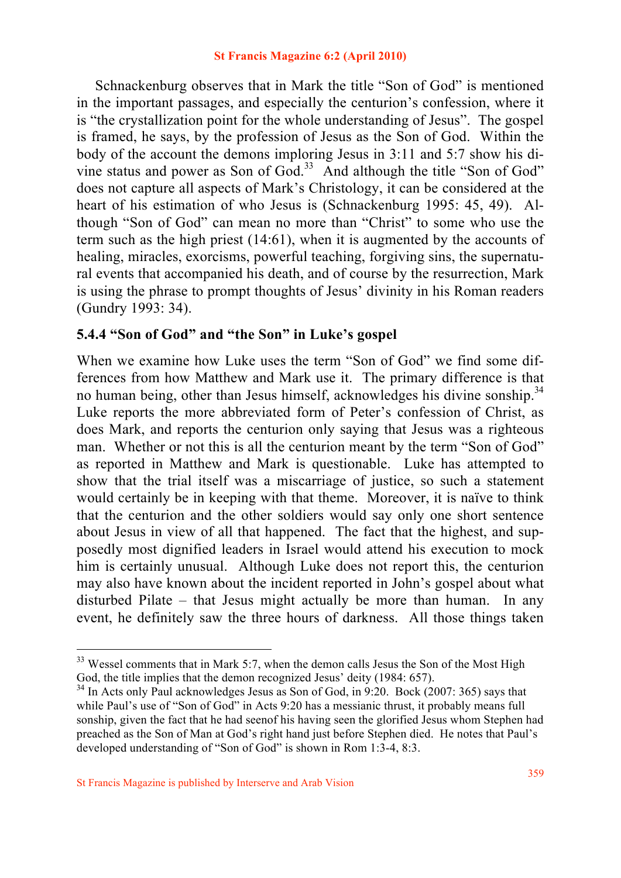Schnackenburg observes that in Mark the title "Son of God" is mentioned in the important passages, and especially the centurion's confession, where it is "the crystallization point for the whole understanding of Jesus". The gospel is framed, he says, by the profession of Jesus as the Son of God. Within the body of the account the demons imploring Jesus in 3:11 and 5:7 show his divine status and power as Son of  $God.^33$  And although the title "Son of God" does not capture all aspects of Mark's Christology, it can be considered at the heart of his estimation of who Jesus is (Schnackenburg 1995: 45, 49). Although "Son of God" can mean no more than "Christ" to some who use the term such as the high priest (14:61), when it is augmented by the accounts of healing, miracles, exorcisms, powerful teaching, forgiving sins, the supernatural events that accompanied his death, and of course by the resurrection, Mark is using the phrase to prompt thoughts of Jesus' divinity in his Roman readers (Gundry 1993: 34).

## **5.4.4 "Son of God" and "the Son" in Luke's gospel**

When we examine how Luke uses the term "Son of God" we find some differences from how Matthew and Mark use it. The primary difference is that no human being, other than Jesus himself, acknowledges his divine sonship.<sup>34</sup> Luke reports the more abbreviated form of Peter's confession of Christ, as does Mark, and reports the centurion only saying that Jesus was a righteous man. Whether or not this is all the centurion meant by the term "Son of God" as reported in Matthew and Mark is questionable. Luke has attempted to show that the trial itself was a miscarriage of justice, so such a statement would certainly be in keeping with that theme. Moreover, it is naïve to think that the centurion and the other soldiers would say only one short sentence about Jesus in view of all that happened. The fact that the highest, and supposedly most dignified leaders in Israel would attend his execution to mock him is certainly unusual. Although Luke does not report this, the centurion may also have known about the incident reported in John's gospel about what disturbed Pilate – that Jesus might actually be more than human. In any event, he definitely saw the three hours of darkness. All those things taken

<sup>&</sup>lt;sup>33</sup> Wessel comments that in Mark 5:7, when the demon calls Jesus the Son of the Most High God, the title implies that the demon recognized Jesus' deity (1984: 657).<br><sup>34</sup> In Acts only Paul acknowledges Jesus as Son of God, in 9:20. Bock (2007: 365) says that

while Paul's use of "Son of God" in Acts 9:20 has a messianic thrust, it probably means full sonship, given the fact that he had seenof his having seen the glorified Jesus whom Stephen had preached as the Son of Man at God's right hand just before Stephen died. He notes that Paul's developed understanding of "Son of God" is shown in Rom 1:3-4, 8:3.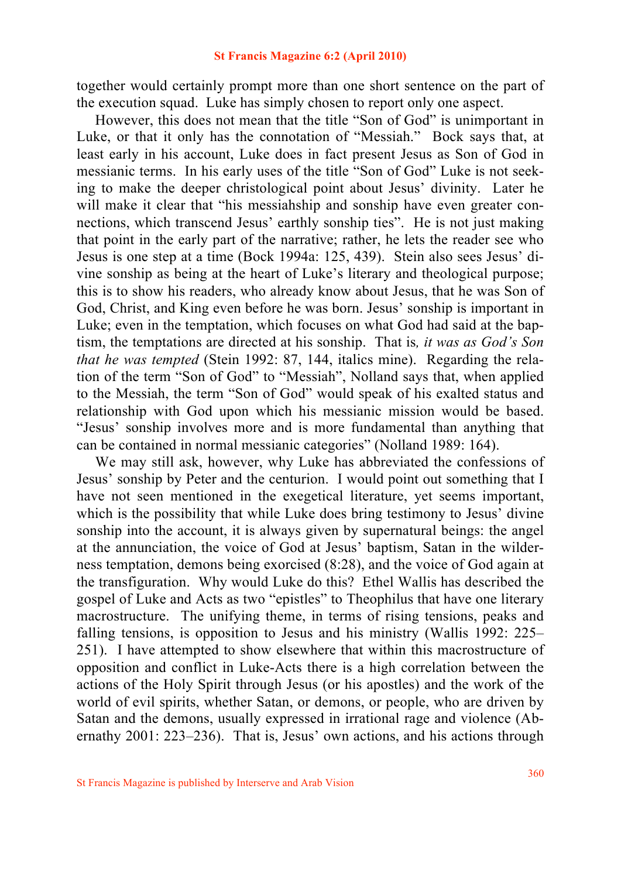together would certainly prompt more than one short sentence on the part of the execution squad. Luke has simply chosen to report only one aspect.

 However, this does not mean that the title "Son of God" is unimportant in Luke, or that it only has the connotation of "Messiah." Bock says that, at least early in his account, Luke does in fact present Jesus as Son of God in messianic terms. In his early uses of the title "Son of God" Luke is not seeking to make the deeper christological point about Jesus' divinity. Later he will make it clear that "his messiahship and sonship have even greater connections, which transcend Jesus' earthly sonship ties". He is not just making that point in the early part of the narrative; rather, he lets the reader see who Jesus is one step at a time (Bock 1994a: 125, 439). Stein also sees Jesus' divine sonship as being at the heart of Luke's literary and theological purpose; this is to show his readers, who already know about Jesus, that he was Son of God, Christ, and King even before he was born. Jesus' sonship is important in Luke; even in the temptation, which focuses on what God had said at the baptism, the temptations are directed at his sonship. That is*, it was as God's Son that he was tempted* (Stein 1992: 87, 144, italics mine). Regarding the relation of the term "Son of God" to "Messiah", Nolland says that, when applied to the Messiah, the term "Son of God" would speak of his exalted status and relationship with God upon which his messianic mission would be based. "Jesus' sonship involves more and is more fundamental than anything that can be contained in normal messianic categories" (Nolland 1989: 164).

 We may still ask, however, why Luke has abbreviated the confessions of Jesus' sonship by Peter and the centurion. I would point out something that I have not seen mentioned in the exegetical literature, yet seems important, which is the possibility that while Luke does bring testimony to Jesus' divine sonship into the account, it is always given by supernatural beings: the angel at the annunciation, the voice of God at Jesus' baptism, Satan in the wilderness temptation, demons being exorcised (8:28), and the voice of God again at the transfiguration. Why would Luke do this? Ethel Wallis has described the gospel of Luke and Acts as two "epistles" to Theophilus that have one literary macrostructure. The unifying theme, in terms of rising tensions, peaks and falling tensions, is opposition to Jesus and his ministry (Wallis 1992: 225– 251). I have attempted to show elsewhere that within this macrostructure of opposition and conflict in Luke-Acts there is a high correlation between the actions of the Holy Spirit through Jesus (or his apostles) and the work of the world of evil spirits, whether Satan, or demons, or people, who are driven by Satan and the demons, usually expressed in irrational rage and violence (Abernathy 2001: 223–236). That is, Jesus' own actions, and his actions through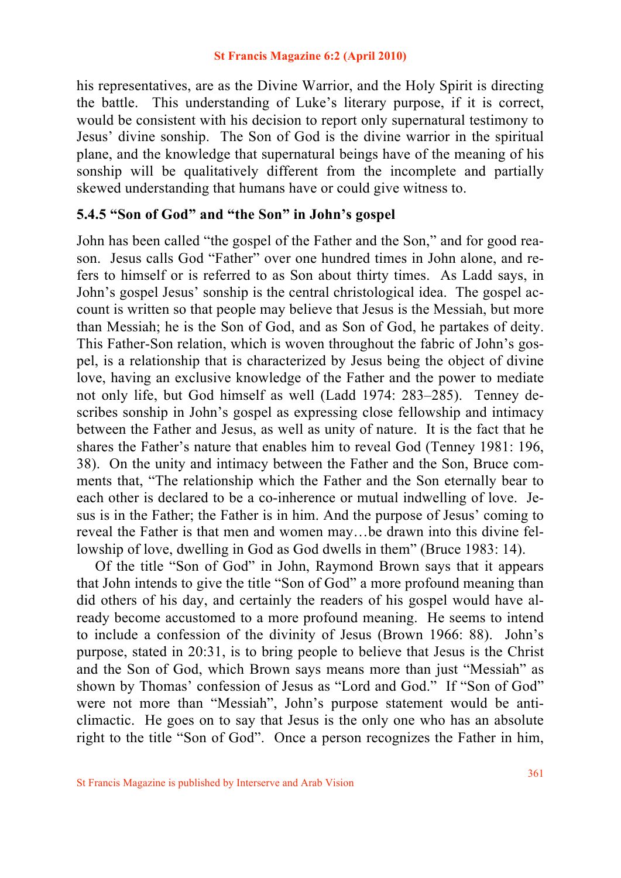his representatives, are as the Divine Warrior, and the Holy Spirit is directing the battle. This understanding of Luke's literary purpose, if it is correct, would be consistent with his decision to report only supernatural testimony to Jesus' divine sonship. The Son of God is the divine warrior in the spiritual plane, and the knowledge that supernatural beings have of the meaning of his sonship will be qualitatively different from the incomplete and partially skewed understanding that humans have or could give witness to.

## **5.4.5 "Son of God" and "the Son" in John's gospel**

John has been called "the gospel of the Father and the Son," and for good reason. Jesus calls God "Father" over one hundred times in John alone, and refers to himself or is referred to as Son about thirty times. As Ladd says, in John's gospel Jesus' sonship is the central christological idea. The gospel account is written so that people may believe that Jesus is the Messiah, but more than Messiah; he is the Son of God, and as Son of God, he partakes of deity. This Father-Son relation, which is woven throughout the fabric of John's gospel, is a relationship that is characterized by Jesus being the object of divine love, having an exclusive knowledge of the Father and the power to mediate not only life, but God himself as well (Ladd 1974: 283–285). Tenney describes sonship in John's gospel as expressing close fellowship and intimacy between the Father and Jesus, as well as unity of nature. It is the fact that he shares the Father's nature that enables him to reveal God (Tenney 1981: 196, 38). On the unity and intimacy between the Father and the Son, Bruce comments that, "The relationship which the Father and the Son eternally bear to each other is declared to be a co-inherence or mutual indwelling of love. Jesus is in the Father; the Father is in him. And the purpose of Jesus' coming to reveal the Father is that men and women may…be drawn into this divine fellowship of love, dwelling in God as God dwells in them" (Bruce 1983: 14).

 Of the title "Son of God" in John, Raymond Brown says that it appears that John intends to give the title "Son of God" a more profound meaning than did others of his day, and certainly the readers of his gospel would have already become accustomed to a more profound meaning. He seems to intend to include a confession of the divinity of Jesus (Brown 1966: 88). John's purpose, stated in 20:31, is to bring people to believe that Jesus is the Christ and the Son of God, which Brown says means more than just "Messiah" as shown by Thomas' confession of Jesus as "Lord and God." If "Son of God" were not more than "Messiah", John's purpose statement would be anticlimactic. He goes on to say that Jesus is the only one who has an absolute right to the title "Son of God". Once a person recognizes the Father in him,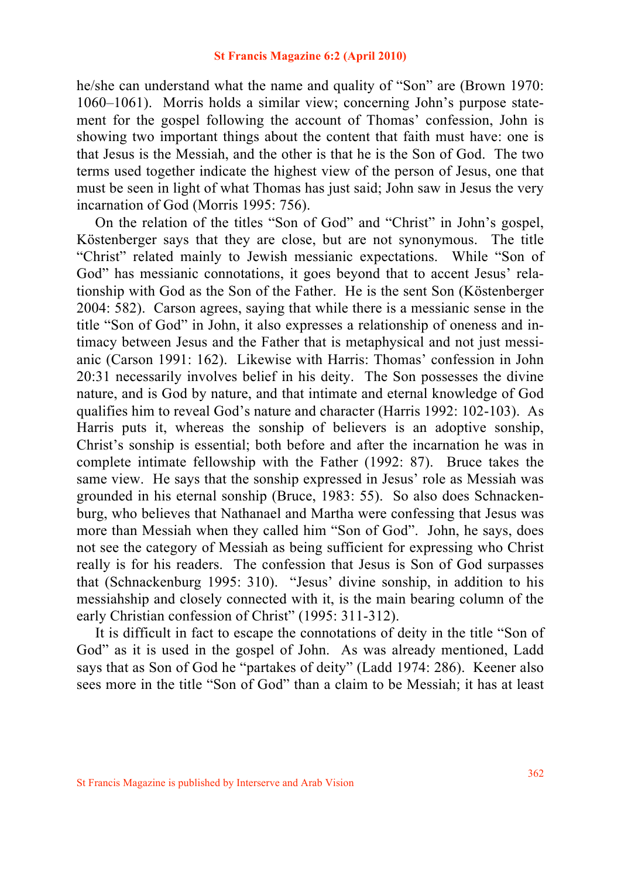he/she can understand what the name and quality of "Son" are (Brown 1970: 1060–1061). Morris holds a similar view; concerning John's purpose statement for the gospel following the account of Thomas' confession, John is showing two important things about the content that faith must have: one is that Jesus is the Messiah, and the other is that he is the Son of God. The two terms used together indicate the highest view of the person of Jesus, one that must be seen in light of what Thomas has just said; John saw in Jesus the very incarnation of God (Morris 1995: 756).

 On the relation of the titles "Son of God" and "Christ" in John's gospel, Köstenberger says that they are close, but are not synonymous. The title "Christ" related mainly to Jewish messianic expectations. While "Son of God" has messianic connotations, it goes beyond that to accent Jesus' relationship with God as the Son of the Father. He is the sent Son (Köstenberger 2004: 582). Carson agrees, saying that while there is a messianic sense in the title "Son of God" in John, it also expresses a relationship of oneness and intimacy between Jesus and the Father that is metaphysical and not just messianic (Carson 1991: 162). Likewise with Harris: Thomas' confession in John 20:31 necessarily involves belief in his deity. The Son possesses the divine nature, and is God by nature, and that intimate and eternal knowledge of God qualifies him to reveal God's nature and character (Harris 1992: 102-103). As Harris puts it, whereas the sonship of believers is an adoptive sonship, Christ's sonship is essential; both before and after the incarnation he was in complete intimate fellowship with the Father (1992: 87). Bruce takes the same view. He says that the sonship expressed in Jesus' role as Messiah was grounded in his eternal sonship (Bruce, 1983: 55). So also does Schnackenburg, who believes that Nathanael and Martha were confessing that Jesus was more than Messiah when they called him "Son of God". John, he says, does not see the category of Messiah as being sufficient for expressing who Christ really is for his readers. The confession that Jesus is Son of God surpasses that (Schnackenburg 1995: 310). "Jesus' divine sonship, in addition to his messiahship and closely connected with it, is the main bearing column of the early Christian confession of Christ" (1995: 311-312).

 It is difficult in fact to escape the connotations of deity in the title "Son of God" as it is used in the gospel of John. As was already mentioned, Ladd says that as Son of God he "partakes of deity" (Ladd 1974: 286). Keener also sees more in the title "Son of God" than a claim to be Messiah; it has at least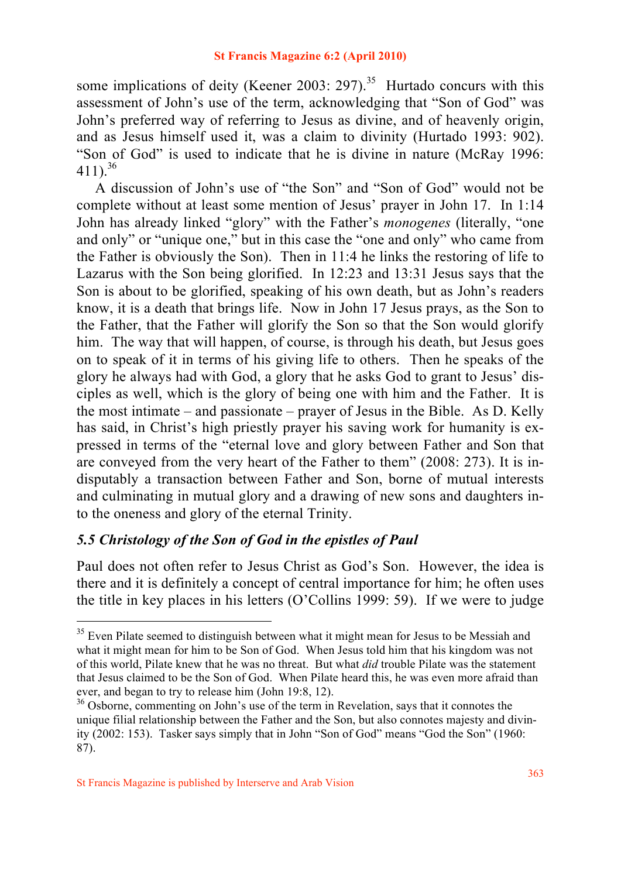some implications of deity (Keener 2003: 297).<sup>35</sup> Hurtado concurs with this assessment of John's use of the term, acknowledging that "Son of God" was John's preferred way of referring to Jesus as divine, and of heavenly origin, and as Jesus himself used it, was a claim to divinity (Hurtado 1993: 902). "Son of God" is used to indicate that he is divine in nature (McRay 1996:  $411$ )<sup>36</sup>

 A discussion of John's use of "the Son" and "Son of God" would not be complete without at least some mention of Jesus' prayer in John 17. In 1:14 John has already linked "glory" with the Father's *monogenes* (literally, "one and only" or "unique one," but in this case the "one and only" who came from the Father is obviously the Son). Then in 11:4 he links the restoring of life to Lazarus with the Son being glorified. In 12:23 and 13:31 Jesus says that the Son is about to be glorified, speaking of his own death, but as John's readers know, it is a death that brings life. Now in John 17 Jesus prays, as the Son to the Father, that the Father will glorify the Son so that the Son would glorify him. The way that will happen, of course, is through his death, but Jesus goes on to speak of it in terms of his giving life to others. Then he speaks of the glory he always had with God, a glory that he asks God to grant to Jesus' disciples as well, which is the glory of being one with him and the Father. It is the most intimate – and passionate – prayer of Jesus in the Bible. As D. Kelly has said, in Christ's high priestly prayer his saving work for humanity is expressed in terms of the "eternal love and glory between Father and Son that are conveyed from the very heart of the Father to them" (2008: 273). It is indisputably a transaction between Father and Son, borne of mutual interests and culminating in mutual glory and a drawing of new sons and daughters into the oneness and glory of the eternal Trinity.

## *5.5 Christology of the Son of God in the epistles of Paul*

Paul does not often refer to Jesus Christ as God's Son. However, the idea is there and it is definitely a concept of central importance for him; he often uses the title in key places in his letters (O'Collins 1999: 59). If we were to judge

 $35$  Even Pilate seemed to distinguish between what it might mean for Jesus to be Messiah and what it might mean for him to be Son of God. When Jesus told him that his kingdom was not of this world, Pilate knew that he was no threat. But what *did* trouble Pilate was the statement that Jesus claimed to be the Son of God. When Pilate heard this, he was even more afraid than ever, and began to try to release him (John 19:8, 12).

<sup>&</sup>lt;sup>36</sup> Osborne, commenting on John's use of the term in Revelation, says that it connotes the unique filial relationship between the Father and the Son, but also connotes majesty and divinity (2002: 153). Tasker says simply that in John "Son of God" means "God the Son" (1960: 87).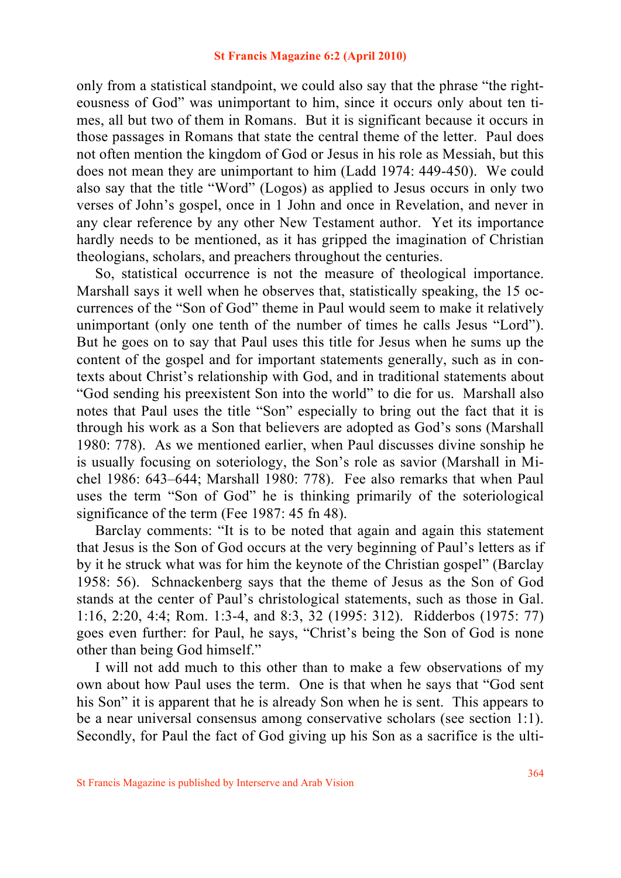only from a statistical standpoint, we could also say that the phrase "the righteousness of God" was unimportant to him, since it occurs only about ten times, all but two of them in Romans. But it is significant because it occurs in those passages in Romans that state the central theme of the letter. Paul does not often mention the kingdom of God or Jesus in his role as Messiah, but this does not mean they are unimportant to him (Ladd 1974: 449-450). We could also say that the title "Word" (Logos) as applied to Jesus occurs in only two verses of John's gospel, once in 1 John and once in Revelation, and never in any clear reference by any other New Testament author. Yet its importance hardly needs to be mentioned, as it has gripped the imagination of Christian theologians, scholars, and preachers throughout the centuries.

 So, statistical occurrence is not the measure of theological importance. Marshall says it well when he observes that, statistically speaking, the 15 occurrences of the "Son of God" theme in Paul would seem to make it relatively unimportant (only one tenth of the number of times he calls Jesus "Lord"). But he goes on to say that Paul uses this title for Jesus when he sums up the content of the gospel and for important statements generally, such as in contexts about Christ's relationship with God, and in traditional statements about "God sending his preexistent Son into the world" to die for us. Marshall also notes that Paul uses the title "Son" especially to bring out the fact that it is through his work as a Son that believers are adopted as God's sons (Marshall 1980: 778). As we mentioned earlier, when Paul discusses divine sonship he is usually focusing on soteriology, the Son's role as savior (Marshall in Michel 1986: 643–644; Marshall 1980: 778). Fee also remarks that when Paul uses the term "Son of God" he is thinking primarily of the soteriological significance of the term (Fee 1987: 45 fn 48).

 Barclay comments: "It is to be noted that again and again this statement that Jesus is the Son of God occurs at the very beginning of Paul's letters as if by it he struck what was for him the keynote of the Christian gospel" (Barclay 1958: 56). Schnackenberg says that the theme of Jesus as the Son of God stands at the center of Paul's christological statements, such as those in Gal. 1:16, 2:20, 4:4; Rom. 1:3-4, and 8:3, 32 (1995: 312). Ridderbos (1975: 77) goes even further: for Paul, he says, "Christ's being the Son of God is none other than being God himself."

 I will not add much to this other than to make a few observations of my own about how Paul uses the term. One is that when he says that "God sent his Son" it is apparent that he is already Son when he is sent. This appears to be a near universal consensus among conservative scholars (see section 1:1). Secondly, for Paul the fact of God giving up his Son as a sacrifice is the ulti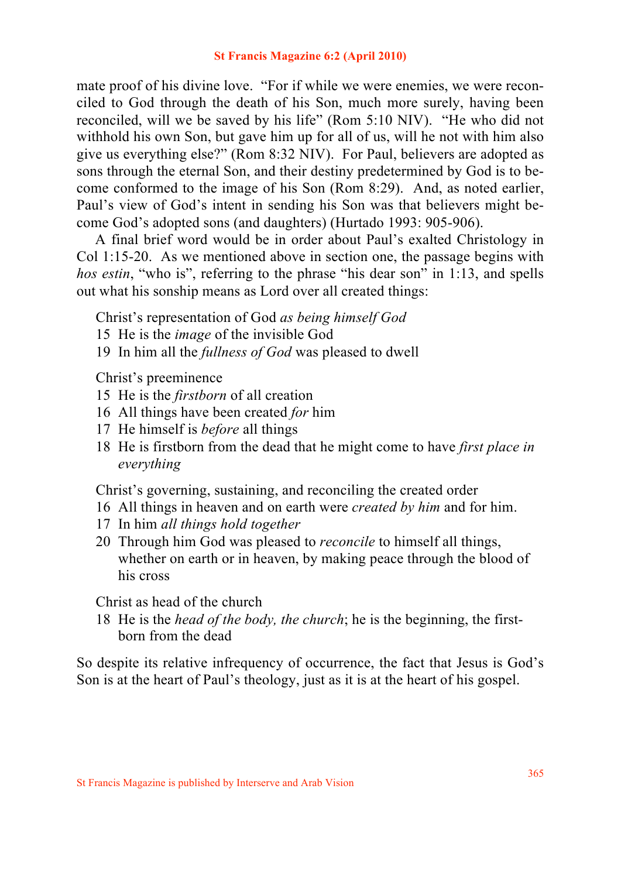mate proof of his divine love. "For if while we were enemies, we were reconciled to God through the death of his Son, much more surely, having been reconciled, will we be saved by his life" (Rom 5:10 NIV). "He who did not withhold his own Son, but gave him up for all of us, will he not with him also give us everything else?" (Rom 8:32 NIV). For Paul, believers are adopted as sons through the eternal Son, and their destiny predetermined by God is to become conformed to the image of his Son (Rom 8:29). And, as noted earlier, Paul's view of God's intent in sending his Son was that believers might become God's adopted sons (and daughters) (Hurtado 1993: 905-906).

 A final brief word would be in order about Paul's exalted Christology in Col 1:15-20. As we mentioned above in section one, the passage begins with *hos estin*, "who is", referring to the phrase "his dear son" in 1:13, and spells out what his sonship means as Lord over all created things:

Christ's representation of God *as being himself God*

- 15 He is the *image* of the invisible God
- 19 In him all the *fullness of God* was pleased to dwell

Christ's preeminence

- 15 He is the *firstborn* of all creation
- 16 All things have been created *for* him
- 17 He himself is *before* all things
- 18 He is firstborn from the dead that he might come to have *first place in everything*

Christ's governing, sustaining, and reconciling the created order

- 16 All things in heaven and on earth were *created by him* and for him.
- 17 In him *all things hold together*
- 20 Through him God was pleased to *reconcile* to himself all things, whether on earth or in heaven, by making peace through the blood of his cross

Christ as head of the church

18 He is the *head of the body, the church*; he is the beginning, the first born from the dead

So despite its relative infrequency of occurrence, the fact that Jesus is God's Son is at the heart of Paul's theology, just as it is at the heart of his gospel.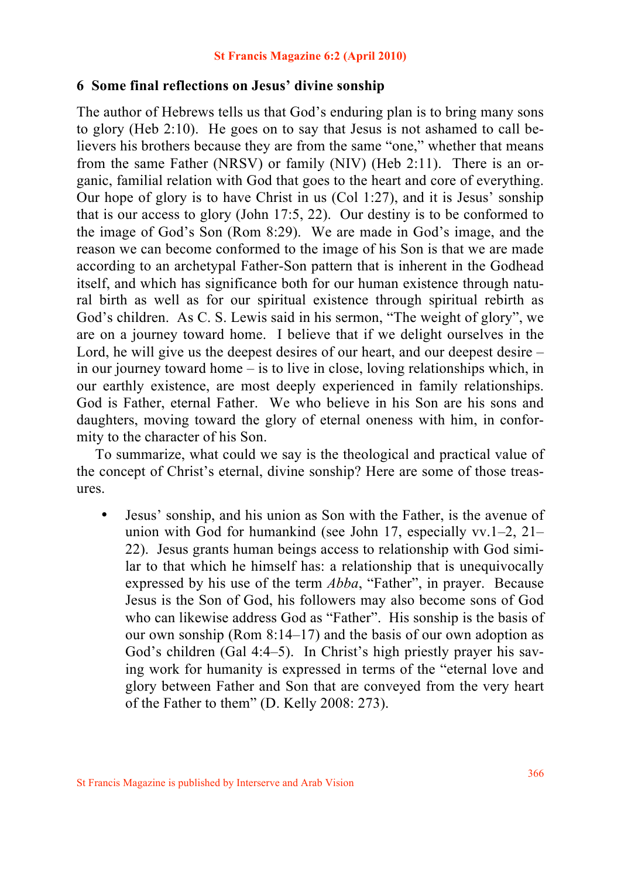## **6 Some final reflections on Jesus' divine sonship**

The author of Hebrews tells us that God's enduring plan is to bring many sons to glory (Heb 2:10). He goes on to say that Jesus is not ashamed to call believers his brothers because they are from the same "one," whether that means from the same Father (NRSV) or family (NIV) (Heb 2:11). There is an organic, familial relation with God that goes to the heart and core of everything. Our hope of glory is to have Christ in us (Col 1:27), and it is Jesus' sonship that is our access to glory (John 17:5, 22). Our destiny is to be conformed to the image of God's Son (Rom 8:29). We are made in God's image, and the reason we can become conformed to the image of his Son is that we are made according to an archetypal Father-Son pattern that is inherent in the Godhead itself, and which has significance both for our human existence through natural birth as well as for our spiritual existence through spiritual rebirth as God's children. As C. S. Lewis said in his sermon, "The weight of glory", we are on a journey toward home. I believe that if we delight ourselves in the Lord, he will give us the deepest desires of our heart, and our deepest desire – in our journey toward home – is to live in close, loving relationships which, in our earthly existence, are most deeply experienced in family relationships. God is Father, eternal Father. We who believe in his Son are his sons and daughters, moving toward the glory of eternal oneness with him, in conformity to the character of his Son.

 To summarize, what could we say is the theological and practical value of the concept of Christ's eternal, divine sonship? Here are some of those treasures.

• Jesus' sonship, and his union as Son with the Father, is the avenue of union with God for humankind (see John 17, especially vv.1–2, 21– 22). Jesus grants human beings access to relationship with God similar to that which he himself has: a relationship that is unequivocally expressed by his use of the term *Abba*, "Father", in prayer. Because Jesus is the Son of God, his followers may also become sons of God who can likewise address God as "Father". His sonship is the basis of our own sonship (Rom 8:14–17) and the basis of our own adoption as God's children (Gal 4:4–5). In Christ's high priestly prayer his saving work for humanity is expressed in terms of the "eternal love and glory between Father and Son that are conveyed from the very heart of the Father to them" (D. Kelly 2008: 273).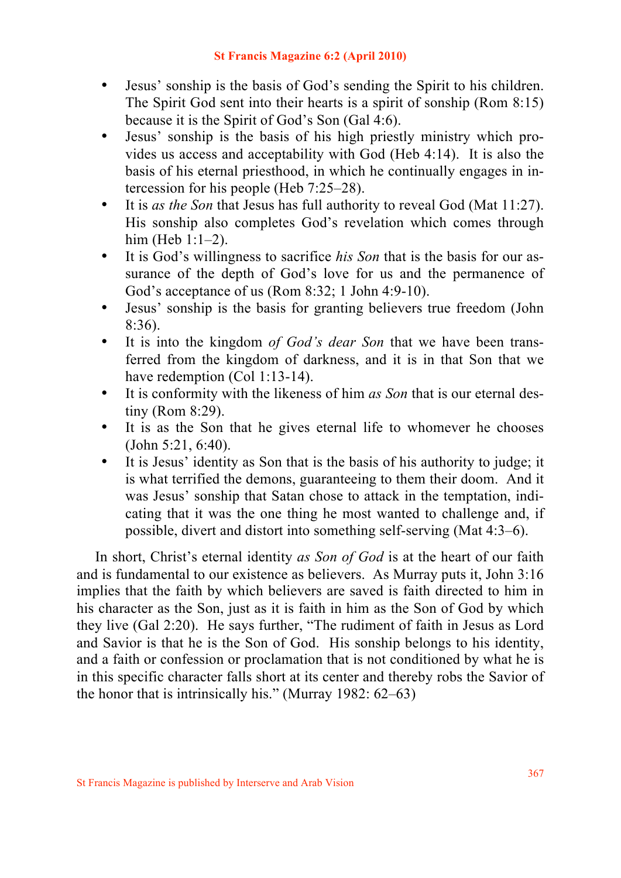- Jesus' sonship is the basis of God's sending the Spirit to his children. The Spirit God sent into their hearts is a spirit of sonship (Rom 8:15) because it is the Spirit of God's Son (Gal 4:6).
- Jesus' sonship is the basis of his high priestly ministry which provides us access and acceptability with God (Heb 4:14). It is also the basis of his eternal priesthood, in which he continually engages in intercession for his people (Heb 7:25–28).
- It is *as the Son* that Jesus has full authority to reveal God (Mat 11:27). His sonship also completes God's revelation which comes through him (Heb 1:1–2).
- It is God's willingness to sacrifice *his Son* that is the basis for our assurance of the depth of God's love for us and the permanence of God's acceptance of us (Rom 8:32; 1 John 4:9-10).
- Jesus' sonship is the basis for granting believers true freedom (John 8:36).
- It is into the kingdom *of God's dear Son* that we have been transferred from the kingdom of darkness, and it is in that Son that we have redemption (Col 1:13-14).
- It is conformity with the likeness of him *as Son* that is our eternal destiny (Rom 8:29).
- It is as the Son that he gives eternal life to whomever he chooses (John 5:21, 6:40).
- It is Jesus' identity as Son that is the basis of his authority to judge; it is what terrified the demons, guaranteeing to them their doom. And it was Jesus' sonship that Satan chose to attack in the temptation, indicating that it was the one thing he most wanted to challenge and, if possible, divert and distort into something self-serving (Mat 4:3–6).

 In short, Christ's eternal identity *as Son of God* is at the heart of our faith and is fundamental to our existence as believers. As Murray puts it, John 3:16 implies that the faith by which believers are saved is faith directed to him in his character as the Son, just as it is faith in him as the Son of God by which they live (Gal 2:20). He says further, "The rudiment of faith in Jesus as Lord and Savior is that he is the Son of God. His sonship belongs to his identity, and a faith or confession or proclamation that is not conditioned by what he is in this specific character falls short at its center and thereby robs the Savior of the honor that is intrinsically his." (Murray 1982: 62–63)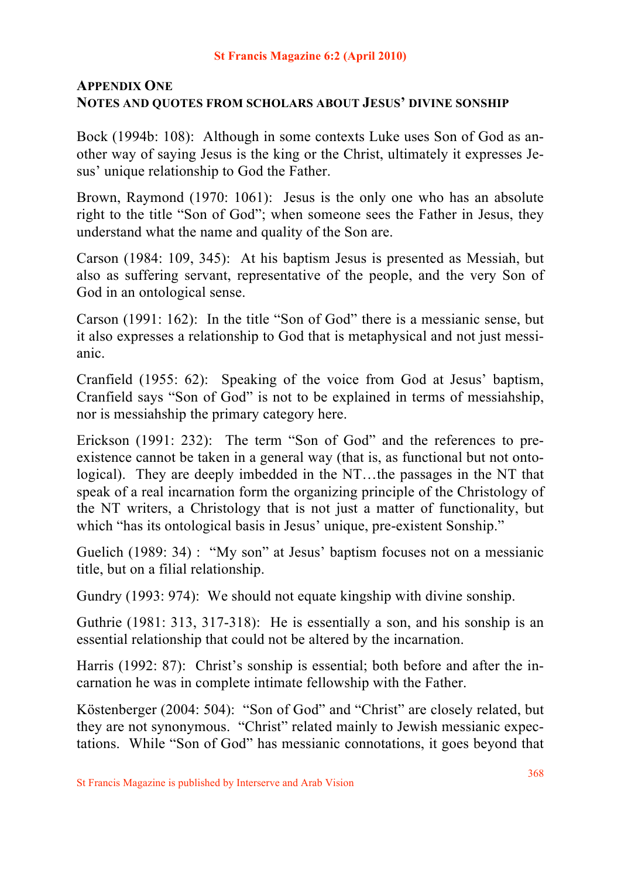## **APPENDIX ONE NOTES AND QUOTES FROM SCHOLARS ABOUT JESUS' DIVINE SONSHIP**

Bock (1994b: 108): Although in some contexts Luke uses Son of God as another way of saying Jesus is the king or the Christ, ultimately it expresses Jesus' unique relationship to God the Father.

Brown, Raymond (1970: 1061): Jesus is the only one who has an absolute right to the title "Son of God"; when someone sees the Father in Jesus, they understand what the name and quality of the Son are.

Carson (1984: 109, 345): At his baptism Jesus is presented as Messiah, but also as suffering servant, representative of the people, and the very Son of God in an ontological sense.

Carson (1991: 162): In the title "Son of God" there is a messianic sense, but it also expresses a relationship to God that is metaphysical and not just messianic.

Cranfield (1955: 62): Speaking of the voice from God at Jesus' baptism, Cranfield says "Son of God" is not to be explained in terms of messiahship, nor is messiahship the primary category here.

Erickson (1991: 232): The term "Son of God" and the references to preexistence cannot be taken in a general way (that is, as functional but not ontological). They are deeply imbedded in the NT…the passages in the NT that speak of a real incarnation form the organizing principle of the Christology of the NT writers, a Christology that is not just a matter of functionality, but which "has its ontological basis in Jesus' unique, pre-existent Sonship."

Guelich (1989: 34) : "My son" at Jesus' baptism focuses not on a messianic title, but on a filial relationship.

Gundry (1993: 974): We should not equate kingship with divine sonship.

Guthrie (1981: 313, 317-318): He is essentially a son, and his sonship is an essential relationship that could not be altered by the incarnation.

Harris (1992: 87): Christ's sonship is essential; both before and after the incarnation he was in complete intimate fellowship with the Father.

Köstenberger (2004: 504): "Son of God" and "Christ" are closely related, but they are not synonymous. "Christ" related mainly to Jewish messianic expectations. While "Son of God" has messianic connotations, it goes beyond that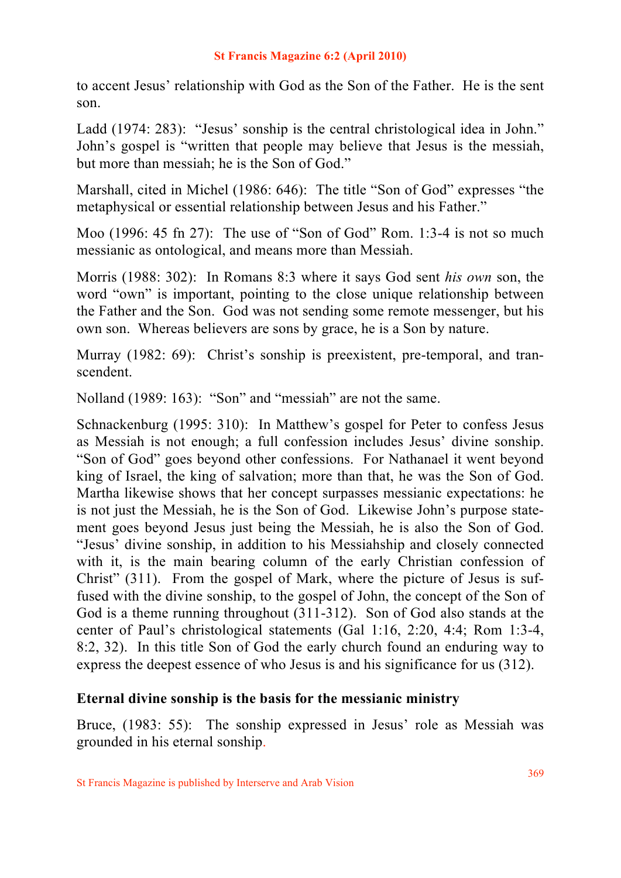to accent Jesus' relationship with God as the Son of the Father. He is the sent son.

Ladd (1974: 283): "Jesus' sonship is the central christological idea in John." John's gospel is "written that people may believe that Jesus is the messiah, but more than messiah; he is the Son of God."

Marshall, cited in Michel (1986: 646): The title "Son of God" expresses "the metaphysical or essential relationship between Jesus and his Father."

Moo (1996: 45 fn 27): The use of "Son of God" Rom. 1:3-4 is not so much messianic as ontological, and means more than Messiah.

Morris (1988: 302): In Romans 8:3 where it says God sent *his own* son, the word "own" is important, pointing to the close unique relationship between the Father and the Son. God was not sending some remote messenger, but his own son. Whereas believers are sons by grace, he is a Son by nature.

Murray (1982: 69): Christ's sonship is preexistent, pre-temporal, and transcendent.

Nolland (1989: 163): "Son" and "messiah" are not the same.

Schnackenburg (1995: 310): In Matthew's gospel for Peter to confess Jesus as Messiah is not enough; a full confession includes Jesus' divine sonship. "Son of God" goes beyond other confessions. For Nathanael it went beyond king of Israel, the king of salvation; more than that, he was the Son of God. Martha likewise shows that her concept surpasses messianic expectations: he is not just the Messiah, he is the Son of God. Likewise John's purpose statement goes beyond Jesus just being the Messiah, he is also the Son of God. "Jesus' divine sonship, in addition to his Messiahship and closely connected with it, is the main bearing column of the early Christian confession of Christ" (311). From the gospel of Mark, where the picture of Jesus is suffused with the divine sonship, to the gospel of John, the concept of the Son of God is a theme running throughout (311-312). Son of God also stands at the center of Paul's christological statements (Gal 1:16, 2:20, 4:4; Rom 1:3-4, 8:2, 32). In this title Son of God the early church found an enduring way to express the deepest essence of who Jesus is and his significance for us (312).

## **Eternal divine sonship is the basis for the messianic ministry**

Bruce, (1983: 55): The sonship expressed in Jesus' role as Messiah was grounded in his eternal sonship.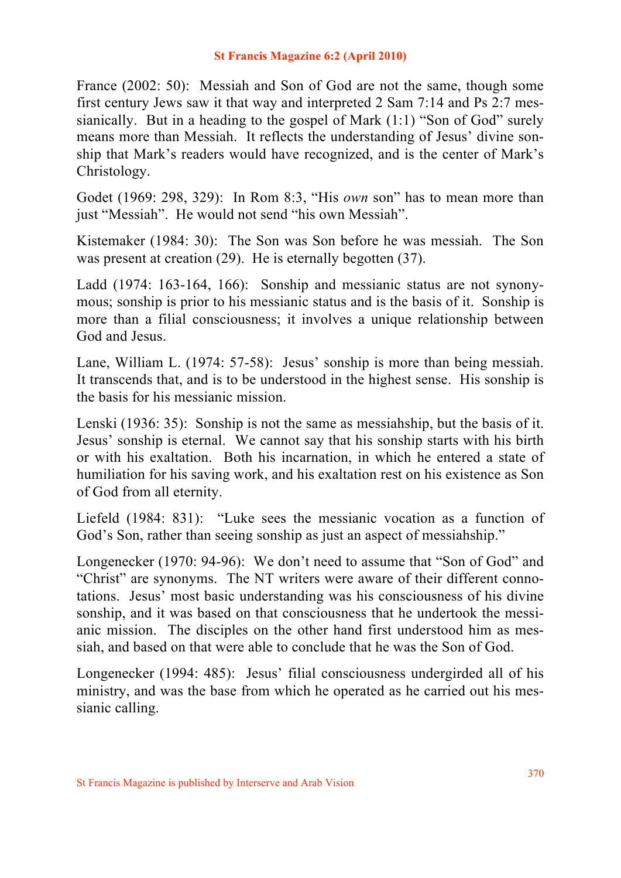France (2002: 50): Messiah and Son of God are not the same, though some first century Jews saw it that way and interpreted 2 Sam 7:14 and Ps 2:7 messianically. But in a heading to the gospel of Mark  $(1:1)$  "Son of God" surely means more than Messiah. It reflects the understanding of Jesus' divine sonship that Mark's readers would have recognized, and is the center of Mark's Christology.

Godet (1969: 298, 329): In Rom 8:3, "His *own* son" has to mean more than just "Messiah". He would not send "his own Messiah".

Kistemaker (1984: 30): The Son was Son before he was messiah. The Son was present at creation (29). He is eternally begotten (37).

Ladd (1974: 163-164, 166): Sonship and messianic status are not synonymous; sonship is prior to his messianic status and is the basis of it. Sonship is more than a filial consciousness; it involves a unique relationship between God and Jesus.

Lane, William L. (1974: 57-58): Jesus' sonship is more than being messiah. It transcends that, and is to be understood in the highest sense. His sonship is the basis for his messianic mission.

Lenski (1936: 35): Sonship is not the same as messiahship, but the basis of it. Jesus' sonship is eternal. We cannot say that his sonship starts with his birth or with his exaltation. Both his incarnation, in which he entered a state of humiliation for his saving work, and his exaltation rest on his existence as Son of God from all eternity.

Liefeld (1984: 831): "Luke sees the messianic vocation as a function of God's Son, rather than seeing sonship as just an aspect of messiahship."

Longenecker (1970: 94-96): We don't need to assume that "Son of God" and "Christ" are synonyms. The NT writers were aware of their different connotations. Jesus' most basic understanding was his consciousness of his divine sonship, and it was based on that consciousness that he undertook the messianic mission. The disciples on the other hand first understood him as messiah, and based on that were able to conclude that he was the Son of God.

Longenecker (1994: 485): Jesus' filial consciousness undergirded all of his ministry, and was the base from which he operated as he carried out his messianic calling.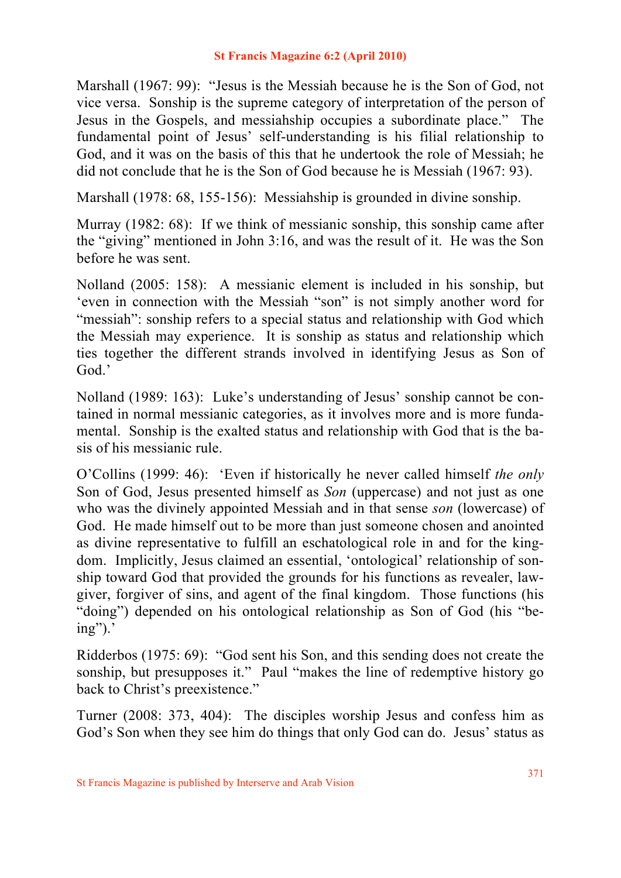Marshall (1967: 99): "Jesus is the Messiah because he is the Son of God, not vice versa. Sonship is the supreme category of interpretation of the person of Jesus in the Gospels, and messiahship occupies a subordinate place." The fundamental point of Jesus' self-understanding is his filial relationship to God, and it was on the basis of this that he undertook the role of Messiah; he did not conclude that he is the Son of God because he is Messiah (1967: 93).

Marshall (1978: 68, 155-156): Messiahship is grounded in divine sonship.

Murray (1982: 68): If we think of messianic sonship, this sonship came after the "giving" mentioned in John 3:16, and was the result of it. He was the Son before he was sent.

Nolland (2005: 158): A messianic element is included in his sonship, but 'even in connection with the Messiah "son" is not simply another word for "messiah": sonship refers to a special status and relationship with God which the Messiah may experience. It is sonship as status and relationship which ties together the different strands involved in identifying Jesus as Son of God<sup>'</sup>

Nolland (1989: 163): Luke's understanding of Jesus' sonship cannot be contained in normal messianic categories, as it involves more and is more fundamental. Sonship is the exalted status and relationship with God that is the basis of his messianic rule.

O'Collins (1999: 46): 'Even if historically he never called himself *the only*  Son of God, Jesus presented himself as *Son* (uppercase) and not just as one who was the divinely appointed Messiah and in that sense *son* (lowercase) of God. He made himself out to be more than just someone chosen and anointed as divine representative to fulfill an eschatological role in and for the kingdom. Implicitly, Jesus claimed an essential, 'ontological' relationship of sonship toward God that provided the grounds for his functions as revealer, lawgiver, forgiver of sins, and agent of the final kingdom. Those functions (his "doing") depended on his ontological relationship as Son of God (his "be $ing$ ").'

Ridderbos (1975: 69): "God sent his Son, and this sending does not create the sonship, but presupposes it." Paul "makes the line of redemptive history go back to Christ's preexistence."

Turner (2008: 373, 404): The disciples worship Jesus and confess him as God's Son when they see him do things that only God can do. Jesus' status as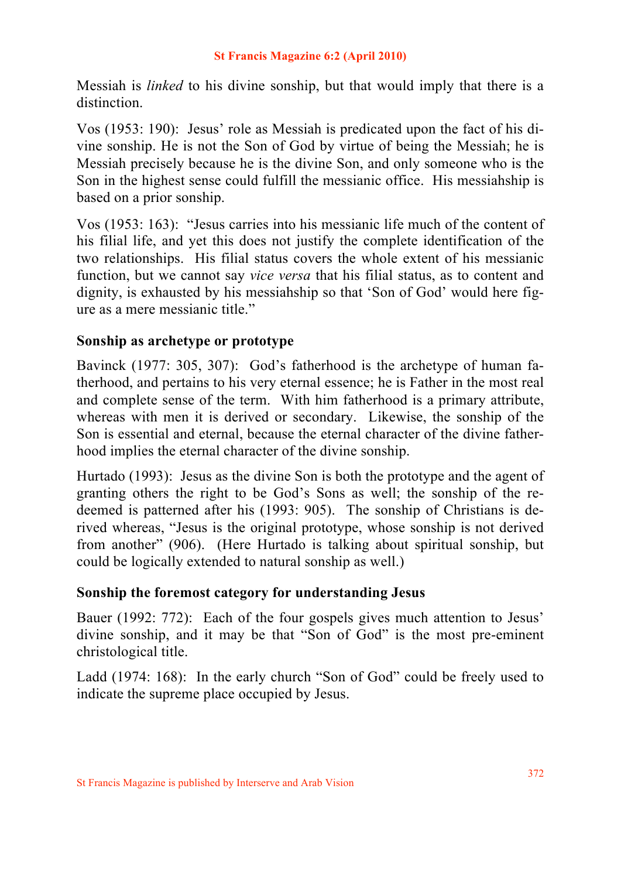Messiah is *linked* to his divine sonship, but that would imply that there is a distinction.

Vos (1953: 190): Jesus' role as Messiah is predicated upon the fact of his divine sonship. He is not the Son of God by virtue of being the Messiah; he is Messiah precisely because he is the divine Son, and only someone who is the Son in the highest sense could fulfill the messianic office. His messiahship is based on a prior sonship.

Vos (1953: 163): "Jesus carries into his messianic life much of the content of his filial life, and yet this does not justify the complete identification of the two relationships. His filial status covers the whole extent of his messianic function, but we cannot say *vice versa* that his filial status, as to content and dignity, is exhausted by his messiahship so that 'Son of God' would here figure as a mere messianic title."

## **Sonship as archetype or prototype**

Bavinck (1977: 305, 307): God's fatherhood is the archetype of human fatherhood, and pertains to his very eternal essence; he is Father in the most real and complete sense of the term. With him fatherhood is a primary attribute, whereas with men it is derived or secondary. Likewise, the sonship of the Son is essential and eternal, because the eternal character of the divine fatherhood implies the eternal character of the divine sonship.

Hurtado (1993): Jesus as the divine Son is both the prototype and the agent of granting others the right to be God's Sons as well; the sonship of the redeemed is patterned after his (1993: 905). The sonship of Christians is derived whereas, "Jesus is the original prototype, whose sonship is not derived from another" (906). (Here Hurtado is talking about spiritual sonship, but could be logically extended to natural sonship as well.)

## **Sonship the foremost category for understanding Jesus**

Bauer (1992: 772): Each of the four gospels gives much attention to Jesus' divine sonship, and it may be that "Son of God" is the most pre-eminent christological title.

Ladd (1974: 168): In the early church "Son of God" could be freely used to indicate the supreme place occupied by Jesus.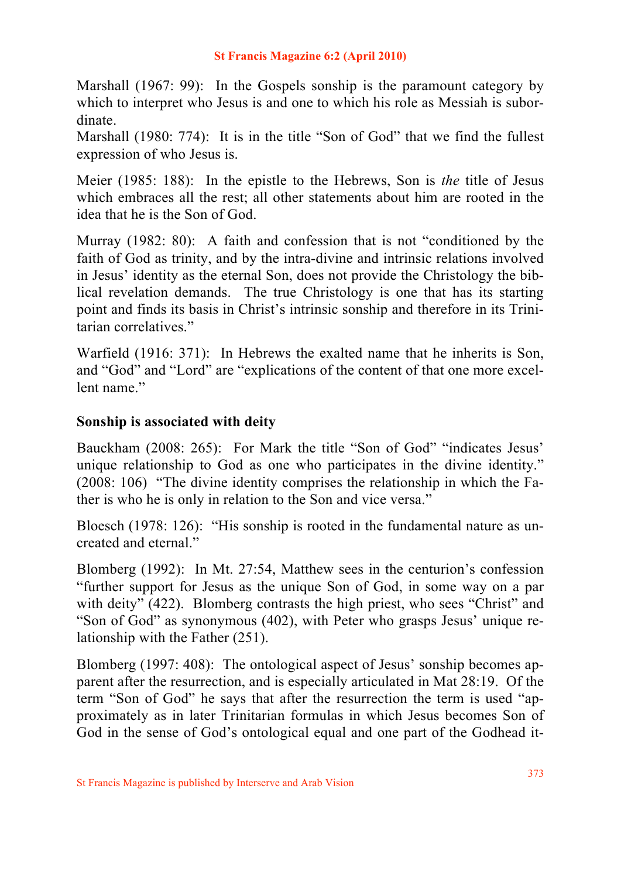Marshall (1967: 99): In the Gospels sonship is the paramount category by which to interpret who Jesus is and one to which his role as Messiah is subordinate.

Marshall (1980: 774): It is in the title "Son of God" that we find the fullest expression of who Jesus is.

Meier (1985: 188): In the epistle to the Hebrews, Son is *the* title of Jesus which embraces all the rest; all other statements about him are rooted in the idea that he is the Son of God.

Murray (1982: 80): A faith and confession that is not "conditioned by the faith of God as trinity, and by the intra-divine and intrinsic relations involved in Jesus' identity as the eternal Son, does not provide the Christology the biblical revelation demands. The true Christology is one that has its starting point and finds its basis in Christ's intrinsic sonship and therefore in its Trinitarian correlatives."

Warfield (1916: 371): In Hebrews the exalted name that he inherits is Son, and "God" and "Lord" are "explications of the content of that one more excellent name"

## **Sonship is associated with deity**

Bauckham (2008: 265): For Mark the title "Son of God" "indicates Jesus' unique relationship to God as one who participates in the divine identity." (2008: 106) "The divine identity comprises the relationship in which the Father is who he is only in relation to the Son and vice versa."

Bloesch (1978: 126): "His sonship is rooted in the fundamental nature as uncreated and eternal."

Blomberg (1992): In Mt. 27:54, Matthew sees in the centurion's confession "further support for Jesus as the unique Son of God, in some way on a par with deity" (422). Blomberg contrasts the high priest, who sees "Christ" and "Son of God" as synonymous (402), with Peter who grasps Jesus' unique relationship with the Father (251).

Blomberg (1997: 408): The ontological aspect of Jesus' sonship becomes apparent after the resurrection, and is especially articulated in Mat 28:19. Of the term "Son of God" he says that after the resurrection the term is used "approximately as in later Trinitarian formulas in which Jesus becomes Son of God in the sense of God's ontological equal and one part of the Godhead it-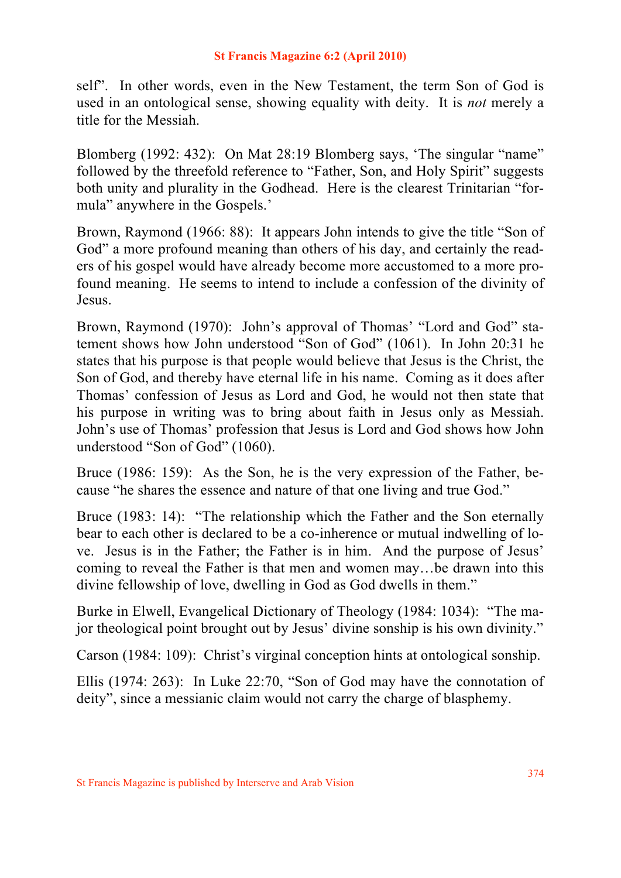self". In other words, even in the New Testament, the term Son of God is used in an ontological sense, showing equality with deity. It is *not* merely a title for the Messiah.

Blomberg (1992: 432): On Mat 28:19 Blomberg says, 'The singular "name" followed by the threefold reference to "Father, Son, and Holy Spirit" suggests both unity and plurality in the Godhead. Here is the clearest Trinitarian "formula" anywhere in the Gospels.'

Brown, Raymond (1966: 88): It appears John intends to give the title "Son of God" a more profound meaning than others of his day, and certainly the readers of his gospel would have already become more accustomed to a more profound meaning. He seems to intend to include a confession of the divinity of Jesus.

Brown, Raymond (1970): John's approval of Thomas' "Lord and God" statement shows how John understood "Son of God" (1061). In John 20:31 he states that his purpose is that people would believe that Jesus is the Christ, the Son of God, and thereby have eternal life in his name. Coming as it does after Thomas' confession of Jesus as Lord and God, he would not then state that his purpose in writing was to bring about faith in Jesus only as Messiah. John's use of Thomas' profession that Jesus is Lord and God shows how John understood "Son of God" (1060).

Bruce (1986: 159): As the Son, he is the very expression of the Father, because "he shares the essence and nature of that one living and true God."

Bruce (1983: 14): "The relationship which the Father and the Son eternally bear to each other is declared to be a co-inherence or mutual indwelling of love. Jesus is in the Father; the Father is in him. And the purpose of Jesus' coming to reveal the Father is that men and women may…be drawn into this divine fellowship of love, dwelling in God as God dwells in them."

Burke in Elwell, Evangelical Dictionary of Theology (1984: 1034): "The major theological point brought out by Jesus' divine sonship is his own divinity."

Carson (1984: 109): Christ's virginal conception hints at ontological sonship.

Ellis (1974: 263): In Luke 22:70, "Son of God may have the connotation of deity", since a messianic claim would not carry the charge of blasphemy.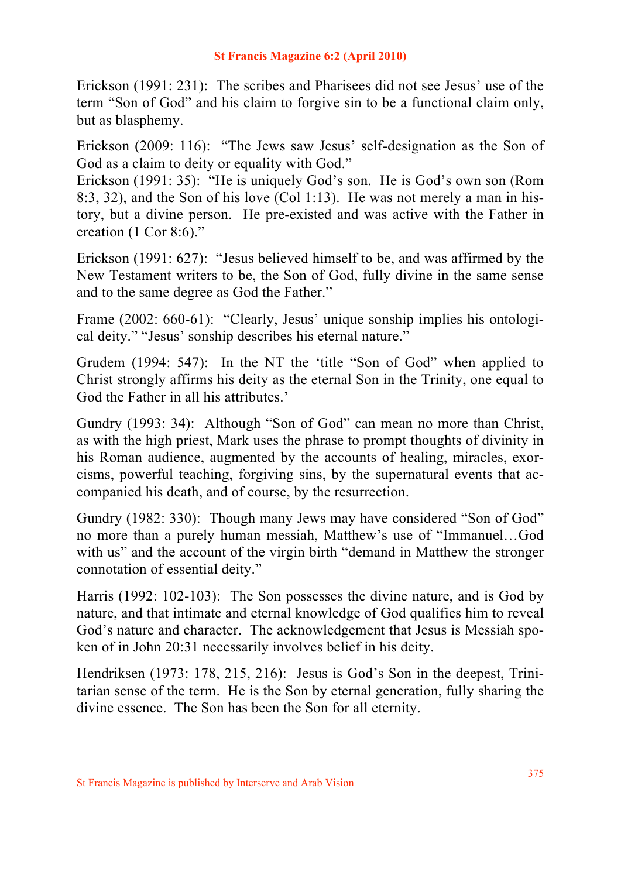Erickson (1991: 231): The scribes and Pharisees did not see Jesus' use of the term "Son of God" and his claim to forgive sin to be a functional claim only, but as blasphemy.

Erickson (2009: 116): "The Jews saw Jesus' self-designation as the Son of God as a claim to deity or equality with God."

Erickson (1991: 35): "He is uniquely God's son. He is God's own son (Rom 8:3, 32), and the Son of his love (Col 1:13). He was not merely a man in history, but a divine person. He pre-existed and was active with the Father in creation (1 Cor 8:6)."

Erickson (1991: 627): "Jesus believed himself to be, and was affirmed by the New Testament writers to be, the Son of God, fully divine in the same sense and to the same degree as God the Father."

Frame (2002: 660-61): "Clearly, Jesus' unique sonship implies his ontological deity." "Jesus' sonship describes his eternal nature."

Grudem (1994: 547): In the NT the 'title "Son of God" when applied to Christ strongly affirms his deity as the eternal Son in the Trinity, one equal to God the Father in all his attributes.'

Gundry (1993: 34): Although "Son of God" can mean no more than Christ, as with the high priest, Mark uses the phrase to prompt thoughts of divinity in his Roman audience, augmented by the accounts of healing, miracles, exorcisms, powerful teaching, forgiving sins, by the supernatural events that accompanied his death, and of course, by the resurrection.

Gundry (1982: 330): Though many Jews may have considered "Son of God" no more than a purely human messiah, Matthew's use of "Immanuel…God with us" and the account of the virgin birth "demand in Matthew the stronger connotation of essential deity."

Harris (1992: 102-103): The Son possesses the divine nature, and is God by nature, and that intimate and eternal knowledge of God qualifies him to reveal God's nature and character. The acknowledgement that Jesus is Messiah spoken of in John 20:31 necessarily involves belief in his deity.

Hendriksen (1973: 178, 215, 216): Jesus is God's Son in the deepest, Trinitarian sense of the term. He is the Son by eternal generation, fully sharing the divine essence. The Son has been the Son for all eternity.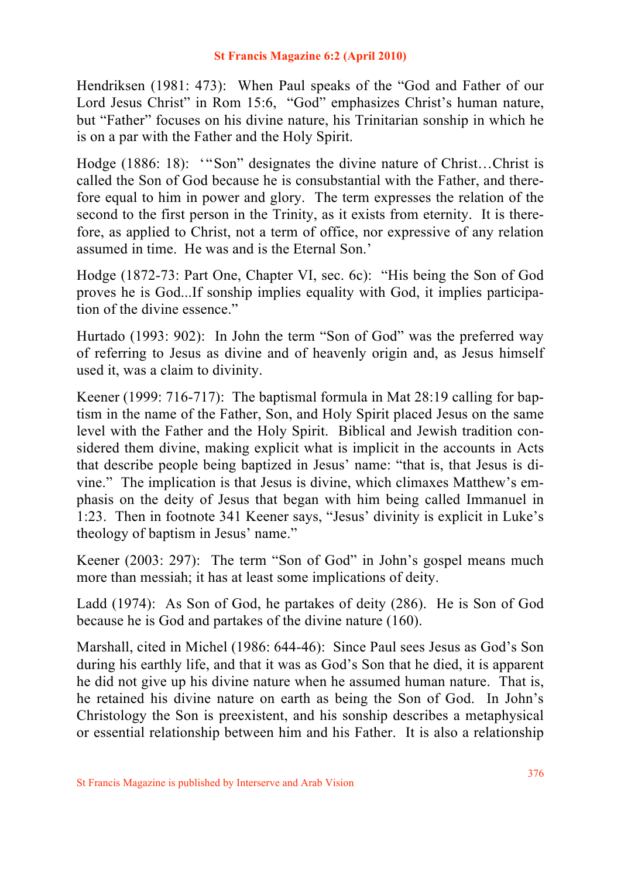Hendriksen (1981: 473): When Paul speaks of the "God and Father of our Lord Jesus Christ" in Rom 15:6, "God" emphasizes Christ's human nature, but "Father" focuses on his divine nature, his Trinitarian sonship in which he is on a par with the Father and the Holy Spirit.

Hodge (1886: 18): '"Son" designates the divine nature of Christ…Christ is called the Son of God because he is consubstantial with the Father, and therefore equal to him in power and glory. The term expresses the relation of the second to the first person in the Trinity, as it exists from eternity. It is therefore, as applied to Christ, not a term of office, nor expressive of any relation assumed in time. He was and is the Eternal Son.'

Hodge (1872-73: Part One, Chapter VI, sec. 6c): "His being the Son of God proves he is God...If sonship implies equality with God, it implies participation of the divine essence."

Hurtado (1993: 902): In John the term "Son of God" was the preferred way of referring to Jesus as divine and of heavenly origin and, as Jesus himself used it, was a claim to divinity.

Keener (1999: 716-717): The baptismal formula in Mat 28:19 calling for baptism in the name of the Father, Son, and Holy Spirit placed Jesus on the same level with the Father and the Holy Spirit. Biblical and Jewish tradition considered them divine, making explicit what is implicit in the accounts in Acts that describe people being baptized in Jesus' name: "that is, that Jesus is divine." The implication is that Jesus is divine, which climaxes Matthew's emphasis on the deity of Jesus that began with him being called Immanuel in 1:23. Then in footnote 341 Keener says, "Jesus' divinity is explicit in Luke's theology of baptism in Jesus' name."

Keener (2003: 297): The term "Son of God" in John's gospel means much more than messiah; it has at least some implications of deity.

Ladd (1974): As Son of God, he partakes of deity (286). He is Son of God because he is God and partakes of the divine nature (160).

Marshall, cited in Michel (1986: 644-46): Since Paul sees Jesus as God's Son during his earthly life, and that it was as God's Son that he died, it is apparent he did not give up his divine nature when he assumed human nature. That is, he retained his divine nature on earth as being the Son of God. In John's Christology the Son is preexistent, and his sonship describes a metaphysical or essential relationship between him and his Father. It is also a relationship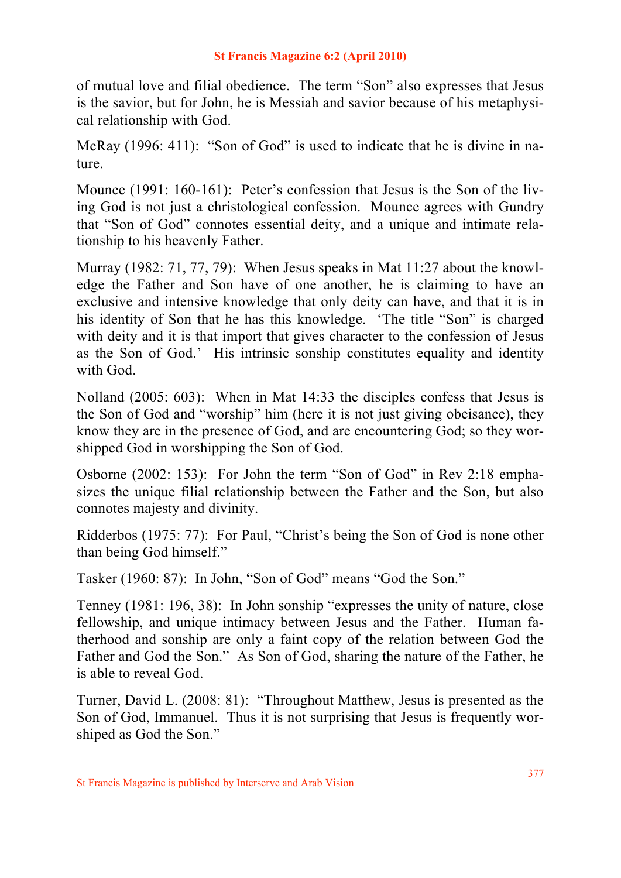of mutual love and filial obedience. The term "Son" also expresses that Jesus is the savior, but for John, he is Messiah and savior because of his metaphysical relationship with God.

McRay (1996: 411): "Son of God" is used to indicate that he is divine in nature.

Mounce (1991: 160-161): Peter's confession that Jesus is the Son of the living God is not just a christological confession. Mounce agrees with Gundry that "Son of God" connotes essential deity, and a unique and intimate relationship to his heavenly Father.

Murray (1982: 71, 77, 79): When Jesus speaks in Mat 11:27 about the knowledge the Father and Son have of one another, he is claiming to have an exclusive and intensive knowledge that only deity can have, and that it is in his identity of Son that he has this knowledge. 'The title "Son" is charged with deity and it is that import that gives character to the confession of Jesus as the Son of God.' His intrinsic sonship constitutes equality and identity with God.

Nolland (2005: 603): When in Mat 14:33 the disciples confess that Jesus is the Son of God and "worship" him (here it is not just giving obeisance), they know they are in the presence of God, and are encountering God; so they worshipped God in worshipping the Son of God.

Osborne (2002: 153): For John the term "Son of God" in Rev 2:18 emphasizes the unique filial relationship between the Father and the Son, but also connotes majesty and divinity.

Ridderbos (1975: 77): For Paul, "Christ's being the Son of God is none other than being God himself."

Tasker (1960: 87): In John, "Son of God" means "God the Son."

Tenney (1981: 196, 38): In John sonship "expresses the unity of nature, close fellowship, and unique intimacy between Jesus and the Father. Human fatherhood and sonship are only a faint copy of the relation between God the Father and God the Son." As Son of God, sharing the nature of the Father, he is able to reveal God.

Turner, David L. (2008: 81): "Throughout Matthew, Jesus is presented as the Son of God, Immanuel. Thus it is not surprising that Jesus is frequently worshiped as God the Son."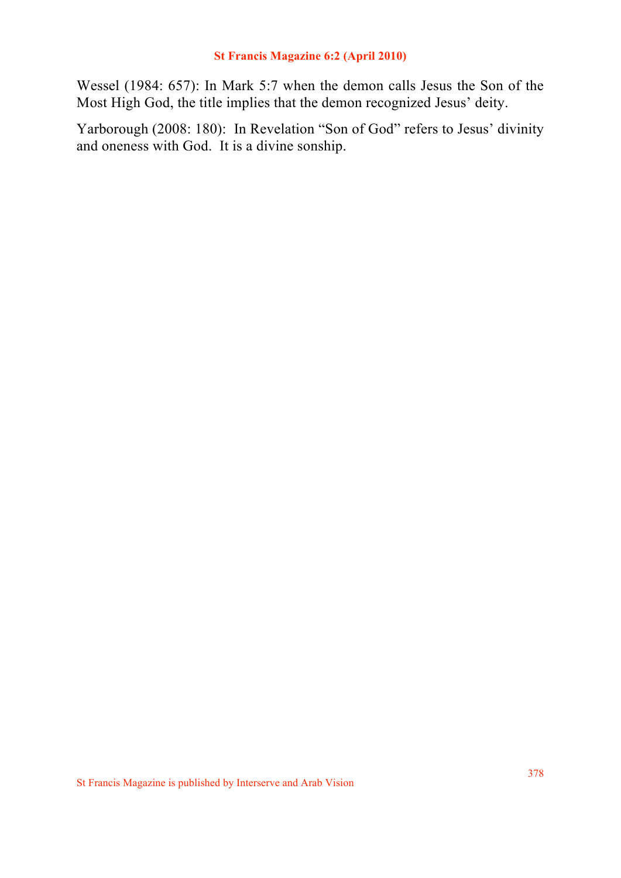Wessel (1984: 657): In Mark 5:7 when the demon calls Jesus the Son of the Most High God, the title implies that the demon recognized Jesus' deity.

Yarborough (2008: 180): In Revelation "Son of God" refers to Jesus' divinity and oneness with God. It is a divine sonship.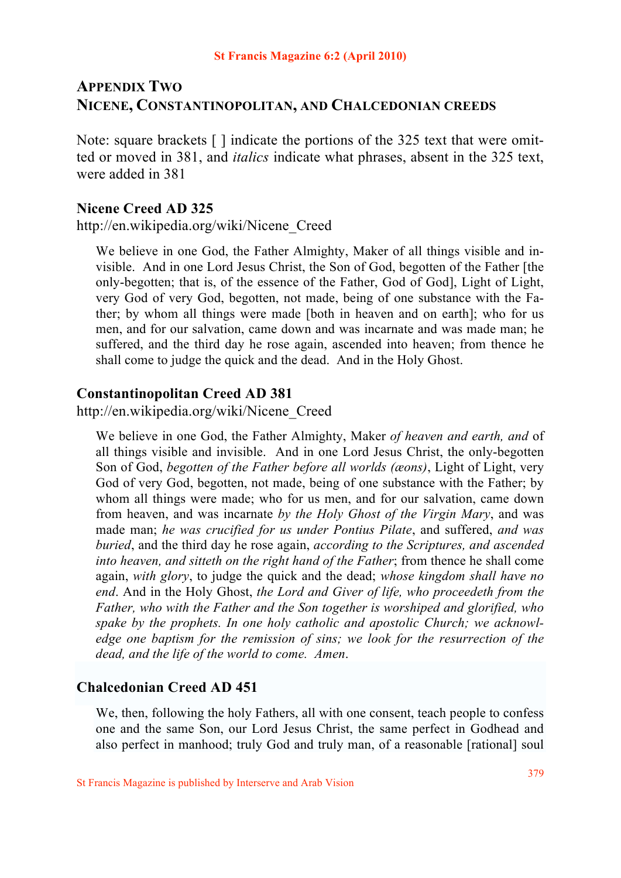# **APPENDIX TWO NICENE, CONSTANTINOPOLITAN, AND CHALCEDONIAN CREEDS**

Note: square brackets [ ] indicate the portions of the 325 text that were omitted or moved in 381, and *italics* indicate what phrases, absent in the 325 text, were added in 381

### **Nicene Creed AD 325**

http://en.wikipedia.org/wiki/Nicene\_Creed

We believe in one God, the Father Almighty, Maker of all things visible and invisible. And in one Lord Jesus Christ, the Son of God, begotten of the Father [the only-begotten; that is, of the essence of the Father, God of God], Light of Light, very God of very God, begotten, not made, being of one substance with the Father; by whom all things were made [both in heaven and on earth]; who for us men, and for our salvation, came down and was incarnate and was made man; he suffered, and the third day he rose again, ascended into heaven; from thence he shall come to judge the quick and the dead. And in the Holy Ghost.

#### **Constantinopolitan Creed AD 381**

http://en.wikipedia.org/wiki/Nicene\_Creed

We believe in one God, the Father Almighty, Maker *of heaven and earth, and* of all things visible and invisible. And in one Lord Jesus Christ, the only-begotten Son of God, *begotten of the Father before all worlds (æons)*, Light of Light, very God of very God, begotten, not made, being of one substance with the Father; by whom all things were made; who for us men, and for our salvation, came down from heaven, and was incarnate *by the Holy Ghost of the Virgin Mary*, and was made man; *he was crucified for us under Pontius Pilate*, and suffered, *and was buried*, and the third day he rose again, *according to the Scriptures, and ascended into heaven, and sitteth on the right hand of the Father*; from thence he shall come again, *with glory*, to judge the quick and the dead; *whose kingdom shall have no end*. And in the Holy Ghost, *the Lord and Giver of life, who proceedeth from the Father, who with the Father and the Son together is worshiped and glorified, who spake by the prophets. In one holy catholic and apostolic Church; we acknowledge one baptism for the remission of sins; we look for the resurrection of the dead, and the life of the world to come. Amen*.

## **Chalcedonian Creed AD 451**

We, then, following the holy Fathers, all with one consent, teach people to confess one and the same Son, our Lord Jesus Christ, the same perfect in Godhead and also perfect in manhood; truly God and truly man, of a reasonable [rational] soul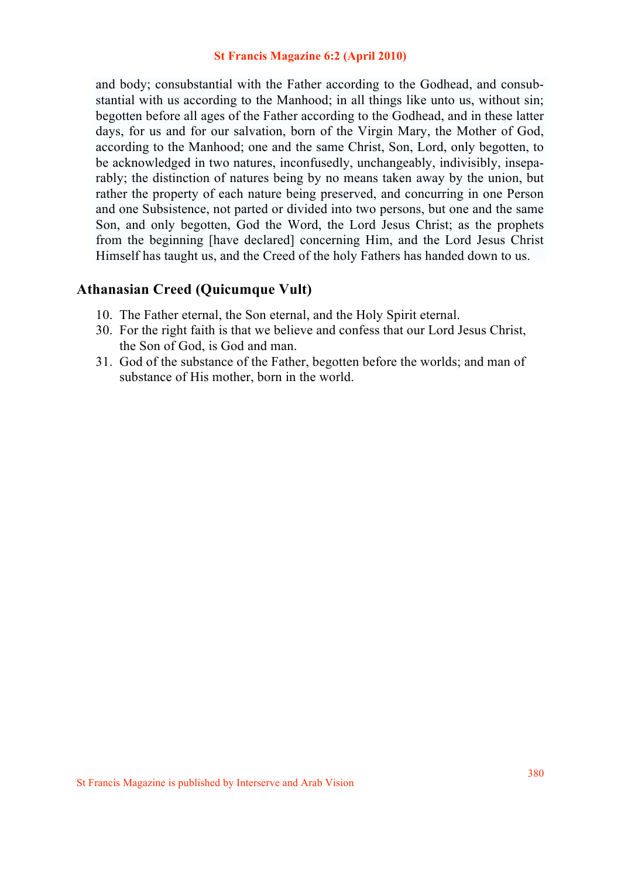and body; consubstantial with the Father according to the Godhead, and consubstantial with us according to the Manhood; in all things like unto us, without sin; begotten before all ages of the Father according to the Godhead, and in these latter days, for us and for our salvation, born of the Virgin Mary, the Mother of God, according to the Manhood; one and the same Christ, Son, Lord, only begotten, to be acknowledged in two natures, inconfusedly, unchangeably, indivisibly, inseparably; the distinction of natures being by no means taken away by the union, but rather the property of each nature being preserved, and concurring in one Person and one Subsistence, not parted or divided into two persons, but one and the same Son, and only begotten, God the Word, the Lord Jesus Christ; as the prophets from the beginning [have declared] concerning Him, and the Lord Jesus Christ Himself has taught us, and the Creed of the holy Fathers has handed down to us.

## **Athanasian Creed (Quicumque Vult)**

- 10. The Father eternal, the Son eternal, and the Holy Spirit eternal.
- 30. For the right faith is that we believe and confess that our Lord Jesus Christ, the Son of God, is God and man.
- 31. God of the substance of the Father, begotten before the worlds; and man of substance of His mother, born in the world.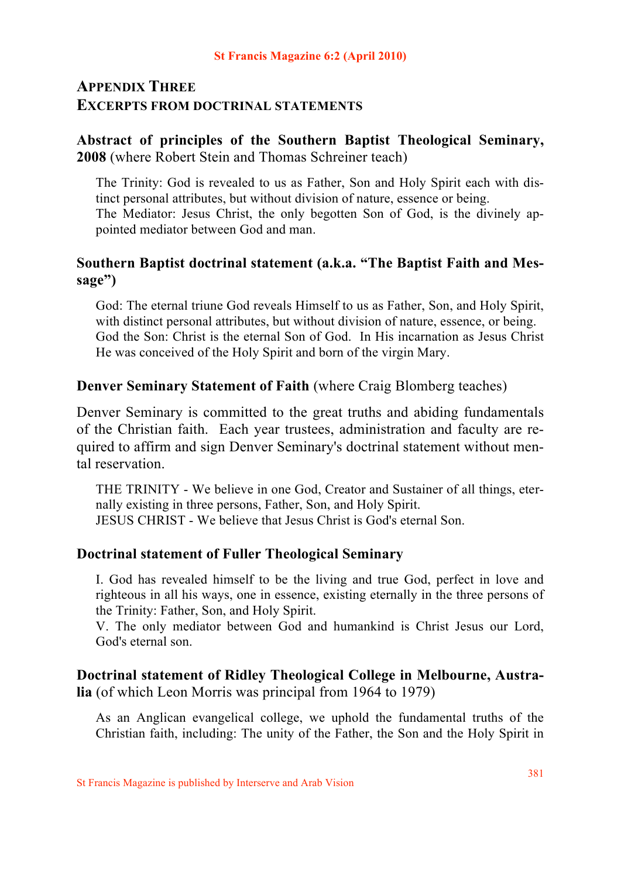# **APPENDIX THREE EXCERPTS FROM DOCTRINAL STATEMENTS**

## **Abstract of principles of the Southern Baptist Theological Seminary, 2008** (where Robert Stein and Thomas Schreiner teach)

The Trinity: God is revealed to us as Father, Son and Holy Spirit each with distinct personal attributes, but without division of nature, essence or being. The Mediator: Jesus Christ, the only begotten Son of God, is the divinely appointed mediator between God and man.

## **Southern Baptist doctrinal statement (a.k.a. "The Baptist Faith and Message")**

God: The eternal triune God reveals Himself to us as Father, Son, and Holy Spirit, with distinct personal attributes, but without division of nature, essence, or being. God the Son: Christ is the eternal Son of God. In His incarnation as Jesus Christ He was conceived of the Holy Spirit and born of the virgin Mary.

## **Denver Seminary Statement of Faith** (where Craig Blomberg teaches)

Denver Seminary is committed to the great truths and abiding fundamentals of the Christian faith. Each year trustees, administration and faculty are required to affirm and sign Denver Seminary's doctrinal statement without mental reservation.

THE TRINITY - We believe in one God, Creator and Sustainer of all things, eternally existing in three persons, Father, Son, and Holy Spirit. JESUS CHRIST - We believe that Jesus Christ is God's eternal Son.

## **Doctrinal statement of Fuller Theological Seminary**

I. God has revealed himself to be the living and true God, perfect in love and righteous in all his ways, one in essence, existing eternally in the three persons of the Trinity: Father, Son, and Holy Spirit.

V. The only mediator between God and humankind is Christ Jesus our Lord, God's eternal son.

## **Doctrinal statement of Ridley Theological College in Melbourne, Australia** (of which Leon Morris was principal from 1964 to 1979)

As an Anglican evangelical college, we uphold the fundamental truths of the Christian faith, including: The unity of the Father, the Son and the Holy Spirit in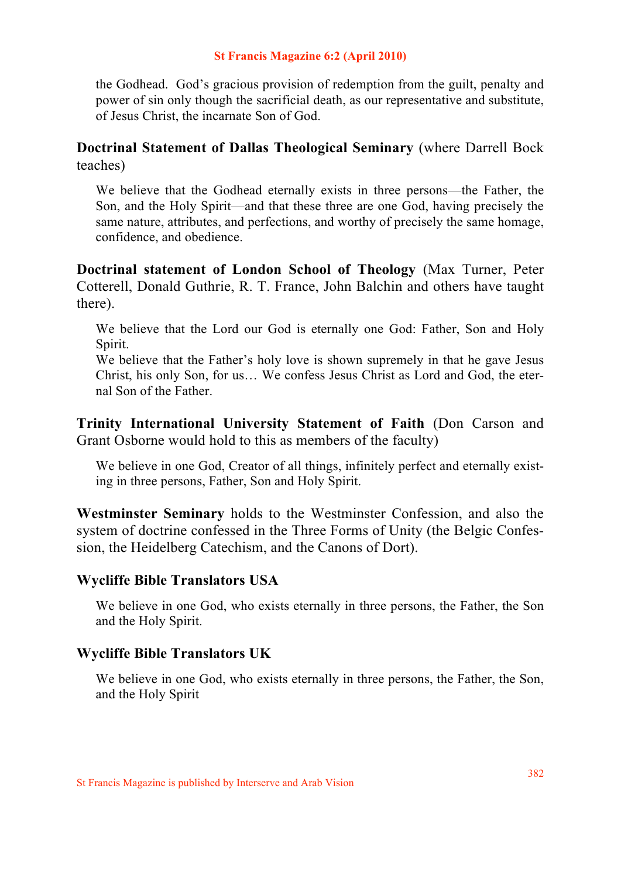the Godhead. God's gracious provision of redemption from the guilt, penalty and power of sin only though the sacrificial death, as our representative and substitute, of Jesus Christ, the incarnate Son of God.

## **Doctrinal Statement of Dallas Theological Seminary** (where Darrell Bock teaches)

We believe that the Godhead eternally exists in three persons—the Father, the Son, and the Holy Spirit—and that these three are one God, having precisely the same nature, attributes, and perfections, and worthy of precisely the same homage, confidence, and obedience.

**Doctrinal statement of London School of Theology** (Max Turner, Peter Cotterell, Donald Guthrie, R. T. France, John Balchin and others have taught there).

We believe that the Lord our God is eternally one God: Father, Son and Holy Spirit.

We believe that the Father's holy love is shown supremely in that he gave Jesus Christ, his only Son, for us… We confess Jesus Christ as Lord and God, the eternal Son of the Father.

**Trinity International University Statement of Faith** (Don Carson and Grant Osborne would hold to this as members of the faculty)

We believe in one God, Creator of all things, infinitely perfect and eternally existing in three persons, Father, Son and Holy Spirit.

**Westminster Seminary** holds to the Westminster Confession, and also the system of doctrine confessed in the Three Forms of Unity (the Belgic Confession, the Heidelberg Catechism, and the Canons of Dort).

## **Wycliffe Bible Translators USA**

We believe in one God, who exists eternally in three persons, the Father, the Son and the Holy Spirit.

## **Wycliffe Bible Translators UK**

We believe in one God, who exists eternally in three persons, the Father, the Son, and the Holy Spirit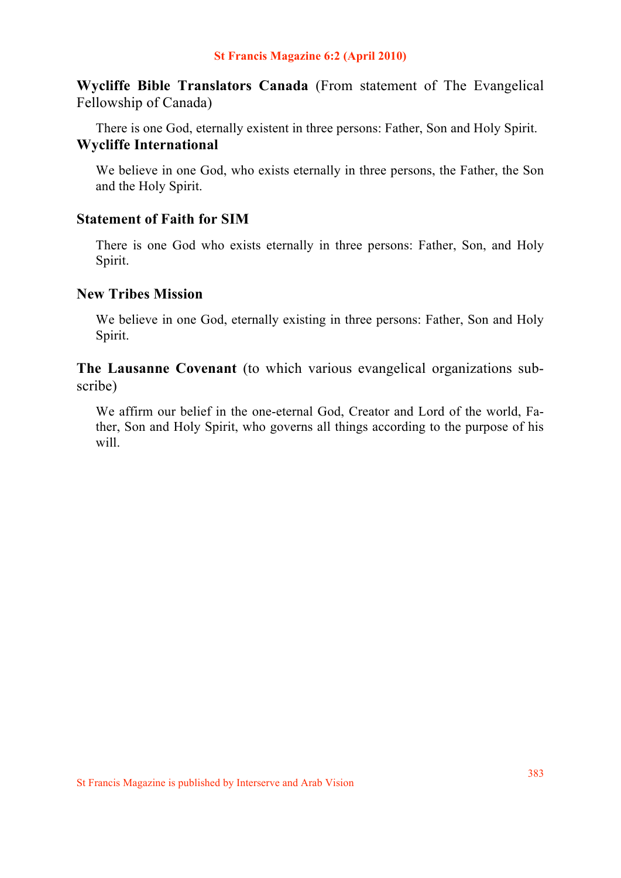**Wycliffe Bible Translators Canada** (From statement of The Evangelical Fellowship of Canada)

There is one God, eternally existent in three persons: Father, Son and Holy Spirit. **Wycliffe International**

We believe in one God, who exists eternally in three persons, the Father, the Son and the Holy Spirit.

## **Statement of Faith for SIM**

There is one God who exists eternally in three persons: Father, Son, and Holy Spirit.

### **New Tribes Mission**

We believe in one God, eternally existing in three persons: Father, Son and Holy Spirit.

**The Lausanne Covenant** (to which various evangelical organizations subscribe)

We affirm our belief in the one-eternal God, Creator and Lord of the world, Father, Son and Holy Spirit, who governs all things according to the purpose of his will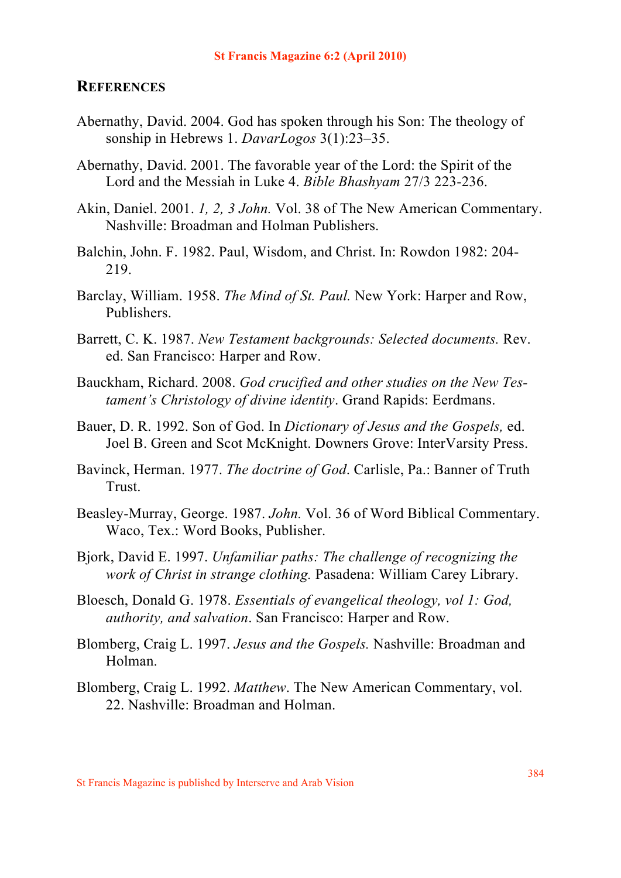## **REFERENCES**

- Abernathy, David. 2004. God has spoken through his Son: The theology of sonship in Hebrews 1. *DavarLogos* 3(1):23–35.
- Abernathy, David. 2001. The favorable year of the Lord: the Spirit of the Lord and the Messiah in Luke 4. *Bible Bhashyam* 27/3 223-236.
- Akin, Daniel. 2001. *1, 2, 3 John.* Vol. 38 of The New American Commentary. Nashville: Broadman and Holman Publishers.
- Balchin, John. F. 1982. Paul, Wisdom, and Christ. In: Rowdon 1982: 204- 219.
- Barclay, William. 1958. *The Mind of St. Paul.* New York: Harper and Row, Publishers.
- Barrett, C. K. 1987. *New Testament backgrounds: Selected documents.* Rev. ed. San Francisco: Harper and Row.
- Bauckham, Richard. 2008. *God crucified and other studies on the New Testament's Christology of divine identity*. Grand Rapids: Eerdmans.
- Bauer, D. R. 1992. Son of God. In *Dictionary of Jesus and the Gospels,* ed. Joel B. Green and Scot McKnight. Downers Grove: InterVarsity Press.
- Bavinck, Herman. 1977. *The doctrine of God*. Carlisle, Pa.: Banner of Truth **Trust**
- Beasley-Murray, George. 1987. *John.* Vol. 36 of Word Biblical Commentary. Waco, Tex.: Word Books, Publisher.
- Bjork, David E. 1997. *Unfamiliar paths: The challenge of recognizing the work of Christ in strange clothing.* Pasadena: William Carey Library.
- Bloesch, Donald G. 1978. *Essentials of evangelical theology, vol 1: God, authority, and salvation*. San Francisco: Harper and Row.
- Blomberg, Craig L. 1997. *Jesus and the Gospels.* Nashville: Broadman and Holman.
- Blomberg, Craig L. 1992. *Matthew*. The New American Commentary, vol. 22. Nashville: Broadman and Holman.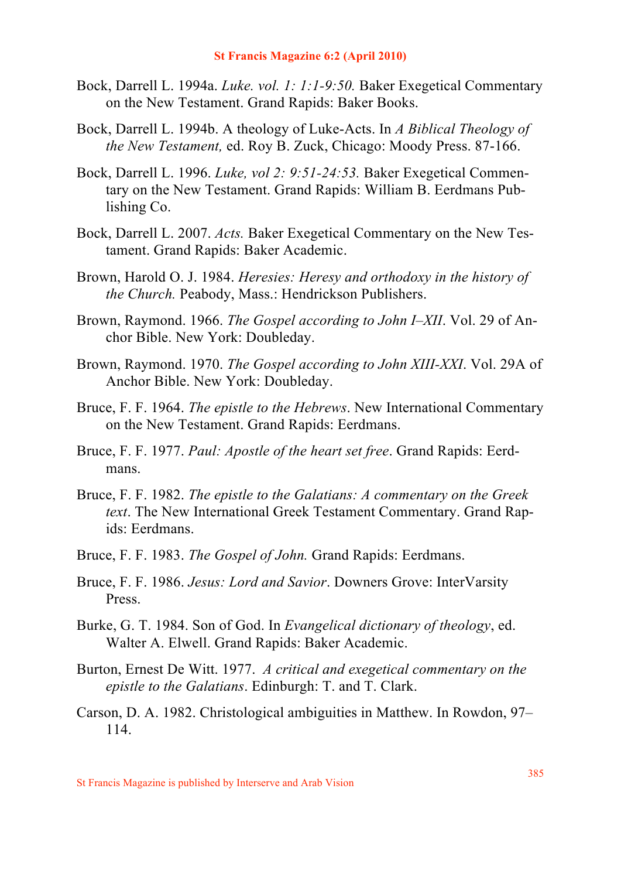- Bock, Darrell L. 1994a. *Luke. vol. 1: 1:1-9:50.* Baker Exegetical Commentary on the New Testament. Grand Rapids: Baker Books.
- Bock, Darrell L. 1994b. A theology of Luke-Acts. In *A Biblical Theology of the New Testament,* ed. Roy B. Zuck, Chicago: Moody Press. 87-166.
- Bock, Darrell L. 1996. *Luke, vol 2: 9:51-24:53.* Baker Exegetical Commentary on the New Testament. Grand Rapids: William B. Eerdmans Publishing Co.
- Bock, Darrell L. 2007. *Acts.* Baker Exegetical Commentary on the New Testament. Grand Rapids: Baker Academic.
- Brown, Harold O. J. 1984. *Heresies: Heresy and orthodoxy in the history of the Church.* Peabody, Mass.: Hendrickson Publishers.
- Brown, Raymond. 1966. *The Gospel according to John I–XII*. Vol. 29 of Anchor Bible. New York: Doubleday.
- Brown, Raymond. 1970. *The Gospel according to John XIII-XXI*. Vol. 29A of Anchor Bible. New York: Doubleday.
- Bruce, F. F. 1964. *The epistle to the Hebrews*. New International Commentary on the New Testament. Grand Rapids: Eerdmans.
- Bruce, F. F. 1977. *Paul: Apostle of the heart set free*. Grand Rapids: Eerdmans.
- Bruce, F. F. 1982. *The epistle to the Galatians: A commentary on the Greek text*. The New International Greek Testament Commentary. Grand Rapids: Eerdmans.
- Bruce, F. F. 1983. *The Gospel of John.* Grand Rapids: Eerdmans.
- Bruce, F. F. 1986. *Jesus: Lord and Savior*. Downers Grove: InterVarsity Press.
- Burke, G. T. 1984. Son of God. In *Evangelical dictionary of theology*, ed. Walter A. Elwell. Grand Rapids: Baker Academic.
- Burton, Ernest De Witt. 1977. *A critical and exegetical commentary on the epistle to the Galatians*. Edinburgh: T. and T. Clark.
- Carson, D. A. 1982. Christological ambiguities in Matthew. In Rowdon, 97– 114.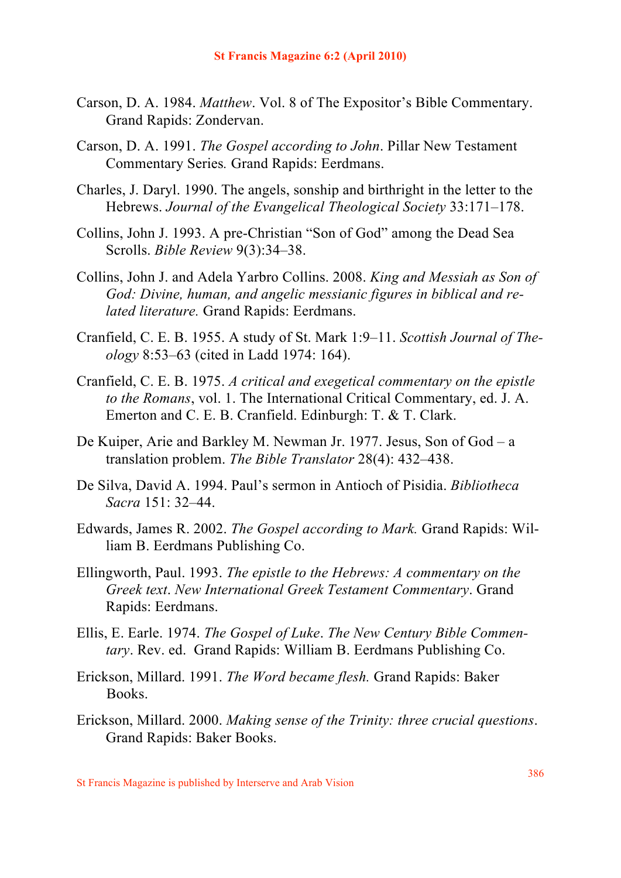- Carson, D. A. 1984. *Matthew*. Vol. 8 of The Expositor's Bible Commentary. Grand Rapids: Zondervan.
- Carson, D. A. 1991. *The Gospel according to John*. Pillar New Testament Commentary Series*.* Grand Rapids: Eerdmans.
- Charles, J. Daryl. 1990. The angels, sonship and birthright in the letter to the Hebrews. *Journal of the Evangelical Theological Society* 33:171–178.
- Collins, John J. 1993. A pre-Christian "Son of God" among the Dead Sea Scrolls. *Bible Review* 9(3):34–38.
- Collins, John J. and Adela Yarbro Collins. 2008. *King and Messiah as Son of God: Divine, human, and angelic messianic figures in biblical and related literature.* Grand Rapids: Eerdmans.
- Cranfield, C. E. B. 1955. A study of St. Mark 1:9–11. *Scottish Journal of Theology* 8:53–63 (cited in Ladd 1974: 164).
- Cranfield, C. E. B. 1975. *A critical and exegetical commentary on the epistle to the Romans*, vol. 1. The International Critical Commentary, ed. J. A. Emerton and C. E. B. Cranfield. Edinburgh: T. & T. Clark.
- De Kuiper, Arie and Barkley M. Newman Jr. 1977. Jesus, Son of God a translation problem. *The Bible Translator* 28(4): 432–438.
- De Silva, David A. 1994. Paul's sermon in Antioch of Pisidia. *Bibliotheca Sacra* 151: 32–44.
- Edwards, James R. 2002. *The Gospel according to Mark.* Grand Rapids: William B. Eerdmans Publishing Co.
- Ellingworth, Paul. 1993. *The epistle to the Hebrews: A commentary on the Greek text*. *New International Greek Testament Commentary*. Grand Rapids: Eerdmans.
- Ellis, E. Earle. 1974. *The Gospel of Luke*. *The New Century Bible Commentary*. Rev. ed. Grand Rapids: William B. Eerdmans Publishing Co.
- Erickson, Millard. 1991. *The Word became flesh.* Grand Rapids: Baker Books.
- Erickson, Millard. 2000. *Making sense of the Trinity: three crucial questions*. Grand Rapids: Baker Books.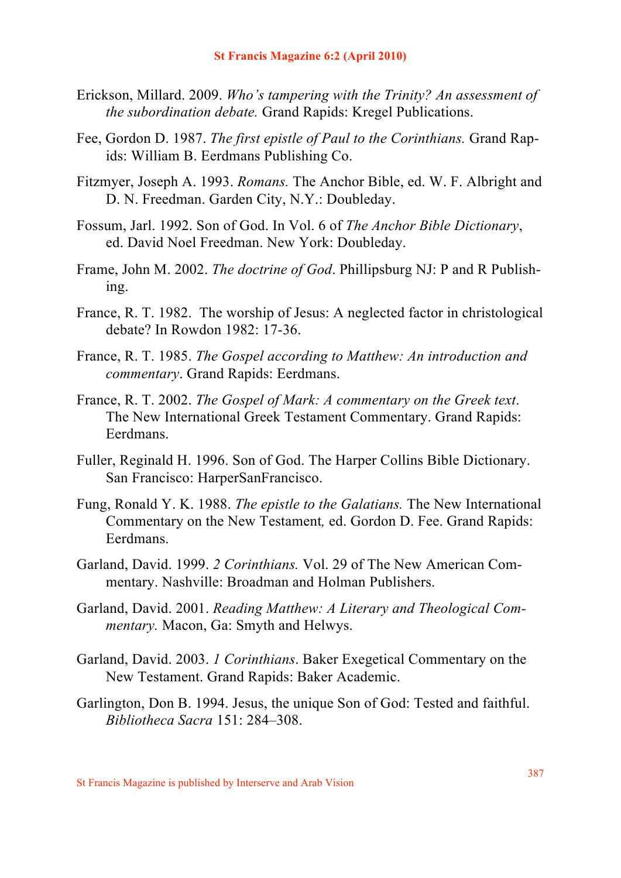- Erickson, Millard. 2009. *Who's tampering with the Trinity? An assessment of the subordination debate.* Grand Rapids: Kregel Publications.
- Fee, Gordon D. 1987. *The first epistle of Paul to the Corinthians.* Grand Rapids: William B. Eerdmans Publishing Co.
- Fitzmyer, Joseph A. 1993. *Romans.* The Anchor Bible, ed. W. F. Albright and D. N. Freedman. Garden City, N.Y.: Doubleday.
- Fossum, Jarl. 1992. Son of God. In Vol. 6 of *The Anchor Bible Dictionary*, ed. David Noel Freedman. New York: Doubleday.
- Frame, John M. 2002. *The doctrine of God*. Phillipsburg NJ: P and R Publishing.
- France, R. T. 1982. The worship of Jesus: A neglected factor in christological debate? In Rowdon 1982: 17-36.
- France, R. T. 1985. *The Gospel according to Matthew: An introduction and commentary*. Grand Rapids: Eerdmans.
- France, R. T. 2002. *The Gospel of Mark: A commentary on the Greek text*. The New International Greek Testament Commentary. Grand Rapids: Eerdmans.
- Fuller, Reginald H. 1996. Son of God. The Harper Collins Bible Dictionary. San Francisco: HarperSanFrancisco.
- Fung, Ronald Y. K. 1988. *The epistle to the Galatians.* The New International Commentary on the New Testament*,* ed. Gordon D. Fee. Grand Rapids: Eerdmans.
- Garland, David. 1999. *2 Corinthians.* Vol. 29 of The New American Commentary. Nashville: Broadman and Holman Publishers.
- Garland, David. 2001. *Reading Matthew: A Literary and Theological Commentary.* Macon, Ga: Smyth and Helwys.
- Garland, David. 2003. *1 Corinthians*. Baker Exegetical Commentary on the New Testament. Grand Rapids: Baker Academic.
- Garlington, Don B. 1994. Jesus, the unique Son of God: Tested and faithful. *Bibliotheca Sacra* 151: 284–308.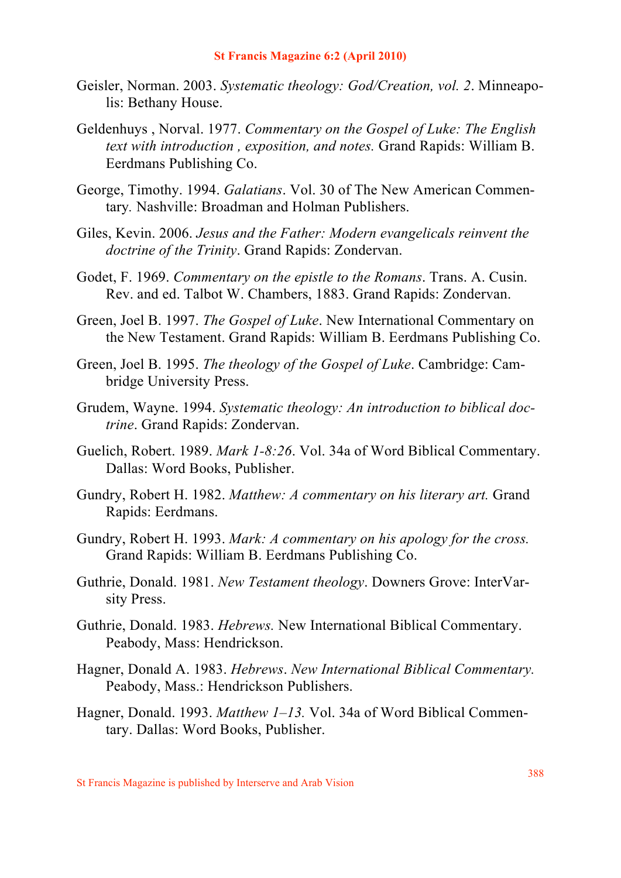- Geisler, Norman. 2003. *Systematic theology: God/Creation, vol. 2*. Minneapolis: Bethany House.
- Geldenhuys , Norval. 1977. *Commentary on the Gospel of Luke: The English text with introduction , exposition, and notes.* Grand Rapids: William B. Eerdmans Publishing Co.
- George, Timothy. 1994. *Galatians*. Vol. 30 of The New American Commentary*.* Nashville: Broadman and Holman Publishers.
- Giles, Kevin. 2006. *Jesus and the Father: Modern evangelicals reinvent the doctrine of the Trinity*. Grand Rapids: Zondervan.
- Godet, F. 1969. *Commentary on the epistle to the Romans*. Trans. A. Cusin. Rev. and ed. Talbot W. Chambers, 1883. Grand Rapids: Zondervan.
- Green, Joel B. 1997. *The Gospel of Luke*. New International Commentary on the New Testament. Grand Rapids: William B. Eerdmans Publishing Co.
- Green, Joel B. 1995. *The theology of the Gospel of Luke*. Cambridge: Cambridge University Press.
- Grudem, Wayne. 1994. *Systematic theology: An introduction to biblical doctrine*. Grand Rapids: Zondervan.
- Guelich, Robert. 1989. *Mark 1-8:26*. Vol. 34a of Word Biblical Commentary. Dallas: Word Books, Publisher.
- Gundry, Robert H. 1982. *Matthew: A commentary on his literary art.* Grand Rapids: Eerdmans.
- Gundry, Robert H. 1993. *Mark: A commentary on his apology for the cross.*  Grand Rapids: William B. Eerdmans Publishing Co.
- Guthrie, Donald. 1981. *New Testament theology*. Downers Grove: InterVarsity Press.
- Guthrie, Donald. 1983. *Hebrews.* New International Biblical Commentary. Peabody, Mass: Hendrickson.
- Hagner, Donald A. 1983. *Hebrews*. *New International Biblical Commentary.* Peabody, Mass.: Hendrickson Publishers.
- Hagner, Donald. 1993. *Matthew 1–13.* Vol. 34a of Word Biblical Commentary. Dallas: Word Books, Publisher.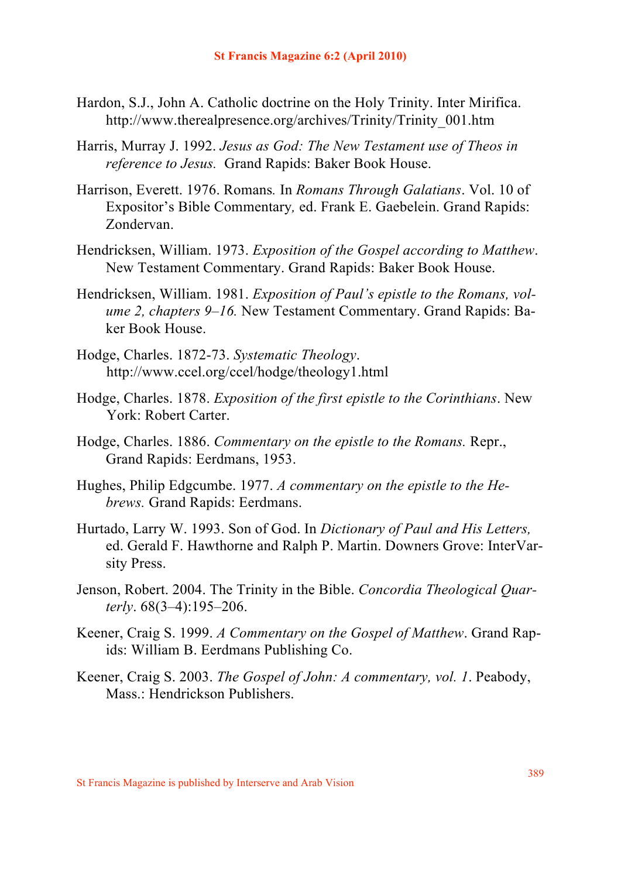- Hardon, S.J., John A. Catholic doctrine on the Holy Trinity. Inter Mirifica. http://www.therealpresence.org/archives/Trinity/Trinity\_001.htm
- Harris, Murray J. 1992. *Jesus as God: The New Testament use of Theos in reference to Jesus.* Grand Rapids: Baker Book House.
- Harrison, Everett. 1976. Romans*.* In *Romans Through Galatians*. Vol. 10 of Expositor's Bible Commentary*,* ed. Frank E. Gaebelein. Grand Rapids: Zondervan.
- Hendricksen, William. 1973. *Exposition of the Gospel according to Matthew*. New Testament Commentary. Grand Rapids: Baker Book House.
- Hendricksen, William. 1981. *Exposition of Paul's epistle to the Romans, volume 2, chapters 9–16.* New Testament Commentary. Grand Rapids: Baker Book House.
- Hodge, Charles. 1872-73. *Systematic Theology*. http://www.ccel.org/ccel/hodge/theology1.html
- Hodge, Charles. 1878. *Exposition of the first epistle to the Corinthians*. New York: Robert Carter.
- Hodge, Charles. 1886. *Commentary on the epistle to the Romans.* Repr., Grand Rapids: Eerdmans, 1953.
- Hughes, Philip Edgcumbe. 1977. *A commentary on the epistle to the Hebrews.* Grand Rapids: Eerdmans.
- Hurtado, Larry W. 1993. Son of God. In *Dictionary of Paul and His Letters,*  ed. Gerald F. Hawthorne and Ralph P. Martin. Downers Grove: InterVarsity Press.
- Jenson, Robert. 2004. The Trinity in the Bible. *Concordia Theological Quarterly*. 68(3–4):195–206.
- Keener, Craig S. 1999. *A Commentary on the Gospel of Matthew*. Grand Rapids: William B. Eerdmans Publishing Co.
- Keener, Craig S. 2003. *The Gospel of John: A commentary, vol. 1*. Peabody, Mass.: Hendrickson Publishers.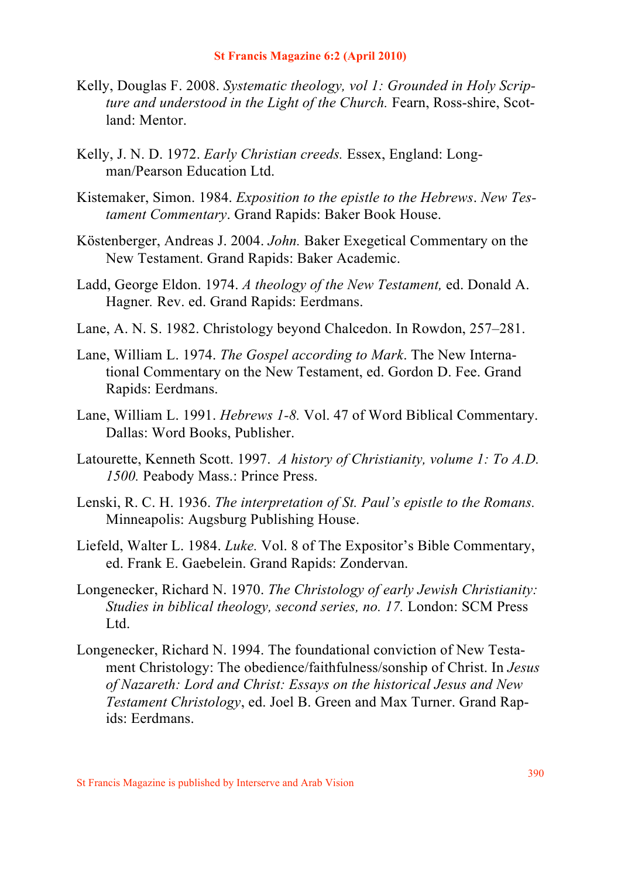- Kelly, Douglas F. 2008. *Systematic theology, vol 1: Grounded in Holy Scripture and understood in the Light of the Church.* Fearn, Ross-shire, Scotland: Mentor.
- Kelly, J. N. D. 1972. *Early Christian creeds.* Essex, England: Longman/Pearson Education Ltd.
- Kistemaker, Simon. 1984. *Exposition to the epistle to the Hebrews*. *New Testament Commentary*. Grand Rapids: Baker Book House.
- Köstenberger, Andreas J. 2004. *John.* Baker Exegetical Commentary on the New Testament. Grand Rapids: Baker Academic.
- Ladd, George Eldon. 1974. *A theology of the New Testament,* ed. Donald A. Hagner*.* Rev. ed. Grand Rapids: Eerdmans.
- Lane, A. N. S. 1982. Christology beyond Chalcedon. In Rowdon, 257–281.
- Lane, William L. 1974. *The Gospel according to Mark*. The New International Commentary on the New Testament, ed. Gordon D. Fee. Grand Rapids: Eerdmans.
- Lane, William L. 1991. *Hebrews 1-8.* Vol. 47 of Word Biblical Commentary. Dallas: Word Books, Publisher.
- Latourette, Kenneth Scott. 1997. *A history of Christianity, volume 1: To A.D. 1500.* Peabody Mass.: Prince Press.
- Lenski, R. C. H. 1936. *The interpretation of St. Paul's epistle to the Romans.* Minneapolis: Augsburg Publishing House.
- Liefeld, Walter L. 1984. *Luke.* Vol. 8 of The Expositor's Bible Commentary, ed. Frank E. Gaebelein. Grand Rapids: Zondervan.
- Longenecker, Richard N. 1970. *The Christology of early Jewish Christianity: Studies in biblical theology, second series, no. 17.* London: SCM Press Ltd.
- Longenecker, Richard N. 1994. The foundational conviction of New Testament Christology: The obedience/faithfulness/sonship of Christ. In *Jesus of Nazareth: Lord and Christ: Essays on the historical Jesus and New Testament Christology*, ed. Joel B. Green and Max Turner. Grand Rapids: Eerdmans.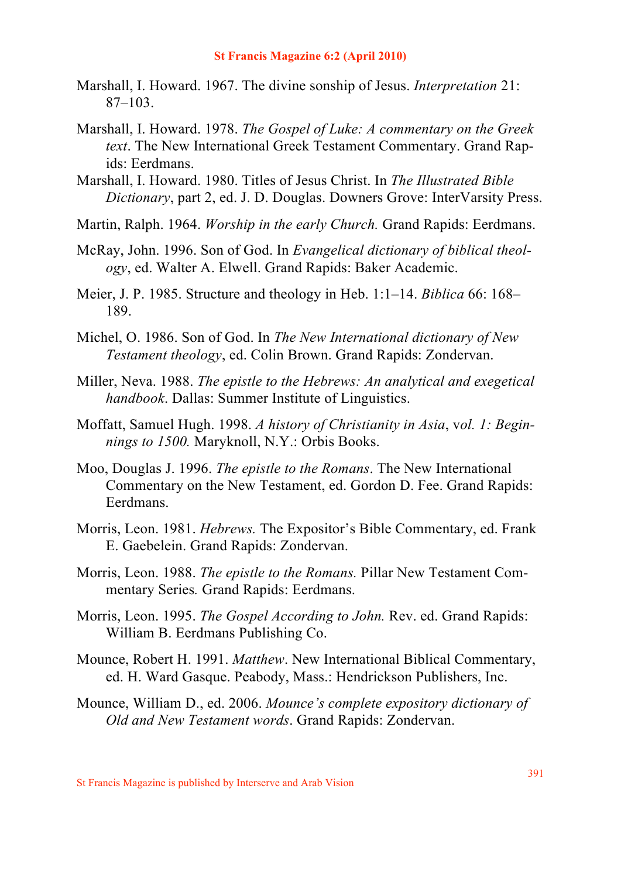- Marshall, I. Howard. 1967. The divine sonship of Jesus. *Interpretation* 21: 87–103.
- Marshall, I. Howard. 1978. *The Gospel of Luke: A commentary on the Greek text*. The New International Greek Testament Commentary. Grand Rapids: Eerdmans.
- Marshall, I. Howard. 1980. Titles of Jesus Christ. In *The Illustrated Bible Dictionary*, part 2, ed. J. D. Douglas. Downers Grove: InterVarsity Press.
- Martin, Ralph. 1964. *Worship in the early Church.* Grand Rapids: Eerdmans.
- McRay, John. 1996. Son of God. In *Evangelical dictionary of biblical theology*, ed. Walter A. Elwell. Grand Rapids: Baker Academic.
- Meier, J. P. 1985. Structure and theology in Heb. 1:1–14. *Biblica* 66: 168– 189.
- Michel, O. 1986. Son of God. In *The New International dictionary of New Testament theology*, ed. Colin Brown. Grand Rapids: Zondervan.
- Miller, Neva. 1988. *The epistle to the Hebrews: An analytical and exegetical handbook*. Dallas: Summer Institute of Linguistics.
- Moffatt, Samuel Hugh. 1998. *A history of Christianity in Asia*, v*ol. 1: Beginnings to 1500.* Maryknoll, N.Y.: Orbis Books.
- Moo, Douglas J. 1996. *The epistle to the Romans*. The New International Commentary on the New Testament, ed. Gordon D. Fee. Grand Rapids: Eerdmans.
- Morris, Leon. 1981. *Hebrews.* The Expositor's Bible Commentary, ed. Frank E. Gaebelein. Grand Rapids: Zondervan.
- Morris, Leon. 1988. *The epistle to the Romans.* Pillar New Testament Commentary Series*.* Grand Rapids: Eerdmans.
- Morris, Leon. 1995. *The Gospel According to John.* Rev. ed. Grand Rapids: William B. Eerdmans Publishing Co.
- Mounce, Robert H. 1991. *Matthew*. New International Biblical Commentary, ed. H. Ward Gasque. Peabody, Mass.: Hendrickson Publishers, Inc.
- Mounce, William D., ed. 2006. *Mounce's complete expository dictionary of Old and New Testament words*. Grand Rapids: Zondervan.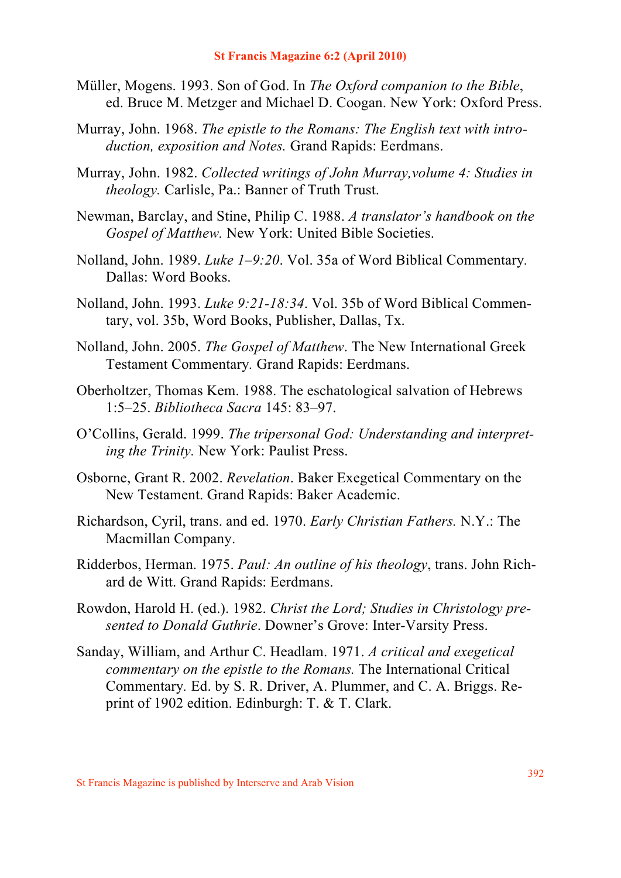- Müller, Mogens. 1993. Son of God. In *The Oxford companion to the Bible*, ed. Bruce M. Metzger and Michael D. Coogan. New York: Oxford Press.
- Murray, John. 1968. *The epistle to the Romans: The English text with introduction, exposition and Notes.* Grand Rapids: Eerdmans.
- Murray, John. 1982. *Collected writings of John Murray,volume 4: Studies in theology.* Carlisle, Pa.: Banner of Truth Trust.
- Newman, Barclay, and Stine, Philip C. 1988. *A translator's handbook on the Gospel of Matthew.* New York: United Bible Societies.
- Nolland, John. 1989. *Luke 1–9:20*. Vol. 35a of Word Biblical Commentary*.* Dallas: Word Books.
- Nolland, John. 1993. *Luke 9:21-18:34*. Vol. 35b of Word Biblical Commentary, vol. 35b, Word Books, Publisher, Dallas, Tx.
- Nolland, John. 2005. *The Gospel of Matthew*. The New International Greek Testament Commentary*.* Grand Rapids: Eerdmans.
- Oberholtzer, Thomas Kem. 1988. The eschatological salvation of Hebrews 1:5–25. *Bibliotheca Sacra* 145: 83–97.
- O'Collins, Gerald. 1999. *The tripersonal God: Understanding and interpreting the Trinity.* New York: Paulist Press.
- Osborne, Grant R. 2002. *Revelation*. Baker Exegetical Commentary on the New Testament. Grand Rapids: Baker Academic.
- Richardson, Cyril, trans. and ed. 1970. *Early Christian Fathers.* N.Y.: The Macmillan Company.
- Ridderbos, Herman. 1975. *Paul: An outline of his theology*, trans. John Richard de Witt. Grand Rapids: Eerdmans.
- Rowdon, Harold H. (ed.). 1982. *Christ the Lord; Studies in Christology presented to Donald Guthrie*. Downer's Grove: Inter-Varsity Press.
- Sanday, William, and Arthur C. Headlam. 1971. *A critical and exegetical commentary on the epistle to the Romans.* The International Critical Commentary*.* Ed. by S. R. Driver, A. Plummer, and C. A. Briggs. Reprint of 1902 edition. Edinburgh: T. & T. Clark.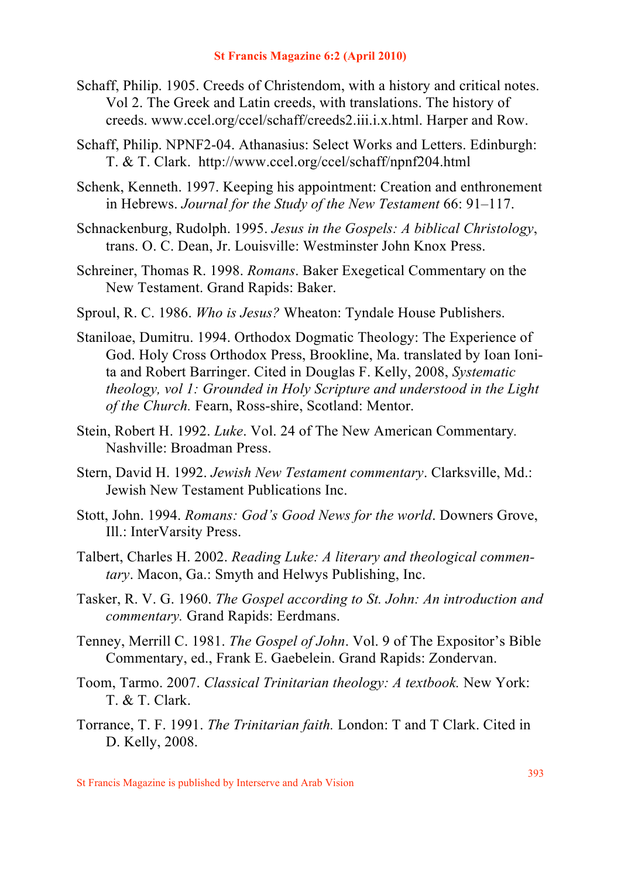- Schaff, Philip. 1905. Creeds of Christendom, with a history and critical notes. Vol 2. The Greek and Latin creeds, with translations. The history of creeds. www.ccel.org/ccel/schaff/creeds2.iii.i.x.html. Harper and Row.
- Schaff, Philip. NPNF2-04. Athanasius: Select Works and Letters. Edinburgh: T. & T. Clark. http://www.ccel.org/ccel/schaff/npnf204.html
- Schenk, Kenneth. 1997. Keeping his appointment: Creation and enthronement in Hebrews. *Journal for the Study of the New Testament* 66: 91–117.
- Schnackenburg, Rudolph. 1995. *Jesus in the Gospels: A biblical Christology*, trans. O. C. Dean, Jr. Louisville: Westminster John Knox Press.
- Schreiner, Thomas R. 1998. *Romans*. Baker Exegetical Commentary on the New Testament. Grand Rapids: Baker.
- Sproul, R. C. 1986. *Who is Jesus?* Wheaton: Tyndale House Publishers.
- Staniloae, Dumitru. 1994. Orthodox Dogmatic Theology: The Experience of God. Holy Cross Orthodox Press, Brookline, Ma. translated by Ioan Ionita and Robert Barringer. Cited in Douglas F. Kelly, 2008, *Systematic theology, vol 1: Grounded in Holy Scripture and understood in the Light of the Church.* Fearn, Ross-shire, Scotland: Mentor.
- Stein, Robert H. 1992. *Luke*. Vol. 24 of The New American Commentary*.* Nashville: Broadman Press.
- Stern, David H. 1992. *Jewish New Testament commentary*. Clarksville, Md.: Jewish New Testament Publications Inc.
- Stott, John. 1994. *Romans: God's Good News for the world*. Downers Grove, Ill.: InterVarsity Press.
- Talbert, Charles H. 2002. *Reading Luke: A literary and theological commentary*. Macon, Ga.: Smyth and Helwys Publishing, Inc.
- Tasker, R. V. G. 1960. *The Gospel according to St. John: An introduction and commentary.* Grand Rapids: Eerdmans.
- Tenney, Merrill C. 1981. *The Gospel of John*. Vol. 9 of The Expositor's Bible Commentary, ed., Frank E. Gaebelein. Grand Rapids: Zondervan.
- Toom, Tarmo. 2007. *Classical Trinitarian theology: A textbook.* New York: T. & T. Clark.
- Torrance, T. F. 1991. *The Trinitarian faith.* London: T and T Clark. Cited in D. Kelly, 2008.